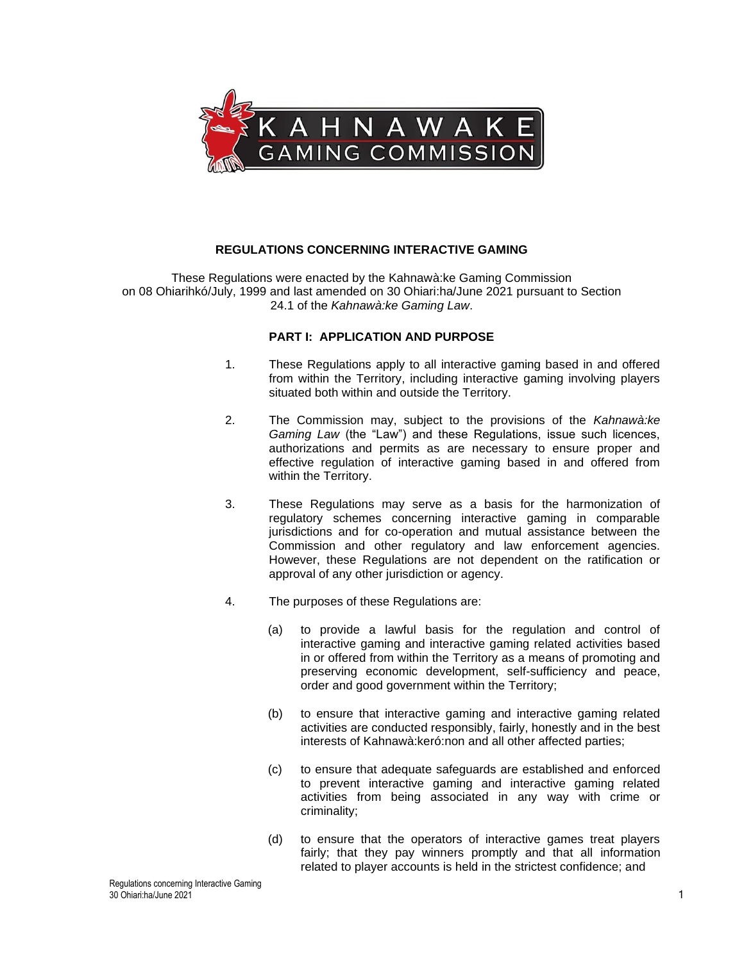

### **REGULATIONS CONCERNING INTERACTIVE GAMING**

These Regulations were enacted by the Kahnawà:ke Gaming Commission on 08 Ohiarihkó/July, 1999 and last amended on 30 Ohiari:ha/June 2021 pursuant to Section 24.1 of the *Kahnawà:ke Gaming Law*.

### **PART I: APPLICATION AND PURPOSE**

- 1. These Regulations apply to all interactive gaming based in and offered from within the Territory, including interactive gaming involving players situated both within and outside the Territory.
- 2. The Commission may, subject to the provisions of the *Kahnawà:ke Gaming Law* (the "Law") and these Regulations, issue such licences, authorizations and permits as are necessary to ensure proper and effective regulation of interactive gaming based in and offered from within the Territory.
- 3. These Regulations may serve as a basis for the harmonization of regulatory schemes concerning interactive gaming in comparable jurisdictions and for co-operation and mutual assistance between the Commission and other regulatory and law enforcement agencies. However, these Regulations are not dependent on the ratification or approval of any other jurisdiction or agency.
- 4. The purposes of these Regulations are:
	- (a) to provide a lawful basis for the regulation and control of interactive gaming and interactive gaming related activities based in or offered from within the Territory as a means of promoting and preserving economic development, self-sufficiency and peace, order and good government within the Territory;
	- (b) to ensure that interactive gaming and interactive gaming related activities are conducted responsibly, fairly, honestly and in the best interests of Kahnawà:keró:non and all other affected parties;
	- (c) to ensure that adequate safeguards are established and enforced to prevent interactive gaming and interactive gaming related activities from being associated in any way with crime or criminality;
	- (d) to ensure that the operators of interactive games treat players fairly; that they pay winners promptly and that all information related to player accounts is held in the strictest confidence; and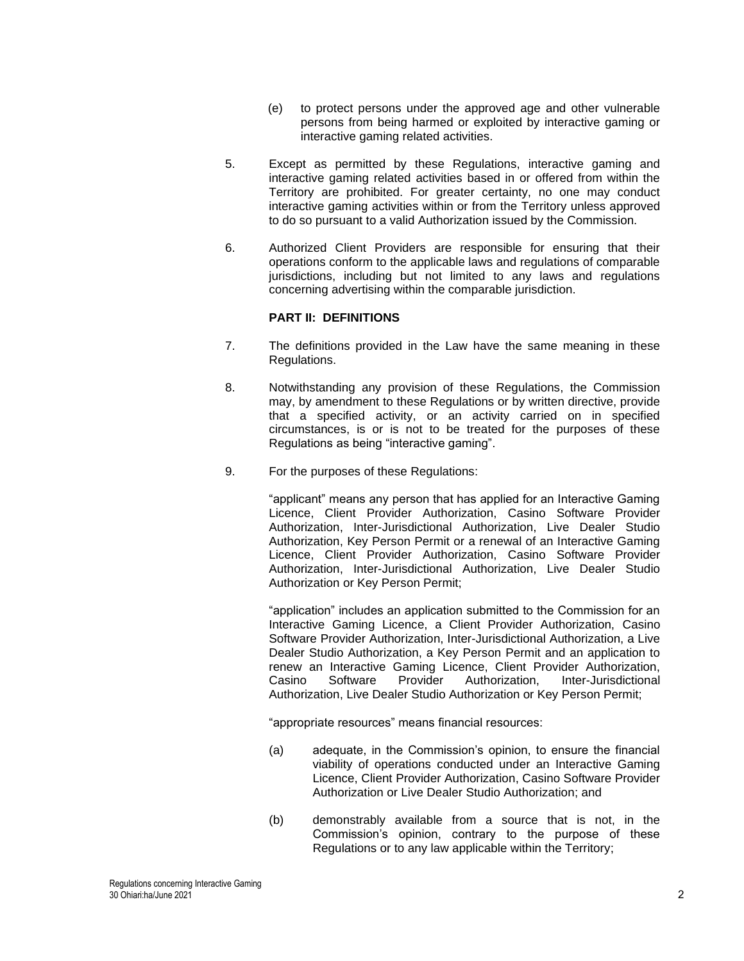- (e) to protect persons under the approved age and other vulnerable persons from being harmed or exploited by interactive gaming or interactive gaming related activities.
- 5. Except as permitted by these Regulations, interactive gaming and interactive gaming related activities based in or offered from within the Territory are prohibited. For greater certainty, no one may conduct interactive gaming activities within or from the Territory unless approved to do so pursuant to a valid Authorization issued by the Commission.
- 6. Authorized Client Providers are responsible for ensuring that their operations conform to the applicable laws and regulations of comparable jurisdictions, including but not limited to any laws and regulations concerning advertising within the comparable jurisdiction.

### **PART II: DEFINITIONS**

- 7. The definitions provided in the Law have the same meaning in these Regulations.
- 8. Notwithstanding any provision of these Regulations, the Commission may, by amendment to these Regulations or by written directive, provide that a specified activity, or an activity carried on in specified circumstances, is or is not to be treated for the purposes of these Regulations as being "interactive gaming".
- 9. For the purposes of these Regulations:

"applicant" means any person that has applied for an Interactive Gaming Licence, Client Provider Authorization, Casino Software Provider Authorization, Inter-Jurisdictional Authorization, Live Dealer Studio Authorization, Key Person Permit or a renewal of an Interactive Gaming Licence, Client Provider Authorization, Casino Software Provider Authorization, Inter-Jurisdictional Authorization, Live Dealer Studio Authorization or Key Person Permit;

"application" includes an application submitted to the Commission for an Interactive Gaming Licence, a Client Provider Authorization, Casino Software Provider Authorization, Inter-Jurisdictional Authorization, a Live Dealer Studio Authorization, a Key Person Permit and an application to renew an Interactive Gaming Licence, Client Provider Authorization,<br>Casino Software Provider Authorization, Inter-Jurisdictional Casino Software Provider Authorization, Inter-Jurisdictional Authorization, Live Dealer Studio Authorization or Key Person Permit;

"appropriate resources" means financial resources:

- (a) adequate, in the Commission's opinion, to ensure the financial viability of operations conducted under an Interactive Gaming Licence, Client Provider Authorization, Casino Software Provider Authorization or Live Dealer Studio Authorization; and
- (b) demonstrably available from a source that is not, in the Commission's opinion, contrary to the purpose of these Regulations or to any law applicable within the Territory;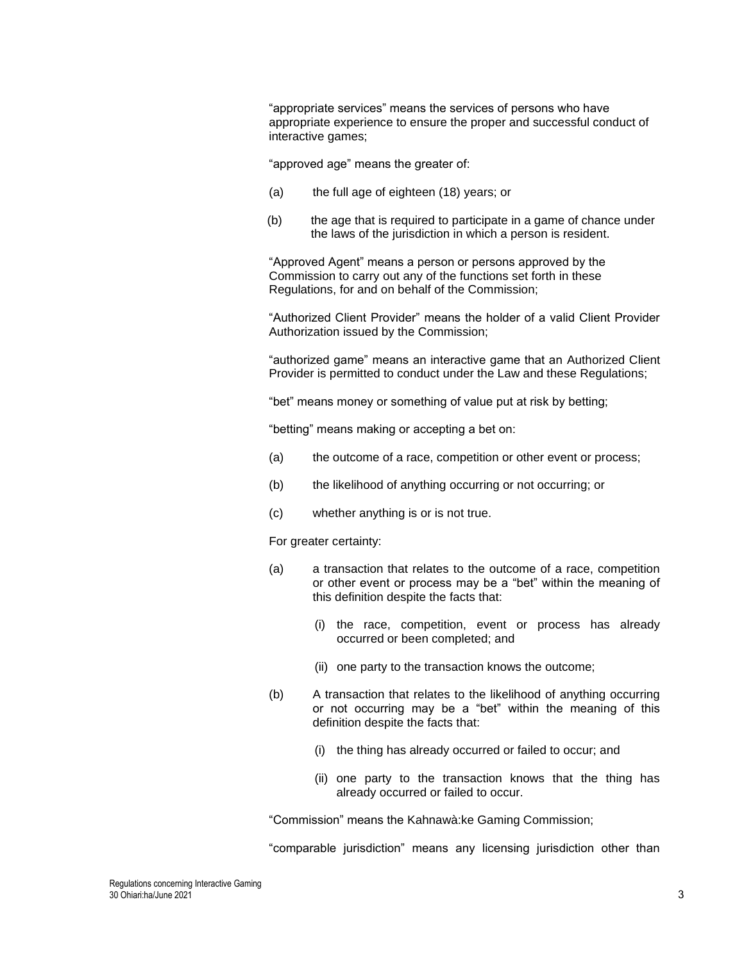"appropriate services" means the services of persons who have appropriate experience to ensure the proper and successful conduct of interactive games;

"approved age" means the greater of:

- (a) the full age of eighteen (18) years; or
- (b) the age that is required to participate in a game of chance under the laws of the jurisdiction in which a person is resident.

"Approved Agent" means a person or persons approved by the Commission to carry out any of the functions set forth in these Regulations, for and on behalf of the Commission;

"Authorized Client Provider" means the holder of a valid Client Provider Authorization issued by the Commission;

"authorized game" means an interactive game that an Authorized Client Provider is permitted to conduct under the Law and these Regulations;

"bet" means money or something of value put at risk by betting;

"betting" means making or accepting a bet on:

- (a) the outcome of a race, competition or other event or process;
- (b) the likelihood of anything occurring or not occurring; or
- (c) whether anything is or is not true.

For greater certainty:

- (a) a transaction that relates to the outcome of a race, competition or other event or process may be a "bet" within the meaning of this definition despite the facts that:
	- (i) the race, competition, event or process has already occurred or been completed; and
	- (ii) one party to the transaction knows the outcome;
- (b) A transaction that relates to the likelihood of anything occurring or not occurring may be a "bet" within the meaning of this definition despite the facts that:
	- (i) the thing has already occurred or failed to occur; and
	- (ii) one party to the transaction knows that the thing has already occurred or failed to occur.

"Commission" means the Kahnawà:ke Gaming Commission;

"comparable jurisdiction" means any licensing jurisdiction other than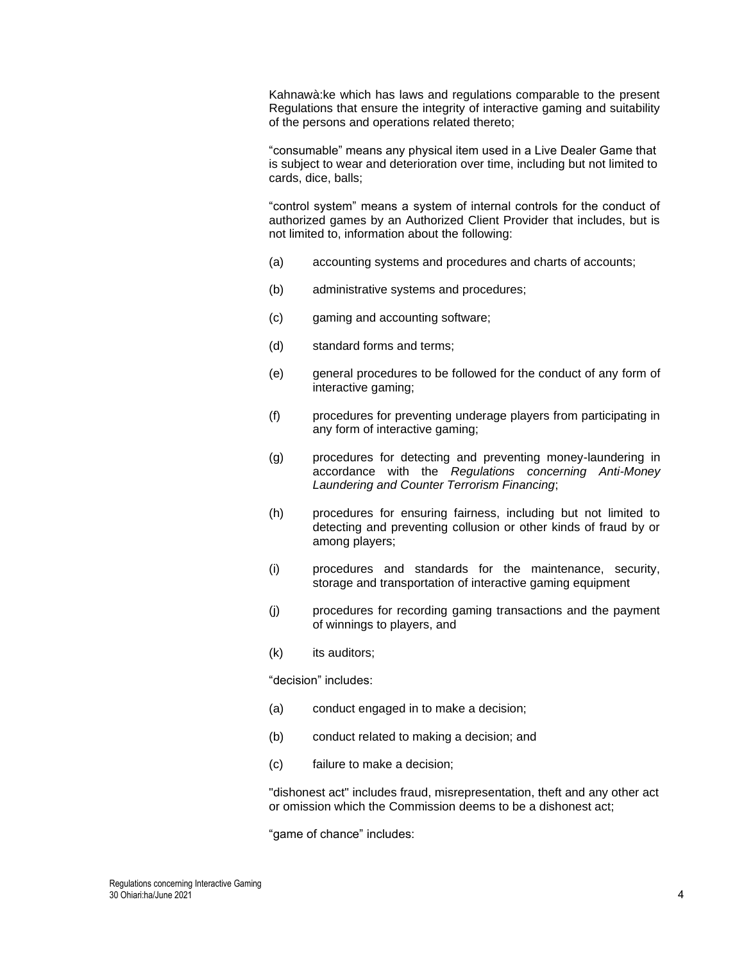Kahnawà:ke which has laws and regulations comparable to the present Regulations that ensure the integrity of interactive gaming and suitability of the persons and operations related thereto;

"consumable" means any physical item used in a Live Dealer Game that is subject to wear and deterioration over time, including but not limited to cards, dice, balls;

"control system" means a system of internal controls for the conduct of authorized games by an Authorized Client Provider that includes, but is not limited to, information about the following:

- (a) accounting systems and procedures and charts of accounts;
- (b) administrative systems and procedures;
- (c) gaming and accounting software;
- (d) standard forms and terms;
- (e) general procedures to be followed for the conduct of any form of interactive gaming;
- (f) procedures for preventing underage players from participating in any form of interactive gaming;
- (g) procedures for detecting and preventing money-laundering in accordance with the *Regulations concerning Anti-Money Laundering and Counter Terrorism Financing*;
- (h) procedures for ensuring fairness, including but not limited to detecting and preventing collusion or other kinds of fraud by or among players;
- (i) procedures and standards for the maintenance, security, storage and transportation of interactive gaming equipment
- (j) procedures for recording gaming transactions and the payment of winnings to players, and
- (k) its auditors;

"decision" includes:

- (a) conduct engaged in to make a decision;
- (b) conduct related to making a decision; and
- (c) failure to make a decision;

"dishonest act" includes fraud, misrepresentation, theft and any other act or omission which the Commission deems to be a dishonest act;

"game of chance" includes: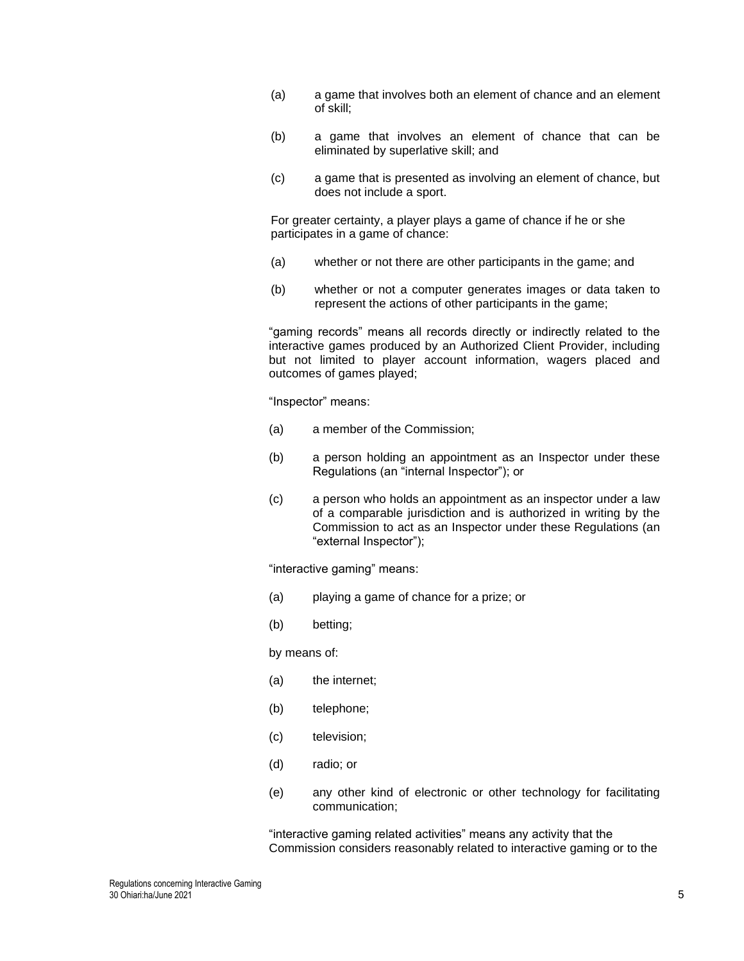- (a) a game that involves both an element of chance and an element of skill;
- (b) a game that involves an element of chance that can be eliminated by superlative skill; and
- (c) a game that is presented as involving an element of chance, but does not include a sport.

For greater certainty, a player plays a game of chance if he or she participates in a game of chance:

- (a) whether or not there are other participants in the game; and
- (b) whether or not a computer generates images or data taken to represent the actions of other participants in the game;

"gaming records" means all records directly or indirectly related to the interactive games produced by an Authorized Client Provider, including but not limited to player account information, wagers placed and outcomes of games played;

"Inspector" means:

- (a) a member of the Commission;
- (b) a person holding an appointment as an Inspector under these Regulations (an "internal Inspector"); or
- (c) a person who holds an appointment as an inspector under a law of a comparable jurisdiction and is authorized in writing by the Commission to act as an Inspector under these Regulations (an "external Inspector");

"interactive gaming" means:

- (a) playing a game of chance for a prize; or
- (b) betting;

by means of:

- (a) the internet;
- (b) telephone;
- (c) television;
- (d) radio; or
- (e) any other kind of electronic or other technology for facilitating communication;

"interactive gaming related activities" means any activity that the Commission considers reasonably related to interactive gaming or to the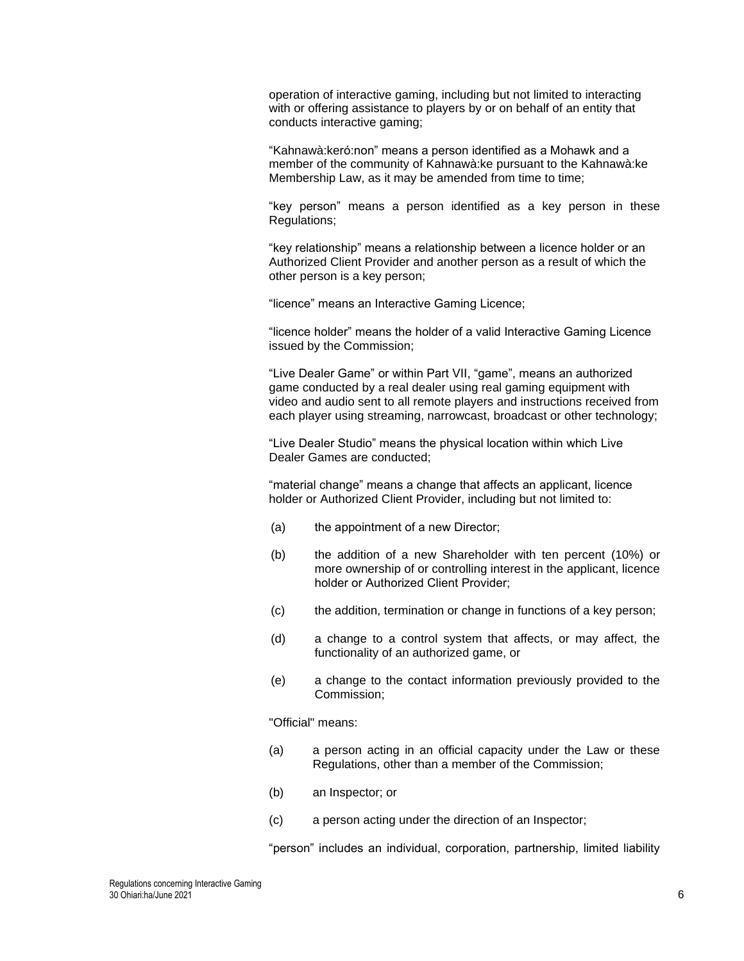operation of interactive gaming, including but not limited to interacting with or offering assistance to players by or on behalf of an entity that conducts interactive gaming;

"Kahnawà:keró:non" means a person identified as a Mohawk and a member of the community of Kahnawà:ke pursuant to the Kahnawà:ke Membership Law, as it may be amended from time to time;

"key person" means a person identified as a key person in these Regulations;

"key relationship" means a relationship between a licence holder or an Authorized Client Provider and another person as a result of which the other person is a key person;

"licence" means an Interactive Gaming Licence;

"licence holder" means the holder of a valid Interactive Gaming Licence issued by the Commission;

"Live Dealer Game" or within Part VII, "game", means an authorized game conducted by a real dealer using real gaming equipment with video and audio sent to all remote players and instructions received from each player using streaming, narrowcast, broadcast or other technology;

"Live Dealer Studio" means the physical location within which Live Dealer Games are conducted;

"material change" means a change that affects an applicant, licence holder or Authorized Client Provider, including but not limited to:

- (a) the appointment of a new Director;
- (b) the addition of a new Shareholder with ten percent (10%) or more ownership of or controlling interest in the applicant, licence holder or Authorized Client Provider;
- (c) the addition, termination or change in functions of a key person;
- (d) a change to a control system that affects, or may affect, the functionality of an authorized game, or
- (e) a change to the contact information previously provided to the Commission;

"Official" means:

- (a) a person acting in an official capacity under the Law or these Regulations, other than a member of the Commission;
- (b) an Inspector; or
- (c) a person acting under the direction of an Inspector;

"person" includes an individual, corporation, partnership, limited liability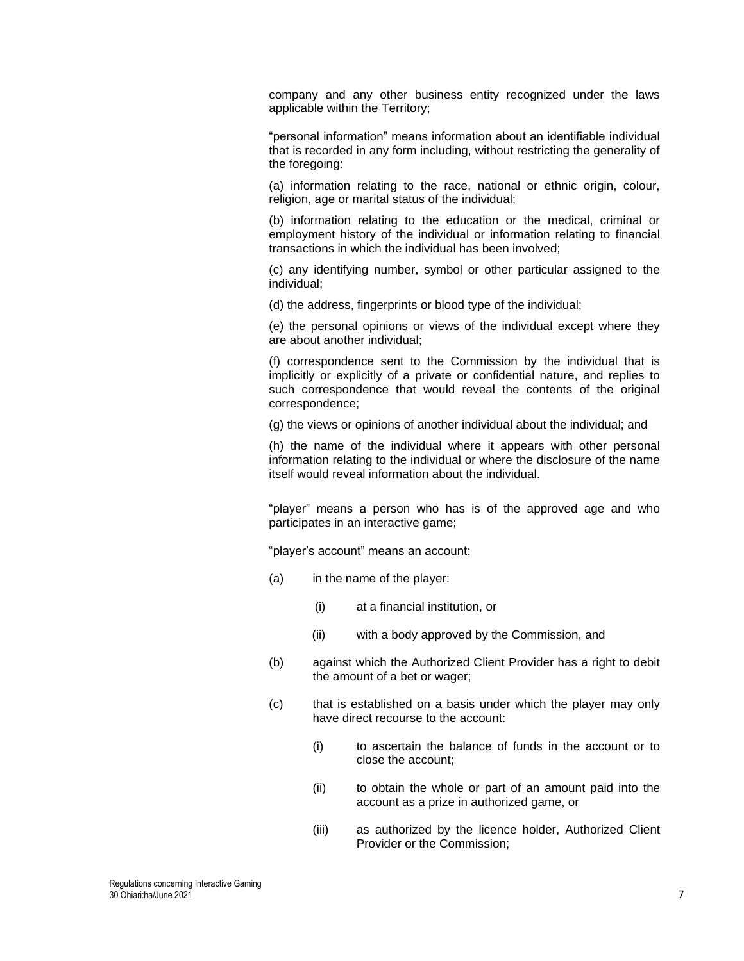company and any other business entity recognized under the laws applicable within the Territory;

"personal information" means information about an identifiable individual that is recorded in any form including, without restricting the generality of the foregoing:

(a) information relating to the race, national or ethnic origin, colour, religion, age or marital status of the individual;

(b) information relating to the education or the medical, criminal or employment history of the individual or information relating to financial transactions in which the individual has been involved;

(c) any identifying number, symbol or other particular assigned to the individual;

(d) the address, fingerprints or blood type of the individual;

(e) the personal opinions or views of the individual except where they are about another individual;

(f) correspondence sent to the Commission by the individual that is implicitly or explicitly of a private or confidential nature, and replies to such correspondence that would reveal the contents of the original correspondence;

(g) the views or opinions of another individual about the individual; and

(h) the name of the individual where it appears with other personal information relating to the individual or where the disclosure of the name itself would reveal information about the individual.

"player" means a person who has is of the approved age and who participates in an interactive game;

"player's account" means an account:

- (a) in the name of the player:
	- (i) at a financial institution, or
	- (ii) with a body approved by the Commission, and
- (b) against which the Authorized Client Provider has a right to debit the amount of a bet or wager;
- (c) that is established on a basis under which the player may only have direct recourse to the account:
	- (i) to ascertain the balance of funds in the account or to close the account;
	- (ii) to obtain the whole or part of an amount paid into the account as a prize in authorized game, or
	- (iii) as authorized by the licence holder, Authorized Client Provider or the Commission;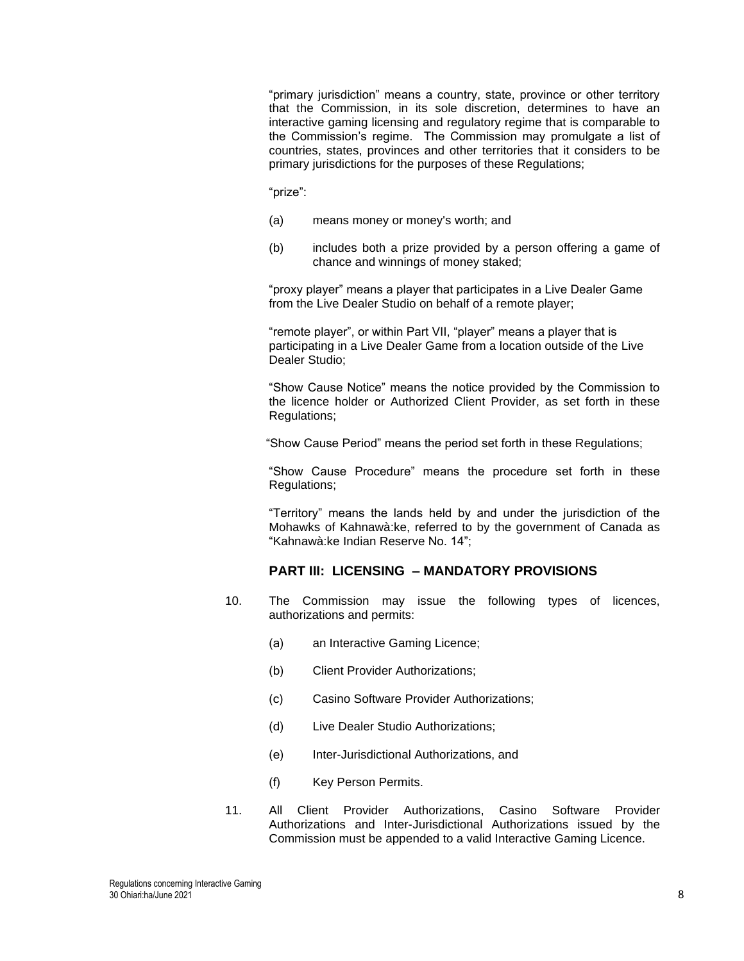"primary jurisdiction" means a country, state, province or other territory that the Commission, in its sole discretion, determines to have an interactive gaming licensing and regulatory regime that is comparable to the Commission's regime. The Commission may promulgate a list of countries, states, provinces and other territories that it considers to be primary jurisdictions for the purposes of these Regulations;

"prize":

- (a) means money or money's worth; and
- (b) includes both a prize provided by a person offering a game of chance and winnings of money staked;

"proxy player" means a player that participates in a Live Dealer Game from the Live Dealer Studio on behalf of a remote player;

"remote player", or within Part VII, "player" means a player that is participating in a Live Dealer Game from a location outside of the Live Dealer Studio;

"Show Cause Notice" means the notice provided by the Commission to the licence holder or Authorized Client Provider, as set forth in these Regulations;

"Show Cause Period" means the period set forth in these Regulations;

"Show Cause Procedure" means the procedure set forth in these Regulations;

"Territory" means the lands held by and under the jurisdiction of the Mohawks of Kahnawà:ke, referred to by the government of Canada as "Kahnawà:ke Indian Reserve No. 14";

# **PART III: LICENSING – MANDATORY PROVISIONS**

- 10. The Commission may issue the following types of licences, authorizations and permits:
	- (a) an Interactive Gaming Licence;
	- (b) Client Provider Authorizations;
	- (c) Casino Software Provider Authorizations;
	- (d) Live Dealer Studio Authorizations;
	- (e) Inter-Jurisdictional Authorizations, and
	- (f) Key Person Permits.
- 11. All Client Provider Authorizations, Casino Software Provider Authorizations and Inter-Jurisdictional Authorizations issued by the Commission must be appended to a valid Interactive Gaming Licence.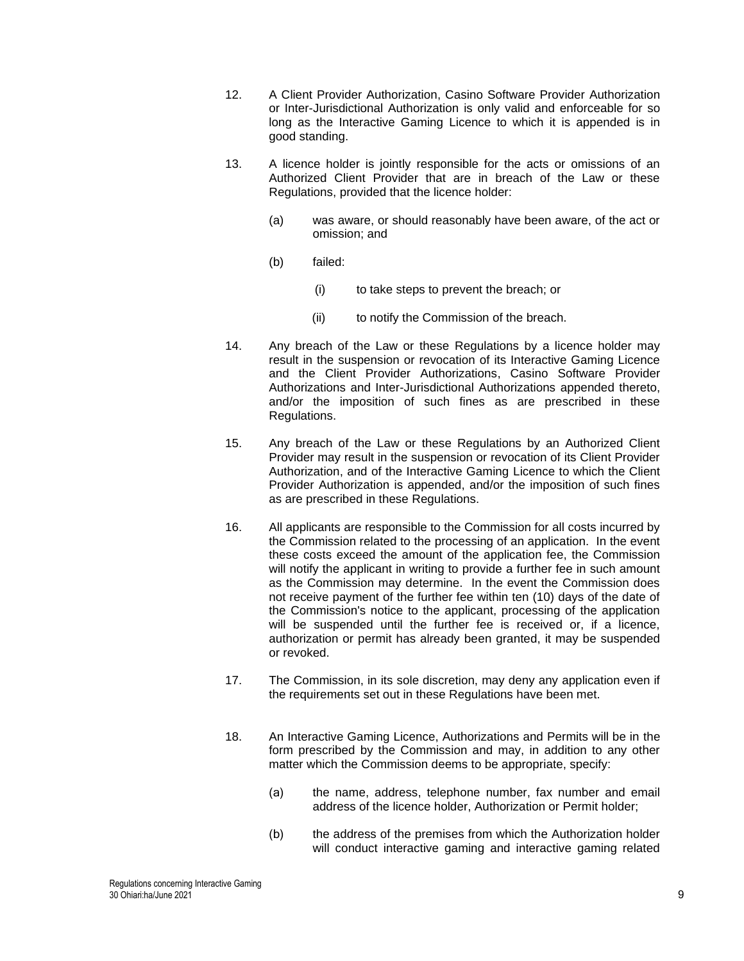- 12. A Client Provider Authorization, Casino Software Provider Authorization or Inter-Jurisdictional Authorization is only valid and enforceable for so long as the Interactive Gaming Licence to which it is appended is in good standing.
- 13. A licence holder is jointly responsible for the acts or omissions of an Authorized Client Provider that are in breach of the Law or these Regulations, provided that the licence holder:
	- (a) was aware, or should reasonably have been aware, of the act or omission; and
	- (b) failed:
		- (i) to take steps to prevent the breach; or
		- (ii) to notify the Commission of the breach.
- 14. Any breach of the Law or these Regulations by a licence holder may result in the suspension or revocation of its Interactive Gaming Licence and the Client Provider Authorizations, Casino Software Provider Authorizations and Inter-Jurisdictional Authorizations appended thereto, and/or the imposition of such fines as are prescribed in these Regulations.
- 15. Any breach of the Law or these Regulations by an Authorized Client Provider may result in the suspension or revocation of its Client Provider Authorization, and of the Interactive Gaming Licence to which the Client Provider Authorization is appended, and/or the imposition of such fines as are prescribed in these Regulations.
- 16. All applicants are responsible to the Commission for all costs incurred by the Commission related to the processing of an application. In the event these costs exceed the amount of the application fee, the Commission will notify the applicant in writing to provide a further fee in such amount as the Commission may determine. In the event the Commission does not receive payment of the further fee within ten (10) days of the date of the Commission's notice to the applicant, processing of the application will be suspended until the further fee is received or, if a licence, authorization or permit has already been granted, it may be suspended or revoked.
- 17. The Commission, in its sole discretion, may deny any application even if the requirements set out in these Regulations have been met.
- 18. An Interactive Gaming Licence, Authorizations and Permits will be in the form prescribed by the Commission and may, in addition to any other matter which the Commission deems to be appropriate, specify:
	- (a) the name, address, telephone number, fax number and email address of the licence holder, Authorization or Permit holder;
	- (b) the address of the premises from which the Authorization holder will conduct interactive gaming and interactive gaming related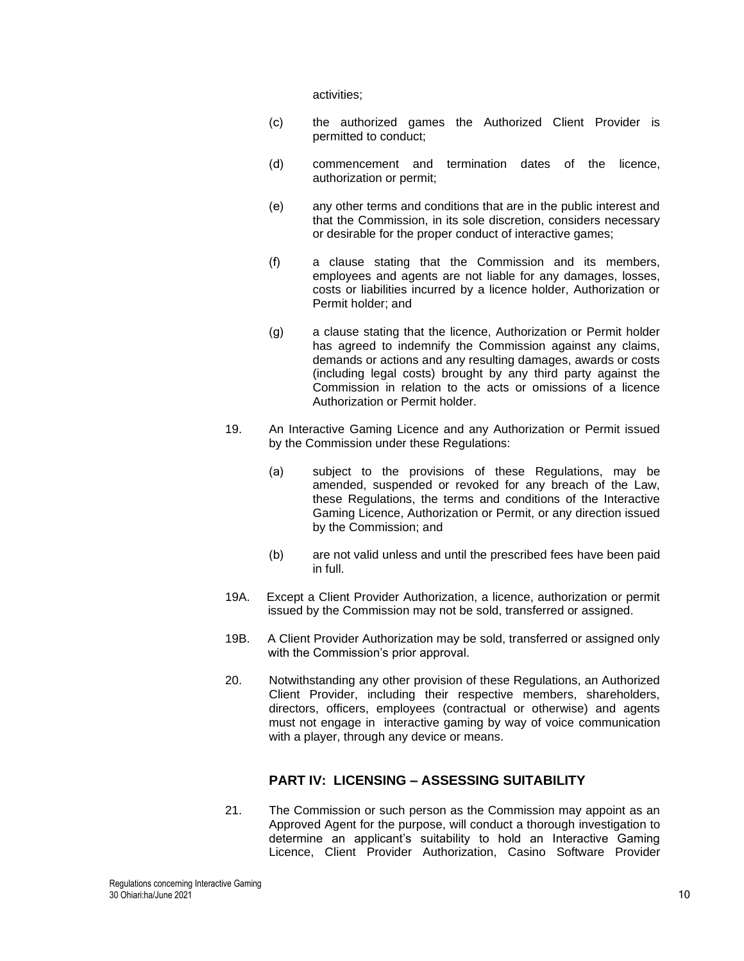activities;

- (c) the authorized games the Authorized Client Provider is permitted to conduct;
- (d) commencement and termination dates of the licence, authorization or permit;
- (e) any other terms and conditions that are in the public interest and that the Commission, in its sole discretion, considers necessary or desirable for the proper conduct of interactive games;
- (f) a clause stating that the Commission and its members, employees and agents are not liable for any damages, losses, costs or liabilities incurred by a licence holder, Authorization or Permit holder; and
- (g) a clause stating that the licence, Authorization or Permit holder has agreed to indemnify the Commission against any claims, demands or actions and any resulting damages, awards or costs (including legal costs) brought by any third party against the Commission in relation to the acts or omissions of a licence Authorization or Permit holder.
- 19. An Interactive Gaming Licence and any Authorization or Permit issued by the Commission under these Regulations:
	- (a) subject to the provisions of these Regulations, may be amended, suspended or revoked for any breach of the Law, these Regulations, the terms and conditions of the Interactive Gaming Licence, Authorization or Permit, or any direction issued by the Commission; and
	- (b) are not valid unless and until the prescribed fees have been paid in full.
- 19A. Except a Client Provider Authorization, a licence, authorization or permit issued by the Commission may not be sold, transferred or assigned.
- 19B. A Client Provider Authorization may be sold, transferred or assigned only with the Commission's prior approval.
- 20. Notwithstanding any other provision of these Regulations, an Authorized Client Provider, including their respective members, shareholders, directors, officers, employees (contractual or otherwise) and agents must not engage in interactive gaming by way of voice communication with a player, through any device or means.

# **PART IV: LICENSING – ASSESSING SUITABILITY**

21. The Commission or such person as the Commission may appoint as an Approved Agent for the purpose, will conduct a thorough investigation to determine an applicant's suitability to hold an Interactive Gaming Licence, Client Provider Authorization, Casino Software Provider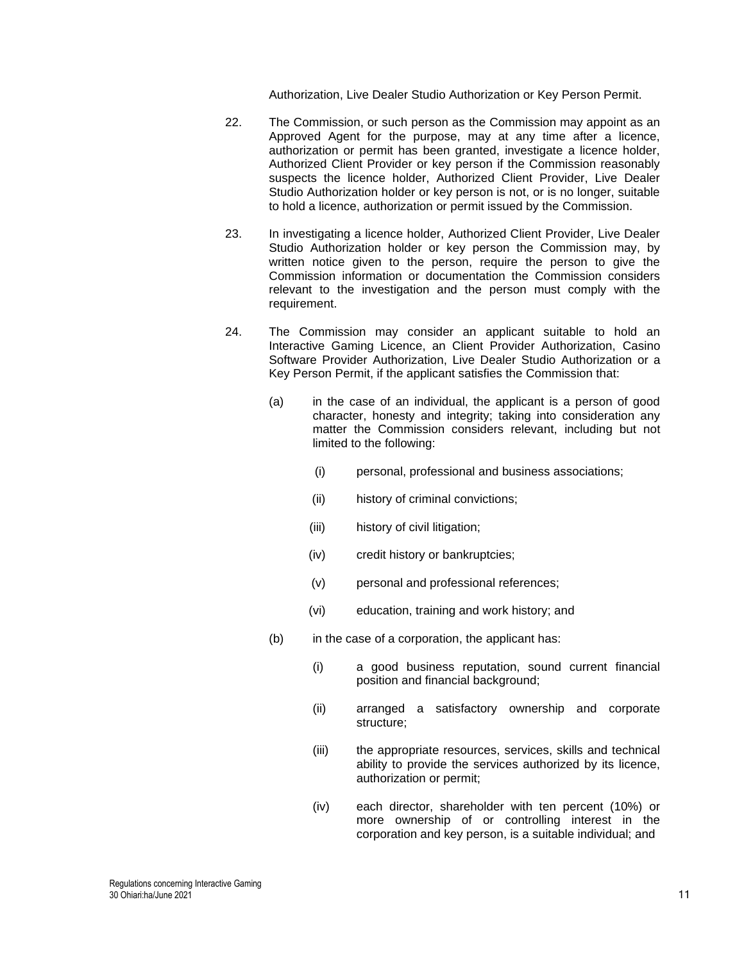Authorization, Live Dealer Studio Authorization or Key Person Permit.

- 22. The Commission, or such person as the Commission may appoint as an Approved Agent for the purpose, may at any time after a licence, authorization or permit has been granted, investigate a licence holder, Authorized Client Provider or key person if the Commission reasonably suspects the licence holder, Authorized Client Provider, Live Dealer Studio Authorization holder or key person is not, or is no longer, suitable to hold a licence, authorization or permit issued by the Commission.
- 23. In investigating a licence holder, Authorized Client Provider, Live Dealer Studio Authorization holder or key person the Commission may, by written notice given to the person, require the person to give the Commission information or documentation the Commission considers relevant to the investigation and the person must comply with the requirement.
- 24. The Commission may consider an applicant suitable to hold an Interactive Gaming Licence, an Client Provider Authorization, Casino Software Provider Authorization, Live Dealer Studio Authorization or a Key Person Permit, if the applicant satisfies the Commission that:
	- (a) in the case of an individual, the applicant is a person of good character, honesty and integrity; taking into consideration any matter the Commission considers relevant, including but not limited to the following:
		- (i) personal, professional and business associations;
		- (ii) history of criminal convictions;
		- (iii) history of civil litigation;
		- (iv) credit history or bankruptcies;
		- (v) personal and professional references;
		- (vi) education, training and work history; and
	- (b) in the case of a corporation, the applicant has:
		- (i) a good business reputation, sound current financial position and financial background;
		- (ii) arranged a satisfactory ownership and corporate structure;
		- (iii) the appropriate resources, services, skills and technical ability to provide the services authorized by its licence, authorization or permit;
		- (iv) each director, shareholder with ten percent (10%) or more ownership of or controlling interest in the corporation and key person, is a suitable individual; and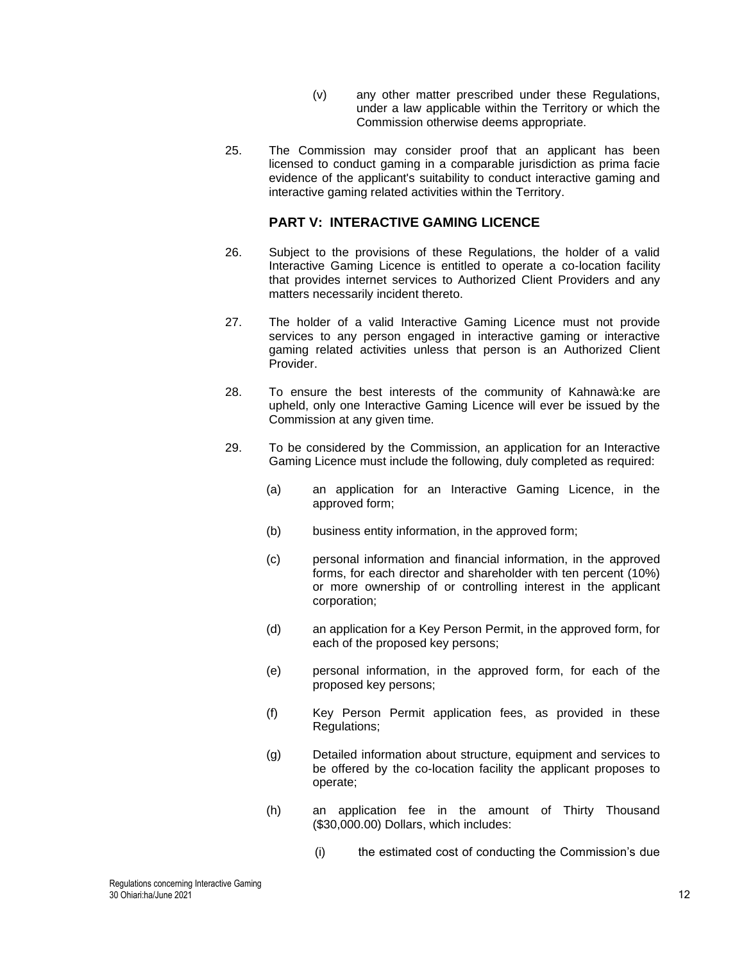- (v) any other matter prescribed under these Regulations, under a law applicable within the Territory or which the Commission otherwise deems appropriate.
- 25. The Commission may consider proof that an applicant has been licensed to conduct gaming in a comparable jurisdiction as prima facie evidence of the applicant's suitability to conduct interactive gaming and interactive gaming related activities within the Territory.

# **PART V: INTERACTIVE GAMING LICENCE**

- 26. Subject to the provisions of these Regulations, the holder of a valid Interactive Gaming Licence is entitled to operate a co-location facility that provides internet services to Authorized Client Providers and any matters necessarily incident thereto.
- 27. The holder of a valid Interactive Gaming Licence must not provide services to any person engaged in interactive gaming or interactive gaming related activities unless that person is an Authorized Client Provider.
- 28. To ensure the best interests of the community of Kahnawà:ke are upheld, only one Interactive Gaming Licence will ever be issued by the Commission at any given time.
- 29. To be considered by the Commission, an application for an Interactive Gaming Licence must include the following, duly completed as required:
	- (a) an application for an Interactive Gaming Licence, in the approved form;
	- (b) business entity information, in the approved form;
	- (c) personal information and financial information, in the approved forms, for each director and shareholder with ten percent (10%) or more ownership of or controlling interest in the applicant corporation;
	- (d) an application for a Key Person Permit, in the approved form, for each of the proposed key persons;
	- (e) personal information, in the approved form, for each of the proposed key persons;
	- (f) Key Person Permit application fees, as provided in these Regulations;
	- (g) Detailed information about structure, equipment and services to be offered by the co-location facility the applicant proposes to operate;
	- (h) an application fee in the amount of Thirty Thousand (\$30,000.00) Dollars, which includes:
		- (i) the estimated cost of conducting the Commission's due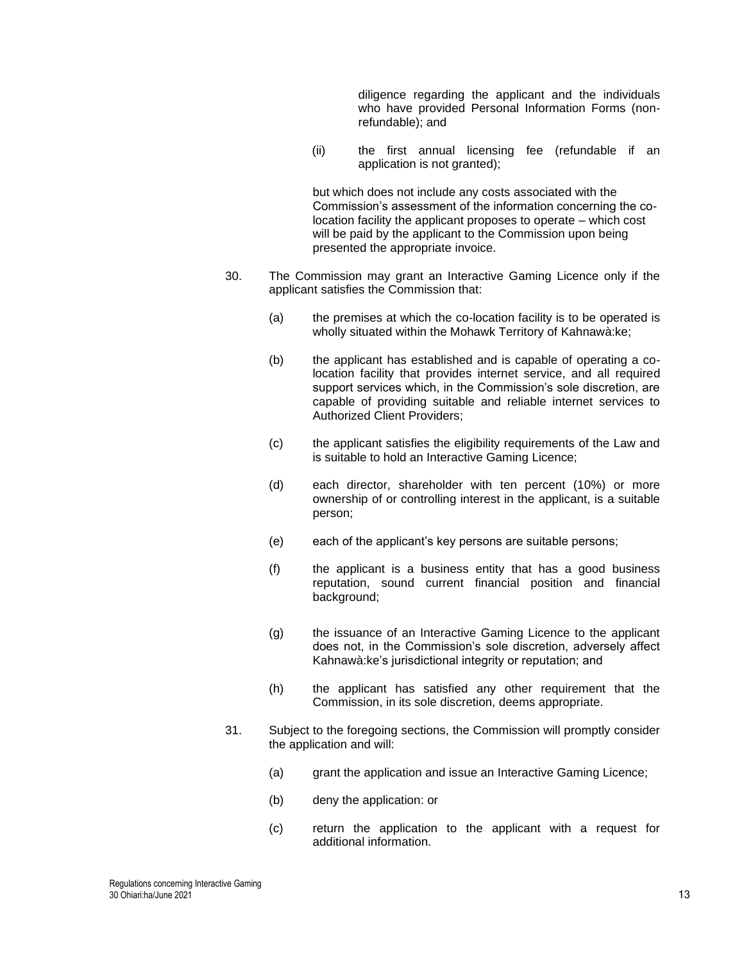diligence regarding the applicant and the individuals who have provided Personal Information Forms (nonrefundable); and

(ii) the first annual licensing fee (refundable if an application is not granted);

but which does not include any costs associated with the Commission's assessment of the information concerning the colocation facility the applicant proposes to operate – which cost will be paid by the applicant to the Commission upon being presented the appropriate invoice.

- 30. The Commission may grant an Interactive Gaming Licence only if the applicant satisfies the Commission that:
	- (a) the premises at which the co-location facility is to be operated is wholly situated within the Mohawk Territory of Kahnawà:ke;
	- (b) the applicant has established and is capable of operating a colocation facility that provides internet service, and all required support services which, in the Commission's sole discretion, are capable of providing suitable and reliable internet services to Authorized Client Providers;
	- (c) the applicant satisfies the eligibility requirements of the Law and is suitable to hold an Interactive Gaming Licence;
	- (d) each director, shareholder with ten percent (10%) or more ownership of or controlling interest in the applicant, is a suitable person;
	- (e) each of the applicant's key persons are suitable persons;
	- (f) the applicant is a business entity that has a good business reputation, sound current financial position and financial background;
	- (g) the issuance of an Interactive Gaming Licence to the applicant does not, in the Commission's sole discretion, adversely affect Kahnawà:ke's jurisdictional integrity or reputation; and
	- (h) the applicant has satisfied any other requirement that the Commission, in its sole discretion, deems appropriate.
- 31. Subject to the foregoing sections, the Commission will promptly consider the application and will:
	- (a) grant the application and issue an Interactive Gaming Licence;
	- (b) deny the application: or
	- (c) return the application to the applicant with a request for additional information.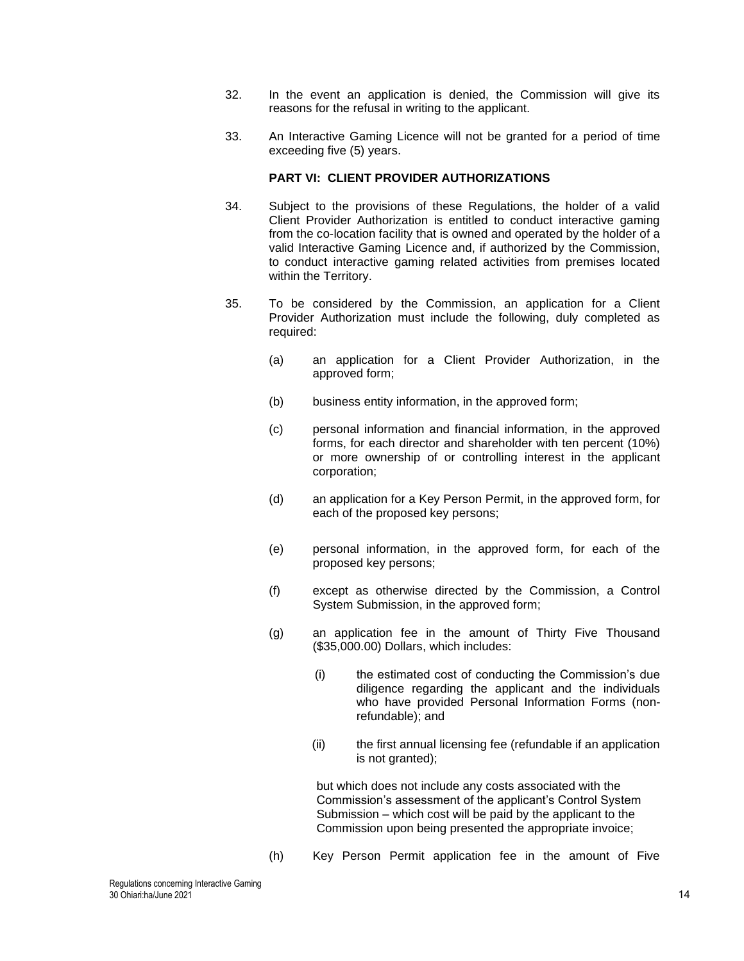- 32. In the event an application is denied, the Commission will give its reasons for the refusal in writing to the applicant.
- 33. An Interactive Gaming Licence will not be granted for a period of time exceeding five (5) years.

### **PART VI: CLIENT PROVIDER AUTHORIZATIONS**

- 34. Subject to the provisions of these Regulations, the holder of a valid Client Provider Authorization is entitled to conduct interactive gaming from the co-location facility that is owned and operated by the holder of a valid Interactive Gaming Licence and, if authorized by the Commission, to conduct interactive gaming related activities from premises located within the Territory.
- 35. To be considered by the Commission, an application for a Client Provider Authorization must include the following, duly completed as required:
	- (a) an application for a Client Provider Authorization, in the approved form;
	- (b) business entity information, in the approved form;
	- (c) personal information and financial information, in the approved forms, for each director and shareholder with ten percent (10%) or more ownership of or controlling interest in the applicant corporation;
	- (d) an application for a Key Person Permit, in the approved form, for each of the proposed key persons;
	- (e) personal information, in the approved form, for each of the proposed key persons;
	- (f) except as otherwise directed by the Commission, a Control System Submission, in the approved form;
	- (g) an application fee in the amount of Thirty Five Thousand (\$35,000.00) Dollars, which includes:
		- (i) the estimated cost of conducting the Commission's due diligence regarding the applicant and the individuals who have provided Personal Information Forms (nonrefundable); and
		- (ii) the first annual licensing fee (refundable if an application is not granted);

but which does not include any costs associated with the Commission's assessment of the applicant's Control System Submission – which cost will be paid by the applicant to the Commission upon being presented the appropriate invoice;

(h) Key Person Permit application fee in the amount of Five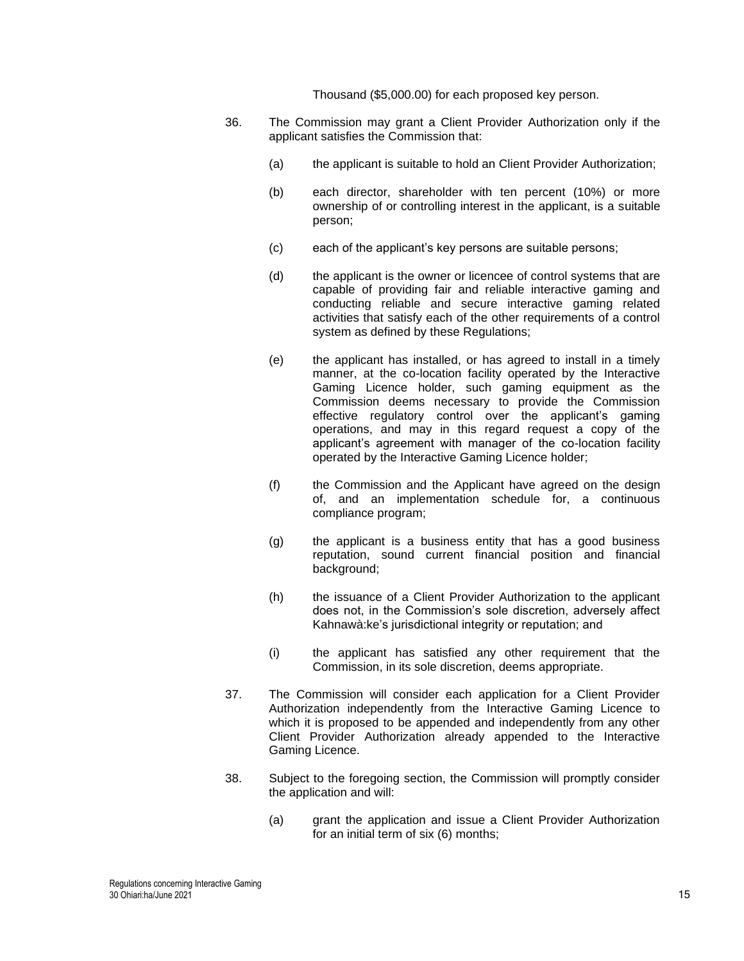Thousand (\$5,000.00) for each proposed key person.

- 36. The Commission may grant a Client Provider Authorization only if the applicant satisfies the Commission that:
	- (a) the applicant is suitable to hold an Client Provider Authorization;
	- (b) each director, shareholder with ten percent (10%) or more ownership of or controlling interest in the applicant, is a suitable person;
	- (c) each of the applicant's key persons are suitable persons;
	- (d) the applicant is the owner or licencee of control systems that are capable of providing fair and reliable interactive gaming and conducting reliable and secure interactive gaming related activities that satisfy each of the other requirements of a control system as defined by these Regulations;
	- (e) the applicant has installed, or has agreed to install in a timely manner, at the co-location facility operated by the Interactive Gaming Licence holder, such gaming equipment as the Commission deems necessary to provide the Commission effective regulatory control over the applicant's gaming operations, and may in this regard request a copy of the applicant's agreement with manager of the co-location facility operated by the Interactive Gaming Licence holder;
	- (f) the Commission and the Applicant have agreed on the design of, and an implementation schedule for, a continuous compliance program;
	- (g) the applicant is a business entity that has a good business reputation, sound current financial position and financial background;
	- (h) the issuance of a Client Provider Authorization to the applicant does not, in the Commission's sole discretion, adversely affect Kahnawà:ke's jurisdictional integrity or reputation; and
	- (i) the applicant has satisfied any other requirement that the Commission, in its sole discretion, deems appropriate.
- 37. The Commission will consider each application for a Client Provider Authorization independently from the Interactive Gaming Licence to which it is proposed to be appended and independently from any other Client Provider Authorization already appended to the Interactive Gaming Licence.
- 38. Subject to the foregoing section, the Commission will promptly consider the application and will:
	- (a) grant the application and issue a Client Provider Authorization for an initial term of six (6) months;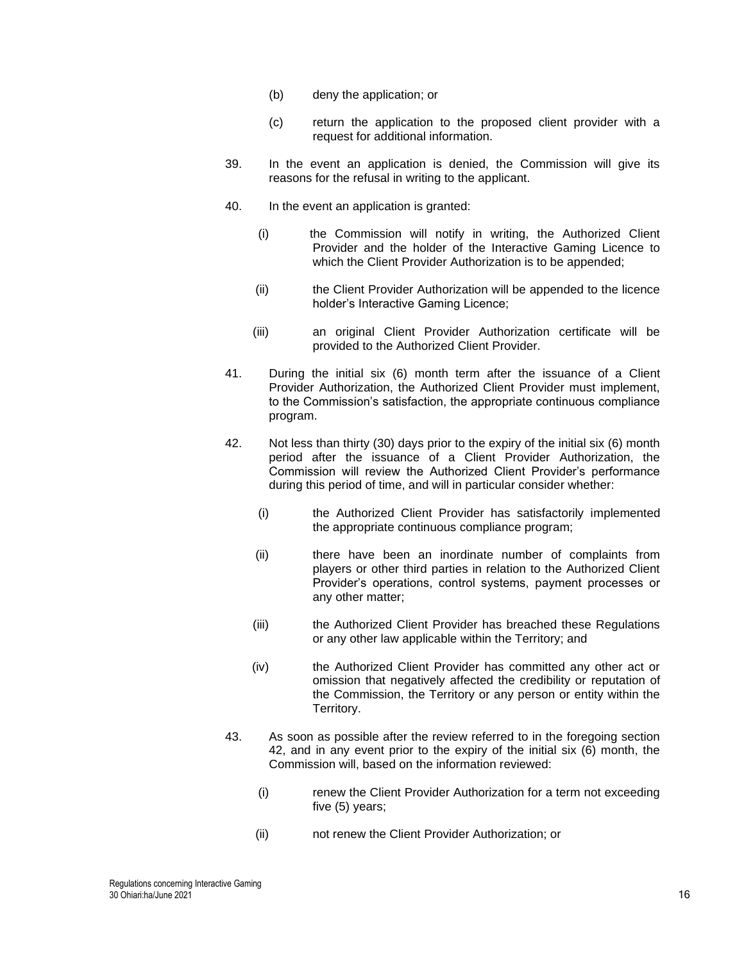- (b) deny the application; or
- (c) return the application to the proposed client provider with a request for additional information.
- 39. In the event an application is denied, the Commission will give its reasons for the refusal in writing to the applicant.
- 40. In the event an application is granted:
	- (i) the Commission will notify in writing, the Authorized Client Provider and the holder of the Interactive Gaming Licence to which the Client Provider Authorization is to be appended;
	- (ii) the Client Provider Authorization will be appended to the licence holder's Interactive Gaming Licence;
	- (iii) an original Client Provider Authorization certificate will be provided to the Authorized Client Provider.
- <span id="page-15-2"></span>41. During the initial six (6) month term after the issuance of a Client Provider Authorization, the Authorized Client Provider must implement, to the Commission's satisfaction, the appropriate continuous compliance program.
- <span id="page-15-0"></span>42. Not less than thirty (30) days prior to the expiry of the initial six (6) month period after the issuance of a Client Provider Authorization, the Commission will review the Authorized Client Provider's performance during this period of time, and will in particular consider whether:
	- (i) the Authorized Client Provider has satisfactorily implemented the appropriate continuous compliance program;
	- (ii) there have been an inordinate number of complaints from players or other third parties in relation to the Authorized Client Provider's operations, control systems, payment processes or any other matter;
	- (iii) the Authorized Client Provider has breached these Regulations or any other law applicable within the Territory; and
	- (iv) the Authorized Client Provider has committed any other act or omission that negatively affected the credibility or reputation of the Commission, the Territory or any person or entity within the Territory.
- <span id="page-15-1"></span>43. As soon as possible after the review referred to in the foregoing section [42,](#page-15-0) and in any event prior to the expiry of the initial six (6) month, the Commission will, based on the information reviewed:
	- (i) renew the Client Provider Authorization for a term not exceeding five (5) years;
	- (ii) not renew the Client Provider Authorization; or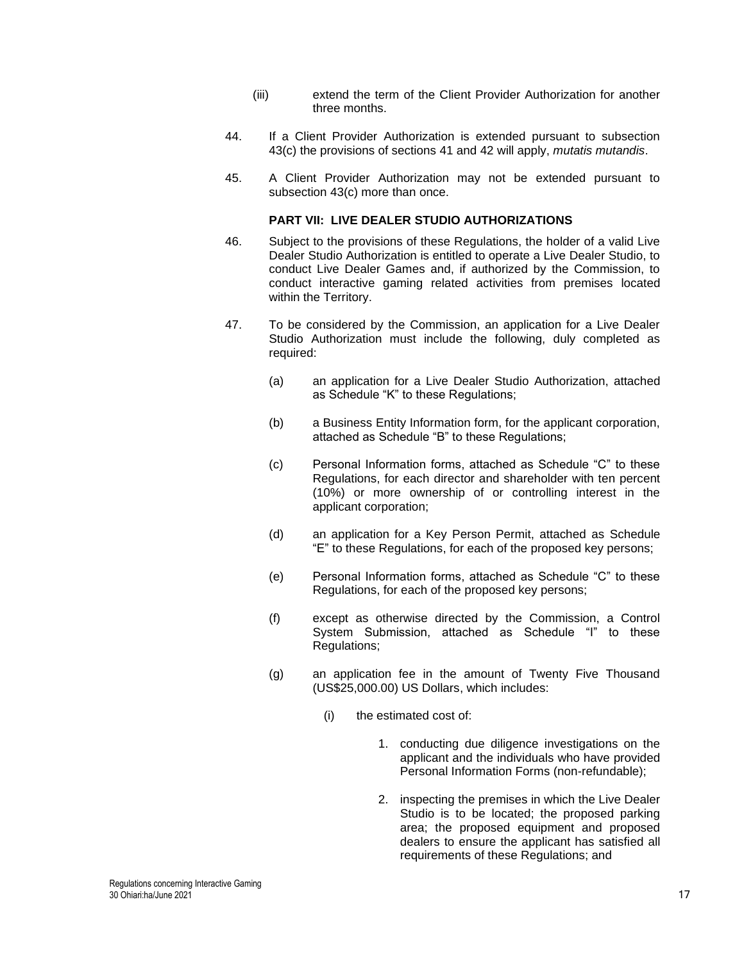- (iii) extend the term of the Client Provider Authorization for another three months.
- 44. If a Client Provider Authorization is extended pursuant to subsection [43\(](#page-15-1)c) the provisions of sections [41](#page-15-2) and [42](#page-15-0) will apply, *mutatis mutandis*.
- 45. A Client Provider Authorization may not be extended pursuant to subsection [43\(](#page-15-1)c) more than once.

### **PART VII: LIVE DEALER STUDIO AUTHORIZATIONS**

- 46. Subject to the provisions of these Regulations, the holder of a valid Live Dealer Studio Authorization is entitled to operate a Live Dealer Studio, to conduct Live Dealer Games and, if authorized by the Commission, to conduct interactive gaming related activities from premises located within the Territory.
- <span id="page-16-0"></span>47. To be considered by the Commission, an application for a Live Dealer Studio Authorization must include the following, duly completed as required:
	- (a) an application for a Live Dealer Studio Authorization, attached as Schedule "K" to these Regulations;
	- (b) a Business Entity Information form, for the applicant corporation, attached as Schedule "B" to these Regulations;
	- (c) Personal Information forms, attached as Schedule "C" to these Regulations, for each director and shareholder with ten percent (10%) or more ownership of or controlling interest in the applicant corporation;
	- (d) an application for a Key Person Permit, attached as Schedule "E" to these Regulations, for each of the proposed key persons;
	- (e) Personal Information forms, attached as Schedule "C" to these Regulations, for each of the proposed key persons;
	- (f) except as otherwise directed by the Commission, a Control System Submission, attached as Schedule "I" to these Regulations;
	- (g) an application fee in the amount of Twenty Five Thousand (US\$25,000.00) US Dollars, which includes:
		- (i) the estimated cost of:
			- 1. conducting due diligence investigations on the applicant and the individuals who have provided Personal Information Forms (non-refundable);
			- 2. inspecting the premises in which the Live Dealer Studio is to be located; the proposed parking area; the proposed equipment and proposed dealers to ensure the applicant has satisfied all requirements of these Regulations; and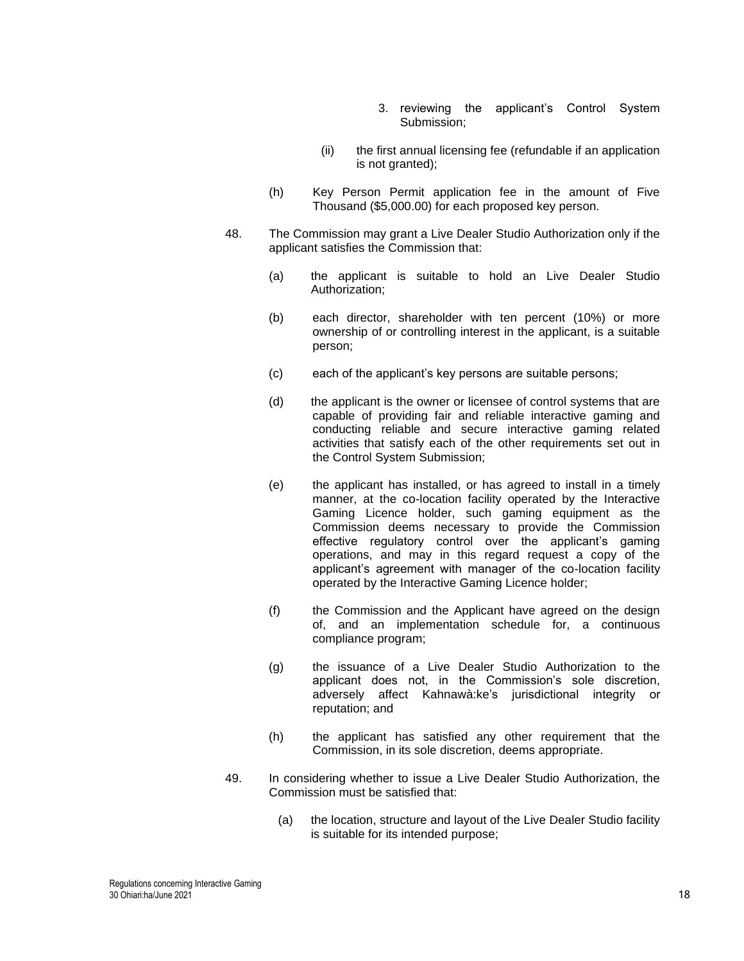- 3. reviewing the applicant's Control System Submission;
- (ii) the first annual licensing fee (refundable if an application is not granted);
- (h) Key Person Permit application fee in the amount of Five Thousand (\$5,000.00) for each proposed key person.
- 48. The Commission may grant a Live Dealer Studio Authorization only if the applicant satisfies the Commission that:
	- (a) the applicant is suitable to hold an Live Dealer Studio Authorization;
	- (b) each director, shareholder with ten percent (10%) or more ownership of or controlling interest in the applicant, is a suitable person;
	- (c) each of the applicant's key persons are suitable persons;
	- (d) the applicant is the owner or licensee of control systems that are capable of providing fair and reliable interactive gaming and conducting reliable and secure interactive gaming related activities that satisfy each of the other requirements set out in the Control System Submission;
	- (e) the applicant has installed, or has agreed to install in a timely manner, at the co-location facility operated by the Interactive Gaming Licence holder, such gaming equipment as the Commission deems necessary to provide the Commission effective regulatory control over the applicant's gaming operations, and may in this regard request a copy of the applicant's agreement with manager of the co-location facility operated by the Interactive Gaming Licence holder;
	- (f) the Commission and the Applicant have agreed on the design of, and an implementation schedule for, a continuous compliance program;
	- (g) the issuance of a Live Dealer Studio Authorization to the applicant does not, in the Commission's sole discretion, adversely affect Kahnawà:ke's jurisdictional integrity or reputation; and
	- (h) the applicant has satisfied any other requirement that the Commission, in its sole discretion, deems appropriate.
- 49. In considering whether to issue a Live Dealer Studio Authorization, the Commission must be satisfied that:
	- (a) the location, structure and layout of the Live Dealer Studio facility is suitable for its intended purpose;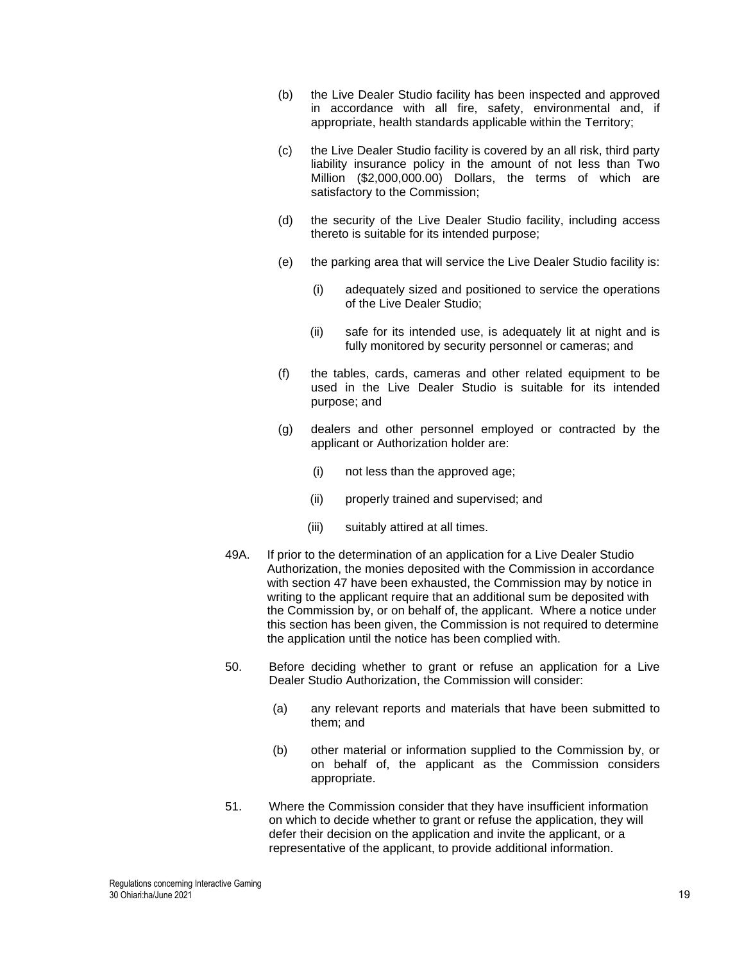- (b) the Live Dealer Studio facility has been inspected and approved in accordance with all fire, safety, environmental and, if appropriate, health standards applicable within the Territory;
- (c) the Live Dealer Studio facility is covered by an all risk, third party liability insurance policy in the amount of not less than Two Million (\$2,000,000.00) Dollars, the terms of which are satisfactory to the Commission;
- (d) the security of the Live Dealer Studio facility, including access thereto is suitable for its intended purpose;
- (e) the parking area that will service the Live Dealer Studio facility is:
	- (i) adequately sized and positioned to service the operations of the Live Dealer Studio;
	- (ii) safe for its intended use, is adequately lit at night and is fully monitored by security personnel or cameras; and
- (f) the tables, cards, cameras and other related equipment to be used in the Live Dealer Studio is suitable for its intended purpose; and
- (g) dealers and other personnel employed or contracted by the applicant or Authorization holder are:
	- (i) not less than the approved age;
	- (ii) properly trained and supervised; and
	- (iii) suitably attired at all times.
- 49A. If prior to the determination of an application for a Live Dealer Studio Authorization, the monies deposited with the Commission in accordance with section [47](#page-16-0) have been exhausted, the Commission may by notice in writing to the applicant require that an additional sum be deposited with the Commission by, or on behalf of, the applicant. Where a notice under this section has been given, the Commission is not required to determine the application until the notice has been complied with.
- 50. Before deciding whether to grant or refuse an application for a Live Dealer Studio Authorization, the Commission will consider:
	- (a) any relevant reports and materials that have been submitted to them; and
	- (b) other material or information supplied to the Commission by, or on behalf of, the applicant as the Commission considers appropriate.
- 51. Where the Commission consider that they have insufficient information on which to decide whether to grant or refuse the application, they will defer their decision on the application and invite the applicant, or a representative of the applicant, to provide additional information.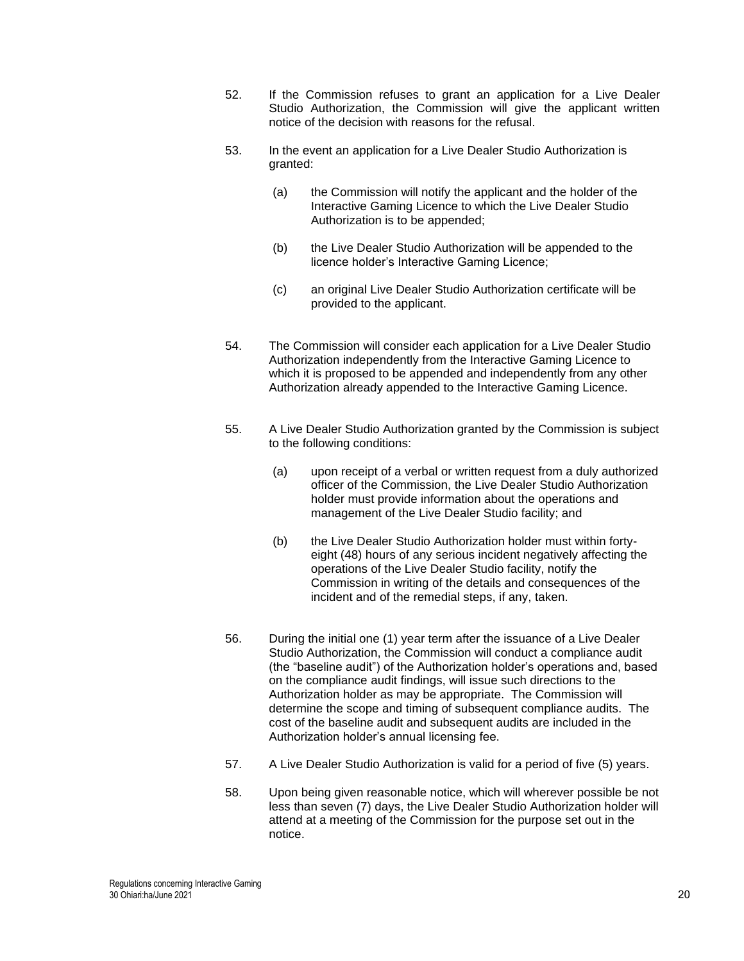- 52. If the Commission refuses to grant an application for a Live Dealer Studio Authorization, the Commission will give the applicant written notice of the decision with reasons for the refusal.
- 53. In the event an application for a Live Dealer Studio Authorization is granted:
	- (a) the Commission will notify the applicant and the holder of the Interactive Gaming Licence to which the Live Dealer Studio Authorization is to be appended;
	- (b) the Live Dealer Studio Authorization will be appended to the licence holder's Interactive Gaming Licence;
	- (c) an original Live Dealer Studio Authorization certificate will be provided to the applicant.
- 54. The Commission will consider each application for a Live Dealer Studio Authorization independently from the Interactive Gaming Licence to which it is proposed to be appended and independently from any other Authorization already appended to the Interactive Gaming Licence.
- 55. A Live Dealer Studio Authorization granted by the Commission is subject to the following conditions:
	- (a) upon receipt of a verbal or written request from a duly authorized officer of the Commission, the Live Dealer Studio Authorization holder must provide information about the operations and management of the Live Dealer Studio facility; and
	- (b) the Live Dealer Studio Authorization holder must within fortyeight (48) hours of any serious incident negatively affecting the operations of the Live Dealer Studio facility, notify the Commission in writing of the details and consequences of the incident and of the remedial steps, if any, taken.
- 56. During the initial one (1) year term after the issuance of a Live Dealer Studio Authorization, the Commission will conduct a compliance audit (the "baseline audit") of the Authorization holder's operations and, based on the compliance audit findings, will issue such directions to the Authorization holder as may be appropriate. The Commission will determine the scope and timing of subsequent compliance audits. The cost of the baseline audit and subsequent audits are included in the Authorization holder's annual licensing fee.
- 57. A Live Dealer Studio Authorization is valid for a period of five (5) years.
- 58. Upon being given reasonable notice, which will wherever possible be not less than seven (7) days, the Live Dealer Studio Authorization holder will attend at a meeting of the Commission for the purpose set out in the notice.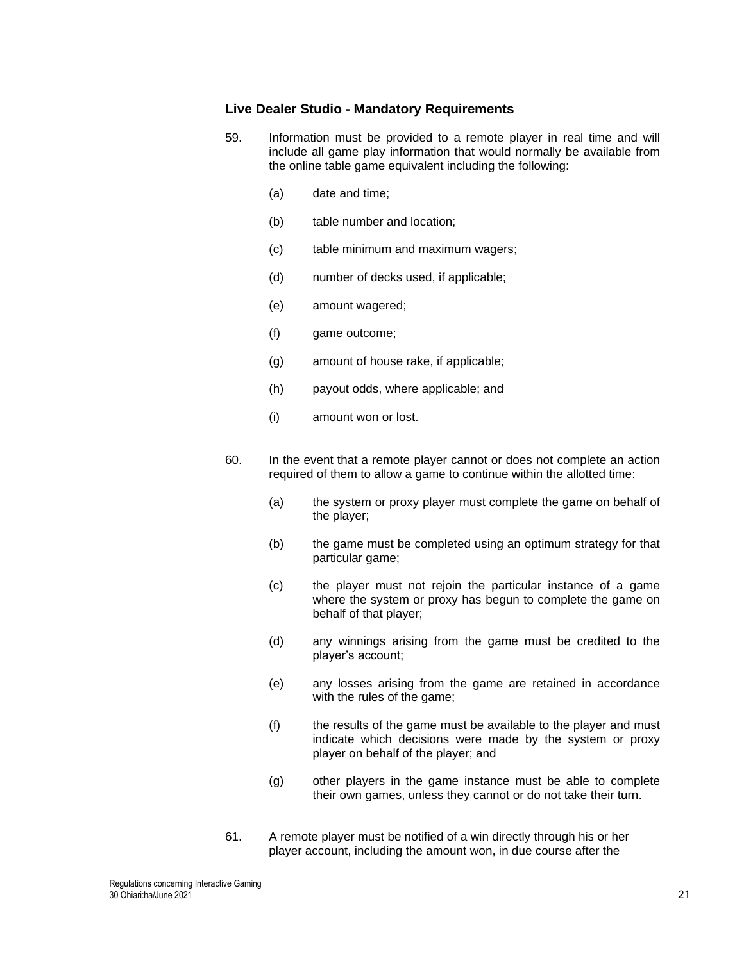### **Live Dealer Studio - Mandatory Requirements**

- 59. Information must be provided to a remote player in real time and will include all game play information that would normally be available from the online table game equivalent including the following:
	- (a) date and time;
	- (b) table number and location;
	- (c) table minimum and maximum wagers;
	- (d) number of decks used, if applicable;
	- (e) amount wagered;
	- (f) game outcome;
	- (g) amount of house rake, if applicable;
	- (h) payout odds, where applicable; and
	- (i) amount won or lost.
- 60. In the event that a remote player cannot or does not complete an action required of them to allow a game to continue within the allotted time:
	- (a) the system or proxy player must complete the game on behalf of the player;
	- (b) the game must be completed using an optimum strategy for that particular game;
	- (c) the player must not rejoin the particular instance of a game where the system or proxy has begun to complete the game on behalf of that player;
	- (d) any winnings arising from the game must be credited to the player's account;
	- (e) any losses arising from the game are retained in accordance with the rules of the game;
	- (f) the results of the game must be available to the player and must indicate which decisions were made by the system or proxy player on behalf of the player; and
	- (g) other players in the game instance must be able to complete their own games, unless they cannot or do not take their turn.
- 61. A remote player must be notified of a win directly through his or her player account, including the amount won, in due course after the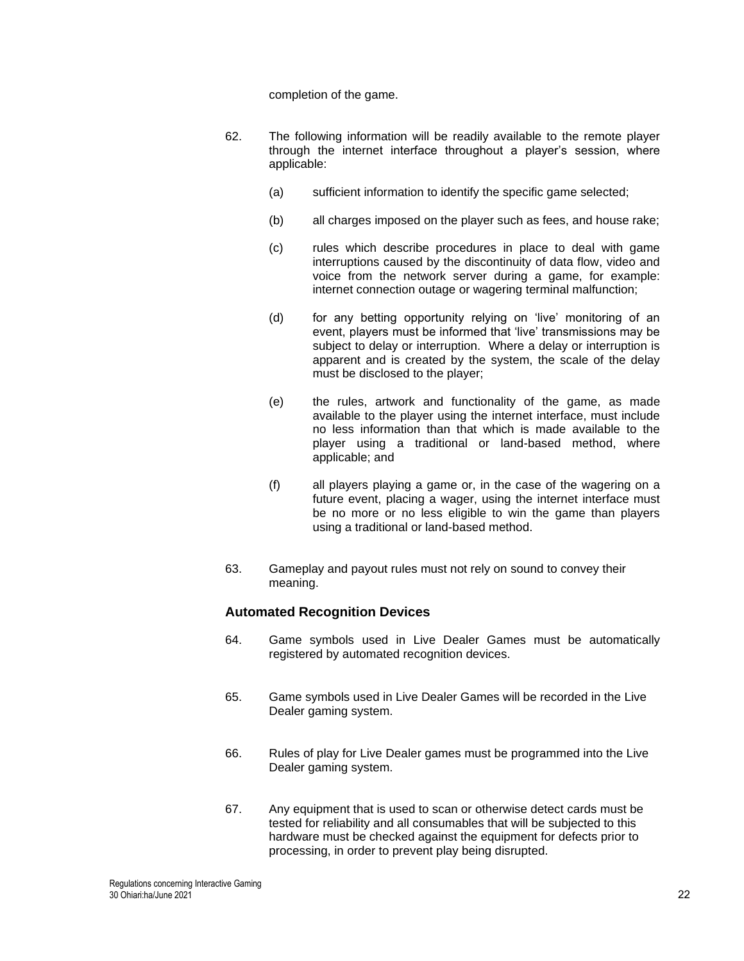completion of the game.

- 62. The following information will be readily available to the remote player through the internet interface throughout a player's session, where applicable:
	- (a) sufficient information to identify the specific game selected;
	- (b) all charges imposed on the player such as fees, and house rake;
	- (c) rules which describe procedures in place to deal with game interruptions caused by the discontinuity of data flow, video and voice from the network server during a game, for example: internet connection outage or wagering terminal malfunction;
	- (d) for any betting opportunity relying on 'live' monitoring of an event, players must be informed that 'live' transmissions may be subject to delay or interruption. Where a delay or interruption is apparent and is created by the system, the scale of the delay must be disclosed to the player;
	- (e) the rules, artwork and functionality of the game, as made available to the player using the internet interface, must include no less information than that which is made available to the player using a traditional or land-based method, where applicable; and
	- (f) all players playing a game or, in the case of the wagering on a future event, placing a wager, using the internet interface must be no more or no less eligible to win the game than players using a traditional or land-based method.
- 63. Gameplay and payout rules must not rely on sound to convey their meaning.

# **Automated Recognition Devices**

- 64. Game symbols used in Live Dealer Games must be automatically registered by automated recognition devices.
- 65. Game symbols used in Live Dealer Games will be recorded in the Live Dealer gaming system.
- 66. Rules of play for Live Dealer games must be programmed into the Live Dealer gaming system.
- <span id="page-21-0"></span>67. Any equipment that is used to scan or otherwise detect cards must be tested for reliability and all consumables that will be subjected to this hardware must be checked against the equipment for defects prior to processing, in order to prevent play being disrupted.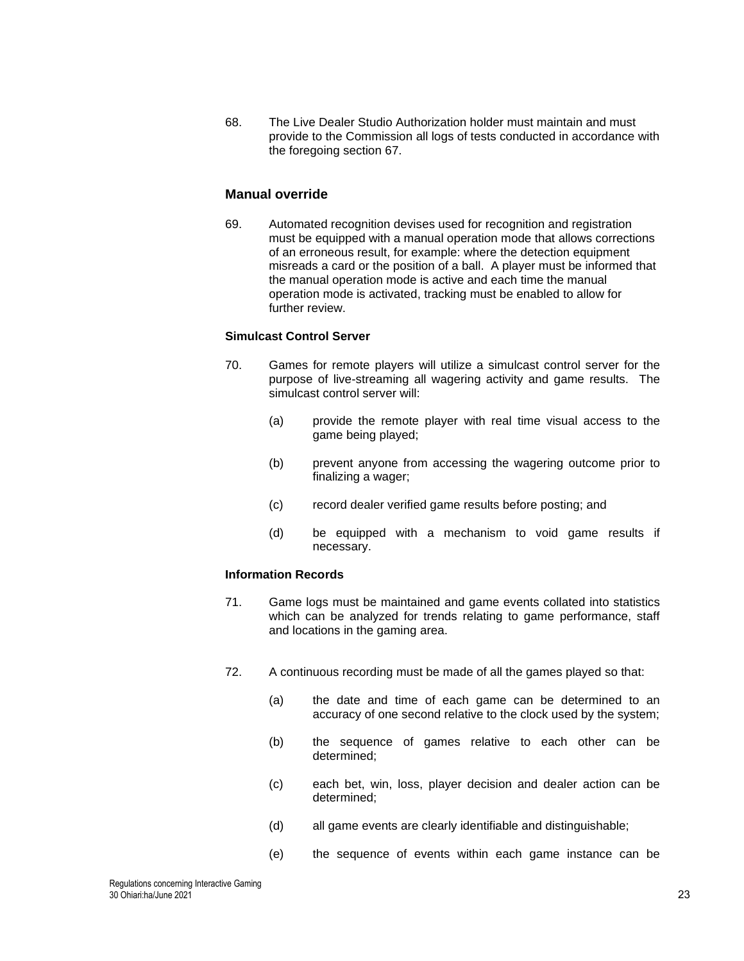68. The Live Dealer Studio Authorization holder must maintain and must provide to the Commission all logs of tests conducted in accordance with the foregoing section [67.](#page-21-0)

# **Manual override**

69. Automated recognition devises used for recognition and registration must be equipped with a manual operation mode that allows corrections of an erroneous result, for example: where the detection equipment misreads a card or the position of a ball. A player must be informed that the manual operation mode is active and each time the manual operation mode is activated, tracking must be enabled to allow for further review.

### **Simulcast Control Server**

- 70. Games for remote players will utilize a simulcast control server for the purpose of live-streaming all wagering activity and game results. The simulcast control server will:
	- (a) provide the remote player with real time visual access to the game being played;
	- (b) prevent anyone from accessing the wagering outcome prior to finalizing a wager;
	- (c) record dealer verified game results before posting; and
	- (d) be equipped with a mechanism to void game results if necessary.

# **Information Records**

- 71. Game logs must be maintained and game events collated into statistics which can be analyzed for trends relating to game performance, staff and locations in the gaming area.
- <span id="page-22-0"></span>72. A continuous recording must be made of all the games played so that:
	- (a) the date and time of each game can be determined to an accuracy of one second relative to the clock used by the system;
	- (b) the sequence of games relative to each other can be determined;
	- (c) each bet, win, loss, player decision and dealer action can be determined;
	- (d) all game events are clearly identifiable and distinguishable;
	- (e) the sequence of events within each game instance can be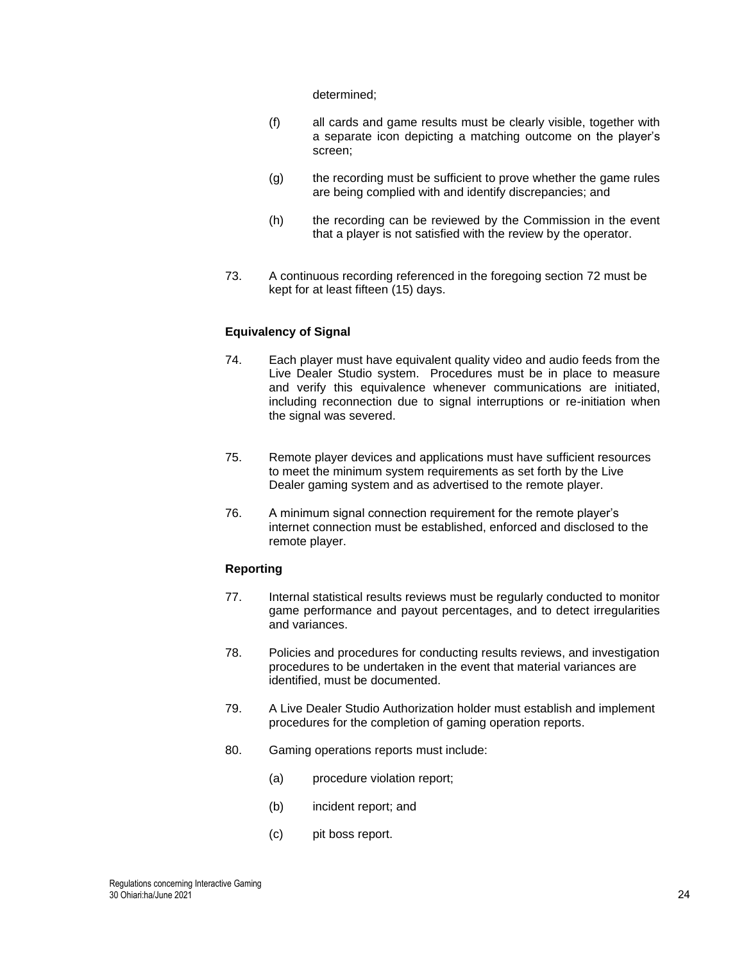determined;

- (f) all cards and game results must be clearly visible, together with a separate icon depicting a matching outcome on the player's screen;
- (g) the recording must be sufficient to prove whether the game rules are being complied with and identify discrepancies; and
- (h) the recording can be reviewed by the Commission in the event that a player is not satisfied with the review by the operator.
- 73. A continuous recording referenced in the foregoing section [72](#page-22-0) must be kept for at least fifteen (15) days.

#### **Equivalency of Signal**

- 74. Each player must have equivalent quality video and audio feeds from the Live Dealer Studio system. Procedures must be in place to measure and verify this equivalence whenever communications are initiated, including reconnection due to signal interruptions or re-initiation when the signal was severed.
- 75. Remote player devices and applications must have sufficient resources to meet the minimum system requirements as set forth by the Live Dealer gaming system and as advertised to the remote player.
- 76. A minimum signal connection requirement for the remote player's internet connection must be established, enforced and disclosed to the remote player.

#### **Reporting**

- 77. Internal statistical results reviews must be regularly conducted to monitor game performance and payout percentages, and to detect irregularities and variances.
- 78. Policies and procedures for conducting results reviews, and investigation procedures to be undertaken in the event that material variances are identified, must be documented.
- 79. A Live Dealer Studio Authorization holder must establish and implement procedures for the completion of gaming operation reports.
- 80. Gaming operations reports must include:
	- (a) procedure violation report;
	- (b) incident report; and
	- (c) pit boss report.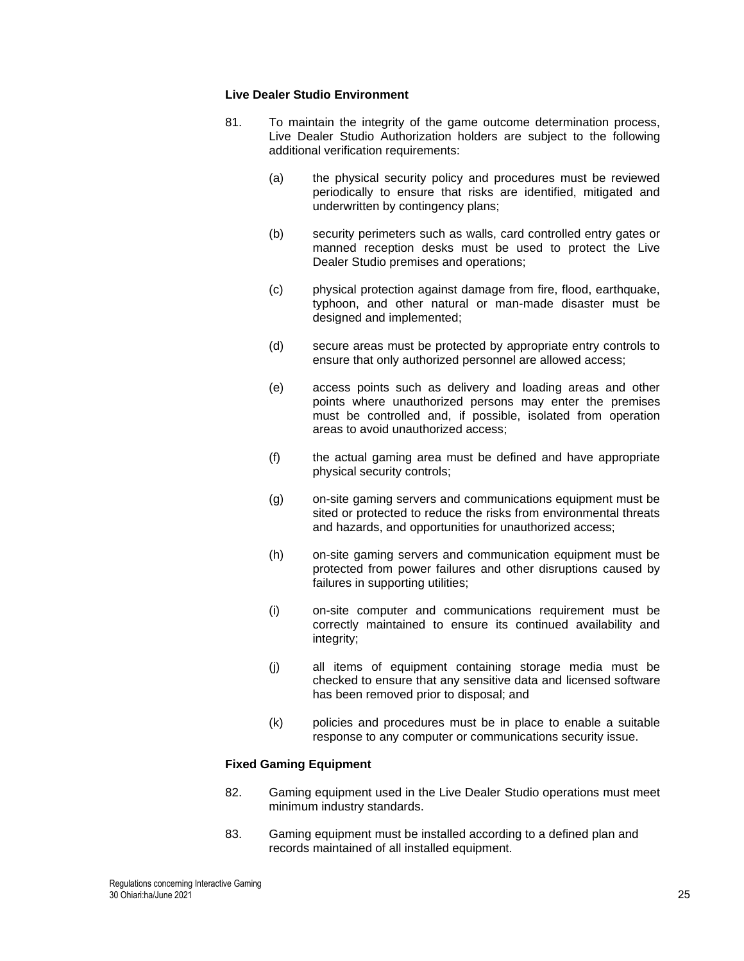### **Live Dealer Studio Environment**

- 81. To maintain the integrity of the game outcome determination process, Live Dealer Studio Authorization holders are subject to the following additional verification requirements:
	- (a) the physical security policy and procedures must be reviewed periodically to ensure that risks are identified, mitigated and underwritten by contingency plans;
	- (b) security perimeters such as walls, card controlled entry gates or manned reception desks must be used to protect the Live Dealer Studio premises and operations;
	- (c) physical protection against damage from fire, flood, earthquake, typhoon, and other natural or man-made disaster must be designed and implemented;
	- (d) secure areas must be protected by appropriate entry controls to ensure that only authorized personnel are allowed access;
	- (e) access points such as delivery and loading areas and other points where unauthorized persons may enter the premises must be controlled and, if possible, isolated from operation areas to avoid unauthorized access;
	- (f) the actual gaming area must be defined and have appropriate physical security controls;
	- (g) on-site gaming servers and communications equipment must be sited or protected to reduce the risks from environmental threats and hazards, and opportunities for unauthorized access;
	- (h) on-site gaming servers and communication equipment must be protected from power failures and other disruptions caused by failures in supporting utilities;
	- (i) on-site computer and communications requirement must be correctly maintained to ensure its continued availability and integrity;
	- (j) all items of equipment containing storage media must be checked to ensure that any sensitive data and licensed software has been removed prior to disposal; and
	- (k) policies and procedures must be in place to enable a suitable response to any computer or communications security issue.

### **Fixed Gaming Equipment**

- 82. Gaming equipment used in the Live Dealer Studio operations must meet minimum industry standards.
- 83. Gaming equipment must be installed according to a defined plan and records maintained of all installed equipment.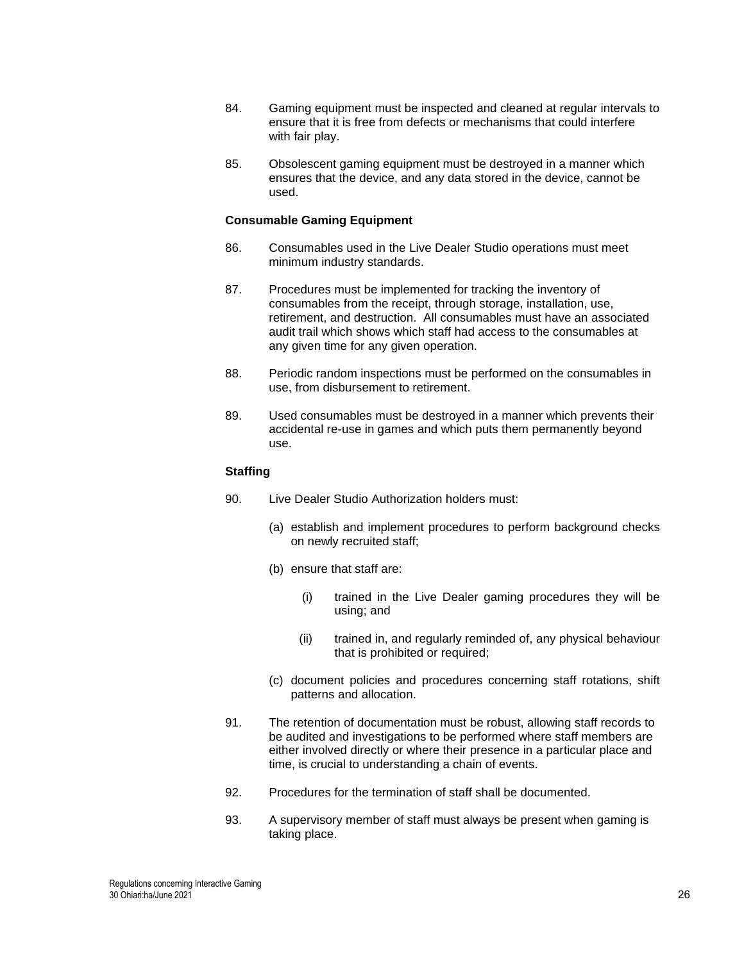- 84. Gaming equipment must be inspected and cleaned at regular intervals to ensure that it is free from defects or mechanisms that could interfere with fair play.
- 85. Obsolescent gaming equipment must be destroyed in a manner which ensures that the device, and any data stored in the device, cannot be used.

### **Consumable Gaming Equipment**

- 86. Consumables used in the Live Dealer Studio operations must meet minimum industry standards.
- 87. Procedures must be implemented for tracking the inventory of consumables from the receipt, through storage, installation, use, retirement, and destruction. All consumables must have an associated audit trail which shows which staff had access to the consumables at any given time for any given operation.
- 88. Periodic random inspections must be performed on the consumables in use, from disbursement to retirement.
- 89. Used consumables must be destroyed in a manner which prevents their accidental re-use in games and which puts them permanently beyond use.

### **Staffing**

- 90. Live Dealer Studio Authorization holders must:
	- (a) establish and implement procedures to perform background checks on newly recruited staff;
	- (b) ensure that staff are:
		- (i) trained in the Live Dealer gaming procedures they will be using; and
		- (ii) trained in, and regularly reminded of, any physical behaviour that is prohibited or required;
	- (c) document policies and procedures concerning staff rotations, shift patterns and allocation.
- 91. The retention of documentation must be robust, allowing staff records to be audited and investigations to be performed where staff members are either involved directly or where their presence in a particular place and time, is crucial to understanding a chain of events.
- 92. Procedures for the termination of staff shall be documented.
- 93. A supervisory member of staff must always be present when gaming is taking place.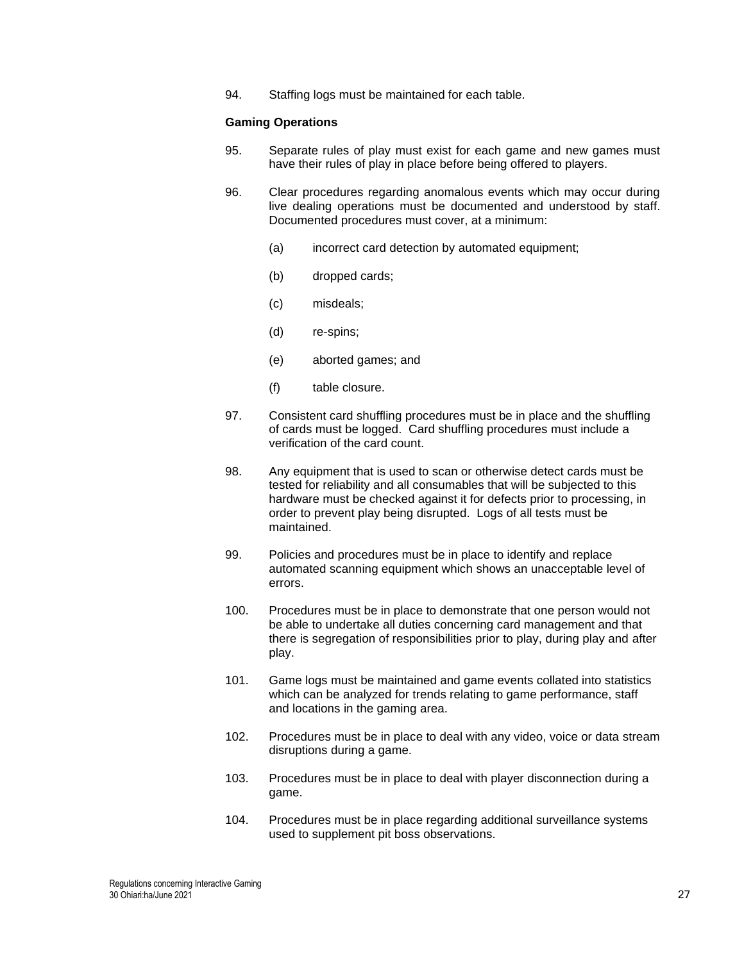94. Staffing logs must be maintained for each table.

#### **Gaming Operations**

- 95. Separate rules of play must exist for each game and new games must have their rules of play in place before being offered to players.
- 96. Clear procedures regarding anomalous events which may occur during live dealing operations must be documented and understood by staff. Documented procedures must cover, at a minimum:
	- (a) incorrect card detection by automated equipment;
	- (b) dropped cards;
	- (c) misdeals;
	- (d) re-spins;
	- (e) aborted games; and
	- (f) table closure.
- 97. Consistent card shuffling procedures must be in place and the shuffling of cards must be logged. Card shuffling procedures must include a verification of the card count.
- 98. Any equipment that is used to scan or otherwise detect cards must be tested for reliability and all consumables that will be subjected to this hardware must be checked against it for defects prior to processing, in order to prevent play being disrupted. Logs of all tests must be maintained.
- 99. Policies and procedures must be in place to identify and replace automated scanning equipment which shows an unacceptable level of errors.
- 100. Procedures must be in place to demonstrate that one person would not be able to undertake all duties concerning card management and that there is segregation of responsibilities prior to play, during play and after play.
- 101. Game logs must be maintained and game events collated into statistics which can be analyzed for trends relating to game performance, staff and locations in the gaming area.
- 102. Procedures must be in place to deal with any video, voice or data stream disruptions during a game.
- 103. Procedures must be in place to deal with player disconnection during a game.
- 104. Procedures must be in place regarding additional surveillance systems used to supplement pit boss observations.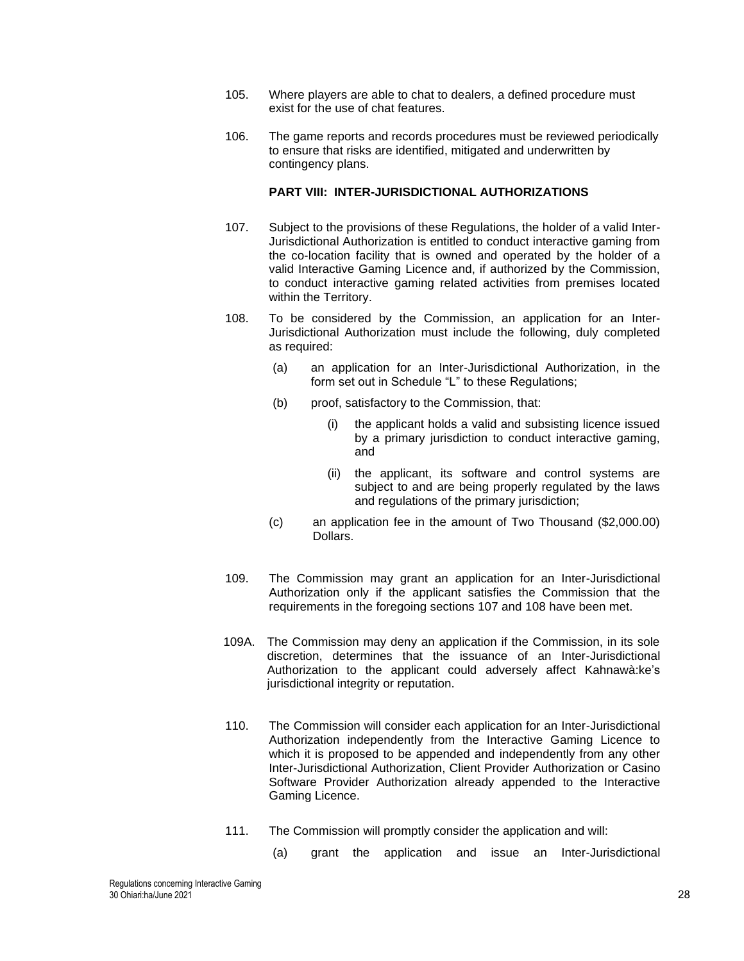- 105. Where players are able to chat to dealers, a defined procedure must exist for the use of chat features.
- 106. The game reports and records procedures must be reviewed periodically to ensure that risks are identified, mitigated and underwritten by contingency plans.

### **PART VIII: INTER-JURISDICTIONAL AUTHORIZATIONS**

- 107. Subject to the provisions of these Regulations, the holder of a valid Inter-Jurisdictional Authorization is entitled to conduct interactive gaming from the co-location facility that is owned and operated by the holder of a valid Interactive Gaming Licence and, if authorized by the Commission, to conduct interactive gaming related activities from premises located within the Territory.
- <span id="page-27-0"></span>108. To be considered by the Commission, an application for an Inter-Jurisdictional Authorization must include the following, duly completed as required:
	- (a) an application for an Inter-Jurisdictional Authorization, in the form set out in Schedule "L" to these Regulations;
	- (b) proof, satisfactory to the Commission, that:
		- (i) the applicant holds a valid and subsisting licence issued by a primary jurisdiction to conduct interactive gaming, and
		- (ii) the applicant, its software and control systems are subject to and are being properly regulated by the laws and regulations of the primary jurisdiction;
	- (c) an application fee in the amount of Two Thousand (\$2,000.00) Dollars.
- 109. The Commission may grant an application for an Inter-Jurisdictional Authorization only if the applicant satisfies the Commission that the requirements in the foregoing sections 107 and [108](#page-27-0) have been met.
- 109A. The Commission may deny an application if the Commission, in its sole discretion, determines that the issuance of an Inter-Jurisdictional Authorization to the applicant could adversely affect Kahnawà:ke's jurisdictional integrity or reputation.
- 110. The Commission will consider each application for an Inter-Jurisdictional Authorization independently from the Interactive Gaming Licence to which it is proposed to be appended and independently from any other Inter-Jurisdictional Authorization, Client Provider Authorization or Casino Software Provider Authorization already appended to the Interactive Gaming Licence.
- 111. The Commission will promptly consider the application and will:
	- (a) grant the application and issue an Inter-Jurisdictional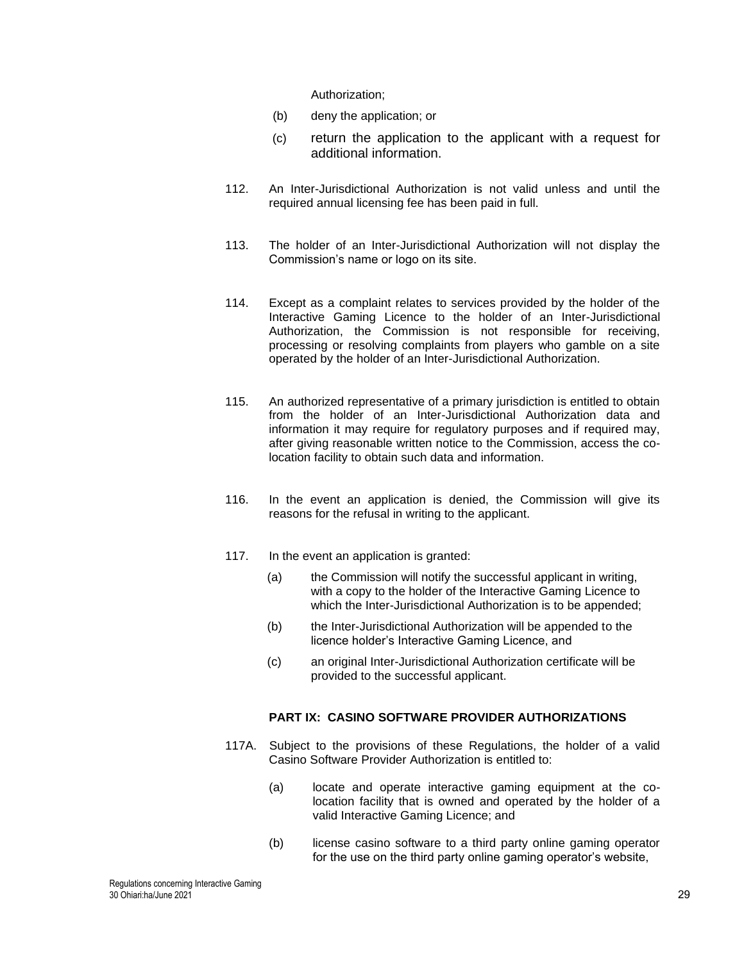Authorization;

- (b) deny the application; or
- (c) return the application to the applicant with a request for additional information.
- 112. An Inter-Jurisdictional Authorization is not valid unless and until the required annual licensing fee has been paid in full.
- 113. The holder of an Inter-Jurisdictional Authorization will not display the Commission's name or logo on its site.
- 114. Except as a complaint relates to services provided by the holder of the Interactive Gaming Licence to the holder of an Inter-Jurisdictional Authorization, the Commission is not responsible for receiving, processing or resolving complaints from players who gamble on a site operated by the holder of an Inter-Jurisdictional Authorization.
- 115. An authorized representative of a primary jurisdiction is entitled to obtain from the holder of an Inter-Jurisdictional Authorization data and information it may require for regulatory purposes and if required may, after giving reasonable written notice to the Commission, access the colocation facility to obtain such data and information.
- 116. In the event an application is denied, the Commission will give its reasons for the refusal in writing to the applicant.
- 117. In the event an application is granted:
	- (a) the Commission will notify the successful applicant in writing, with a copy to the holder of the Interactive Gaming Licence to which the Inter-Jurisdictional Authorization is to be appended;
	- (b) the Inter-Jurisdictional Authorization will be appended to the licence holder's Interactive Gaming Licence, and
	- (c) an original Inter-Jurisdictional Authorization certificate will be provided to the successful applicant.

#### **PART IX: CASINO SOFTWARE PROVIDER AUTHORIZATIONS**

- 117A. Subject to the provisions of these Regulations, the holder of a valid Casino Software Provider Authorization is entitled to:
	- (a) locate and operate interactive gaming equipment at the colocation facility that is owned and operated by the holder of a valid Interactive Gaming Licence; and
	- (b) license casino software to a third party online gaming operator for the use on the third party online gaming operator's website,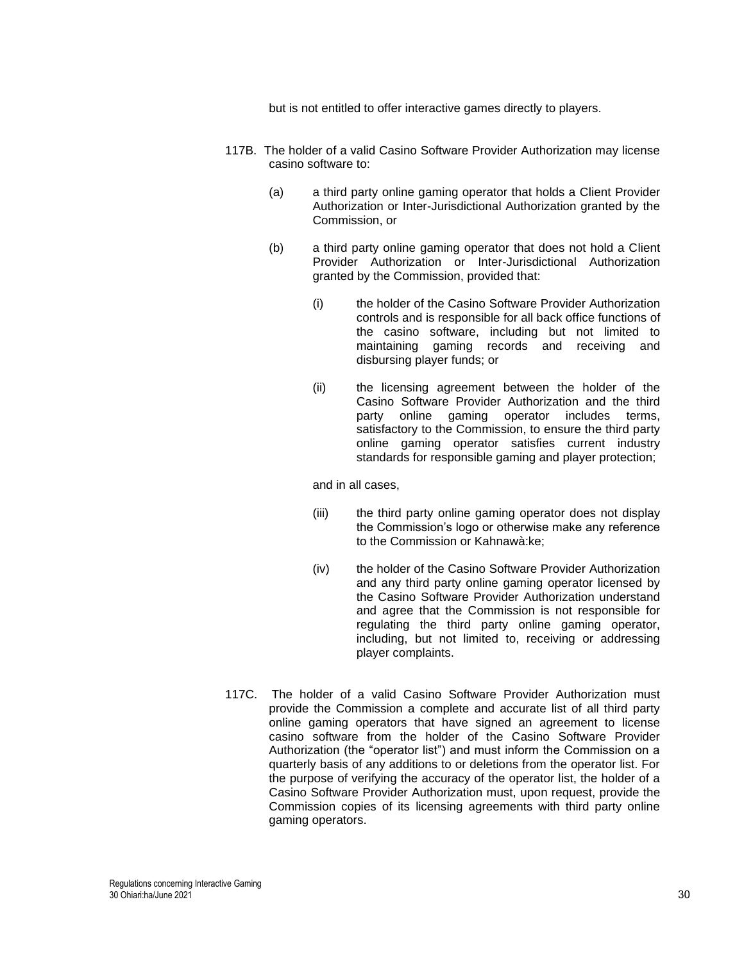but is not entitled to offer interactive games directly to players.

- 117B. The holder of a valid Casino Software Provider Authorization may license casino software to:
	- (a) a third party online gaming operator that holds a Client Provider Authorization or Inter-Jurisdictional Authorization granted by the Commission, or
	- (b) a third party online gaming operator that does not hold a Client Provider Authorization or Inter-Jurisdictional Authorization granted by the Commission, provided that:
		- (i) the holder of the Casino Software Provider Authorization controls and is responsible for all back office functions of the casino software, including but not limited to maintaining gaming records and receiving and disbursing player funds; or
		- (ii) the licensing agreement between the holder of the Casino Software Provider Authorization and the third party online gaming operator includes terms, satisfactory to the Commission, to ensure the third party online gaming operator satisfies current industry standards for responsible gaming and player protection;

and in all cases,

- (iii) the third party online gaming operator does not display the Commission's logo or otherwise make any reference to the Commission or Kahnawà:ke;
- (iv) the holder of the Casino Software Provider Authorization and any third party online gaming operator licensed by the Casino Software Provider Authorization understand and agree that the Commission is not responsible for regulating the third party online gaming operator, including, but not limited to, receiving or addressing player complaints.
- 117C. The holder of a valid Casino Software Provider Authorization must provide the Commission a complete and accurate list of all third party online gaming operators that have signed an agreement to license casino software from the holder of the Casino Software Provider Authorization (the "operator list") and must inform the Commission on a quarterly basis of any additions to or deletions from the operator list. For the purpose of verifying the accuracy of the operator list, the holder of a Casino Software Provider Authorization must, upon request, provide the Commission copies of its licensing agreements with third party online gaming operators.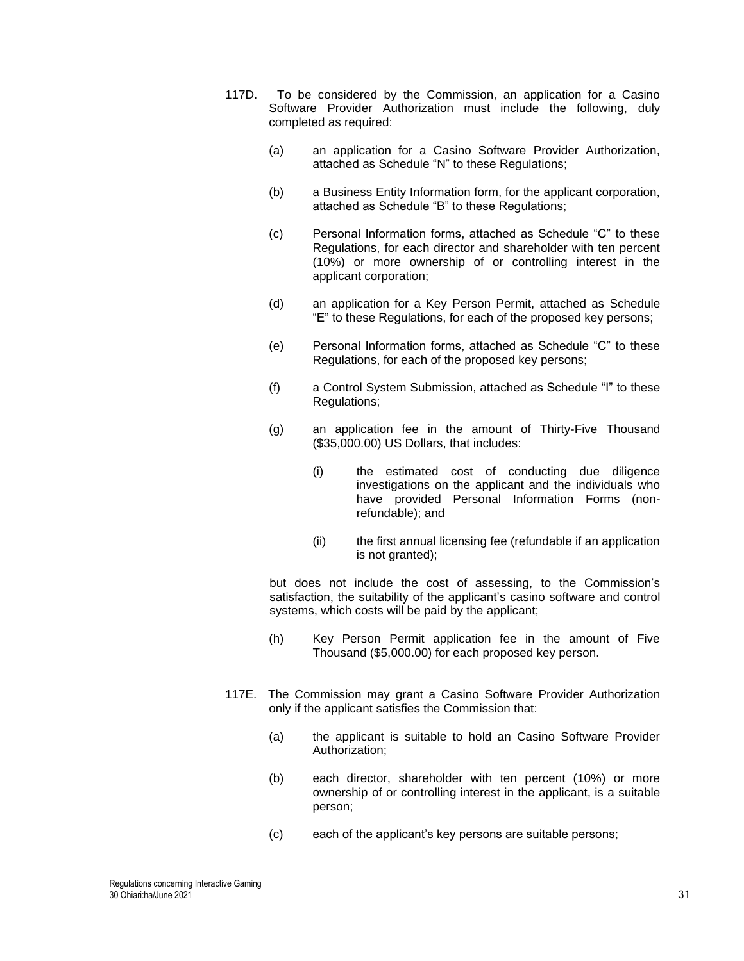- 117D. To be considered by the Commission, an application for a Casino Software Provider Authorization must include the following, duly completed as required:
	- (a) an application for a Casino Software Provider Authorization, attached as Schedule "N" to these Regulations;
	- (b) a Business Entity Information form, for the applicant corporation, attached as Schedule "B" to these Regulations;
	- (c) Personal Information forms, attached as Schedule "C" to these Regulations, for each director and shareholder with ten percent (10%) or more ownership of or controlling interest in the applicant corporation;
	- (d) an application for a Key Person Permit, attached as Schedule "E" to these Regulations, for each of the proposed key persons;
	- (e) Personal Information forms, attached as Schedule "C" to these Regulations, for each of the proposed key persons;
	- (f) a Control System Submission, attached as Schedule "I" to these Regulations;
	- (g) an application fee in the amount of Thirty-Five Thousand (\$35,000.00) US Dollars, that includes:
		- (i) the estimated cost of conducting due diligence investigations on the applicant and the individuals who have provided Personal Information Forms (nonrefundable); and
		- (ii) the first annual licensing fee (refundable if an application is not granted);

but does not include the cost of assessing, to the Commission's satisfaction, the suitability of the applicant's casino software and control systems, which costs will be paid by the applicant;

- (h) Key Person Permit application fee in the amount of Five Thousand (\$5,000.00) for each proposed key person.
- 117E. The Commission may grant a Casino Software Provider Authorization only if the applicant satisfies the Commission that:
	- (a) the applicant is suitable to hold an Casino Software Provider Authorization;
	- (b) each director, shareholder with ten percent (10%) or more ownership of or controlling interest in the applicant, is a suitable person;
	- (c) each of the applicant's key persons are suitable persons;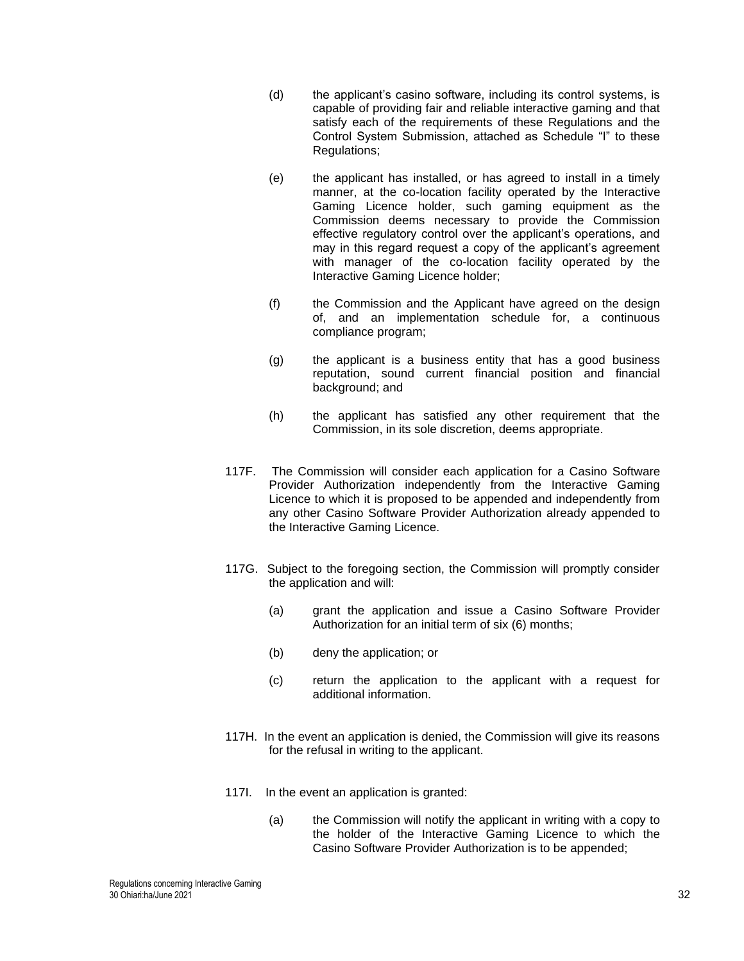- (d) the applicant's casino software, including its control systems, is capable of providing fair and reliable interactive gaming and that satisfy each of the requirements of these Requlations and the Control System Submission, attached as Schedule "I" to these Regulations;
- (e) the applicant has installed, or has agreed to install in a timely manner, at the co-location facility operated by the Interactive Gaming Licence holder, such gaming equipment as the Commission deems necessary to provide the Commission effective regulatory control over the applicant's operations, and may in this regard request a copy of the applicant's agreement with manager of the co-location facility operated by the Interactive Gaming Licence holder;
- (f) the Commission and the Applicant have agreed on the design of, and an implementation schedule for, a continuous compliance program;
- (g) the applicant is a business entity that has a good business reputation, sound current financial position and financial background; and
- (h) the applicant has satisfied any other requirement that the Commission, in its sole discretion, deems appropriate.
- 117F. The Commission will consider each application for a Casino Software Provider Authorization independently from the Interactive Gaming Licence to which it is proposed to be appended and independently from any other Casino Software Provider Authorization already appended to the Interactive Gaming Licence.
- 117G. Subject to the foregoing section, the Commission will promptly consider the application and will:
	- (a) grant the application and issue a Casino Software Provider Authorization for an initial term of six (6) months;
	- (b) deny the application; or
	- (c) return the application to the applicant with a request for additional information.
- 117H. In the event an application is denied, the Commission will give its reasons for the refusal in writing to the applicant.
- 117I. In the event an application is granted:
	- (a) the Commission will notify the applicant in writing with a copy to the holder of the Interactive Gaming Licence to which the Casino Software Provider Authorization is to be appended;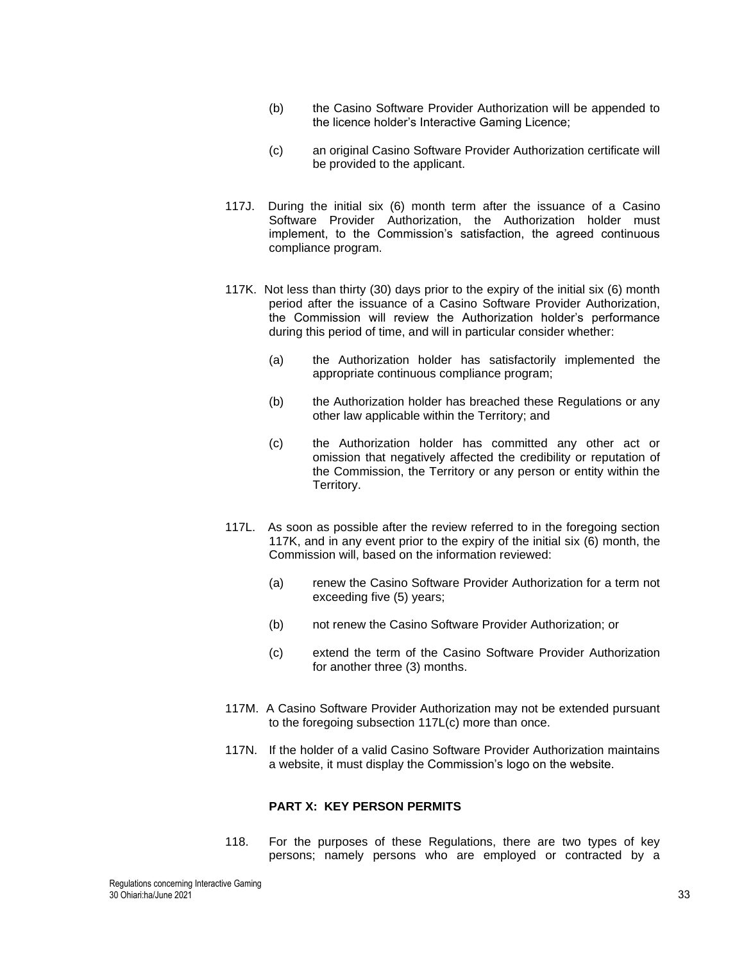- (b) the Casino Software Provider Authorization will be appended to the licence holder's Interactive Gaming Licence;
- (c) an original Casino Software Provider Authorization certificate will be provided to the applicant.
- 117J. During the initial six (6) month term after the issuance of a Casino Software Provider Authorization, the Authorization holder must implement, to the Commission's satisfaction, the agreed continuous compliance program.
- 117K. Not less than thirty (30) days prior to the expiry of the initial six (6) month period after the issuance of a Casino Software Provider Authorization, the Commission will review the Authorization holder's performance during this period of time, and will in particular consider whether:
	- (a) the Authorization holder has satisfactorily implemented the appropriate continuous compliance program;
	- (b) the Authorization holder has breached these Regulations or any other law applicable within the Territory; and
	- (c) the Authorization holder has committed any other act or omission that negatively affected the credibility or reputation of the Commission, the Territory or any person or entity within the Territory.
- 117L. As soon as possible after the review referred to in the foregoing section 117K, and in any event prior to the expiry of the initial six (6) month, the Commission will, based on the information reviewed:
	- (a) renew the Casino Software Provider Authorization for a term not exceeding five (5) years;
	- (b) not renew the Casino Software Provider Authorization; or
	- (c) extend the term of the Casino Software Provider Authorization for another three (3) months.
- 117M. A Casino Software Provider Authorization may not be extended pursuant to the foregoing subsection 117L(c) more than once.
- 117N. If the holder of a valid Casino Software Provider Authorization maintains a website, it must display the Commission's logo on the website.

### **PART X: KEY PERSON PERMITS**

118. For the purposes of these Regulations, there are two types of key persons; namely persons who are employed or contracted by a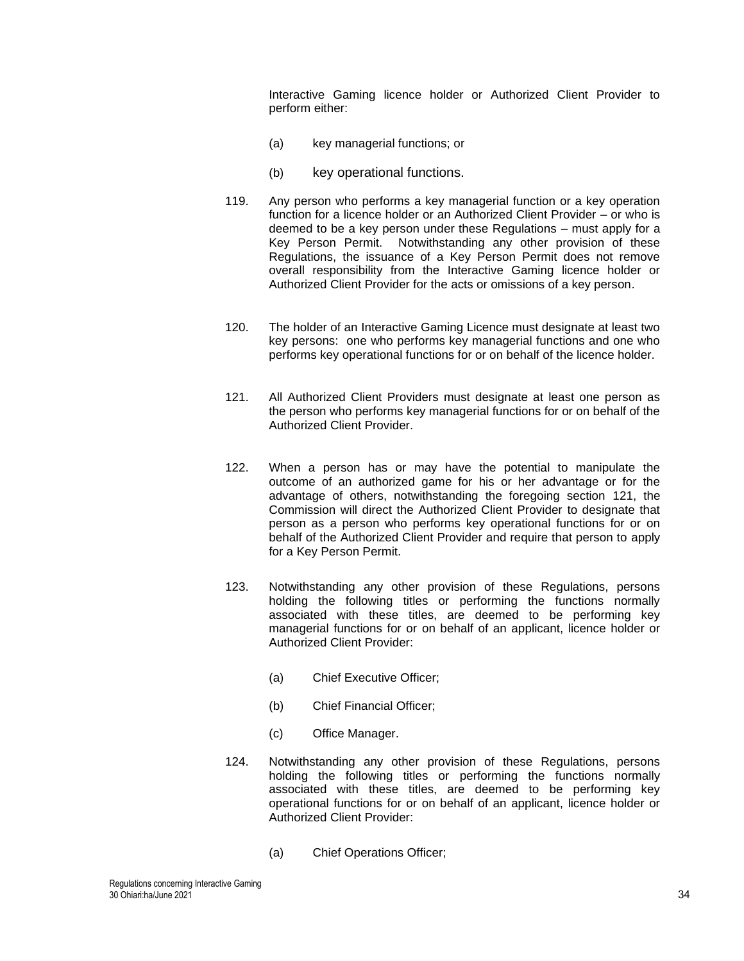Interactive Gaming licence holder or Authorized Client Provider to perform either:

- (a) key managerial functions; or
- (b) key operational functions.
- 119. Any person who performs a key managerial function or a key operation function for a licence holder or an Authorized Client Provider – or who is deemed to be a key person under these Regulations – must apply for a Key Person Permit. Notwithstanding any other provision of these Regulations, the issuance of a Key Person Permit does not remove overall responsibility from the Interactive Gaming licence holder or Authorized Client Provider for the acts or omissions of a key person.
- 120. The holder of an Interactive Gaming Licence must designate at least two key persons: one who performs key managerial functions and one who performs key operational functions for or on behalf of the licence holder.
- <span id="page-33-0"></span>121. All Authorized Client Providers must designate at least one person as the person who performs key managerial functions for or on behalf of the Authorized Client Provider.
- 122. When a person has or may have the potential to manipulate the outcome of an authorized game for his or her advantage or for the advantage of others, notwithstanding the foregoing section [121,](#page-33-0) the Commission will direct the Authorized Client Provider to designate that person as a person who performs key operational functions for or on behalf of the Authorized Client Provider and require that person to apply for a Key Person Permit.
- 123. Notwithstanding any other provision of these Regulations, persons holding the following titles or performing the functions normally associated with these titles, are deemed to be performing key managerial functions for or on behalf of an applicant, licence holder or Authorized Client Provider:
	- (a) Chief Executive Officer;
	- (b) Chief Financial Officer;
	- (c) Office Manager.
- 124. Notwithstanding any other provision of these Regulations, persons holding the following titles or performing the functions normally associated with these titles, are deemed to be performing key operational functions for or on behalf of an applicant, licence holder or Authorized Client Provider:
	- (a) Chief Operations Officer;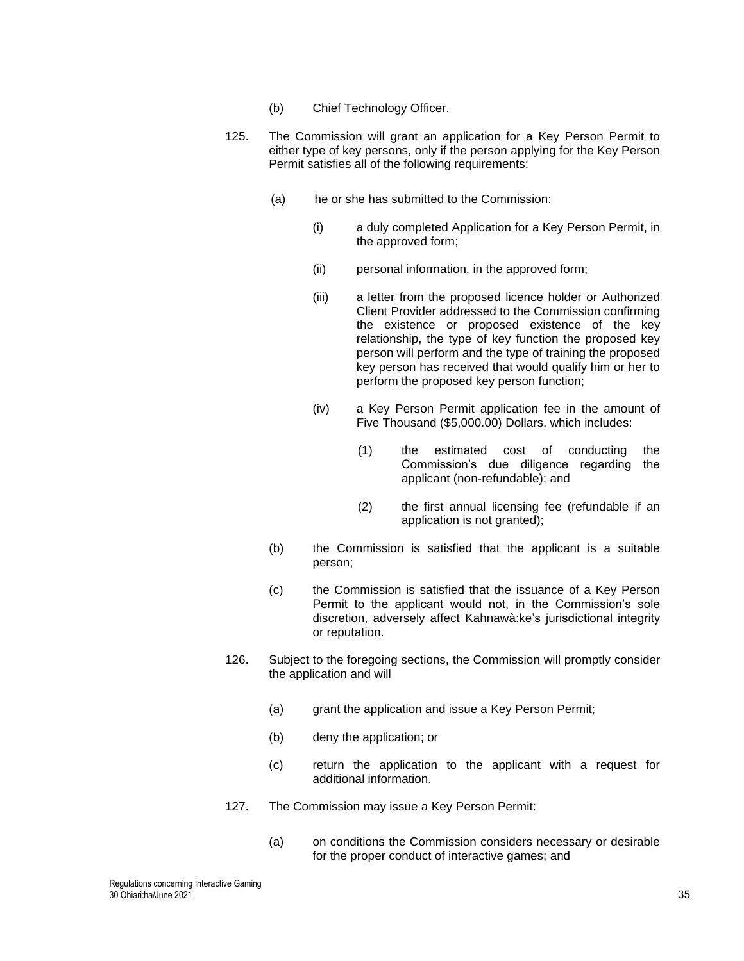- (b) Chief Technology Officer.
- 125. The Commission will grant an application for a Key Person Permit to either type of key persons, only if the person applying for the Key Person Permit satisfies all of the following requirements:
	- (a) he or she has submitted to the Commission:
		- (i) a duly completed Application for a Key Person Permit, in the approved form;
		- (ii) personal information, in the approved form;
		- (iii) a letter from the proposed licence holder or Authorized Client Provider addressed to the Commission confirming the existence or proposed existence of the key relationship, the type of key function the proposed key person will perform and the type of training the proposed key person has received that would qualify him or her to perform the proposed key person function;
		- (iv) a Key Person Permit application fee in the amount of Five Thousand (\$5,000.00) Dollars, which includes:
			- (1) the estimated cost of conducting the Commission's due diligence regarding the applicant (non-refundable); and
			- (2) the first annual licensing fee (refundable if an application is not granted);
	- (b) the Commission is satisfied that the applicant is a suitable person;
	- (c) the Commission is satisfied that the issuance of a Key Person Permit to the applicant would not, in the Commission's sole discretion, adversely affect Kahnawà:ke's jurisdictional integrity or reputation.
- 126. Subject to the foregoing sections, the Commission will promptly consider the application and will
	- (a) grant the application and issue a Key Person Permit;
	- (b) deny the application; or
	- (c) return the application to the applicant with a request for additional information.
- 127. The Commission may issue a Key Person Permit:
	- (a) on conditions the Commission considers necessary or desirable for the proper conduct of interactive games; and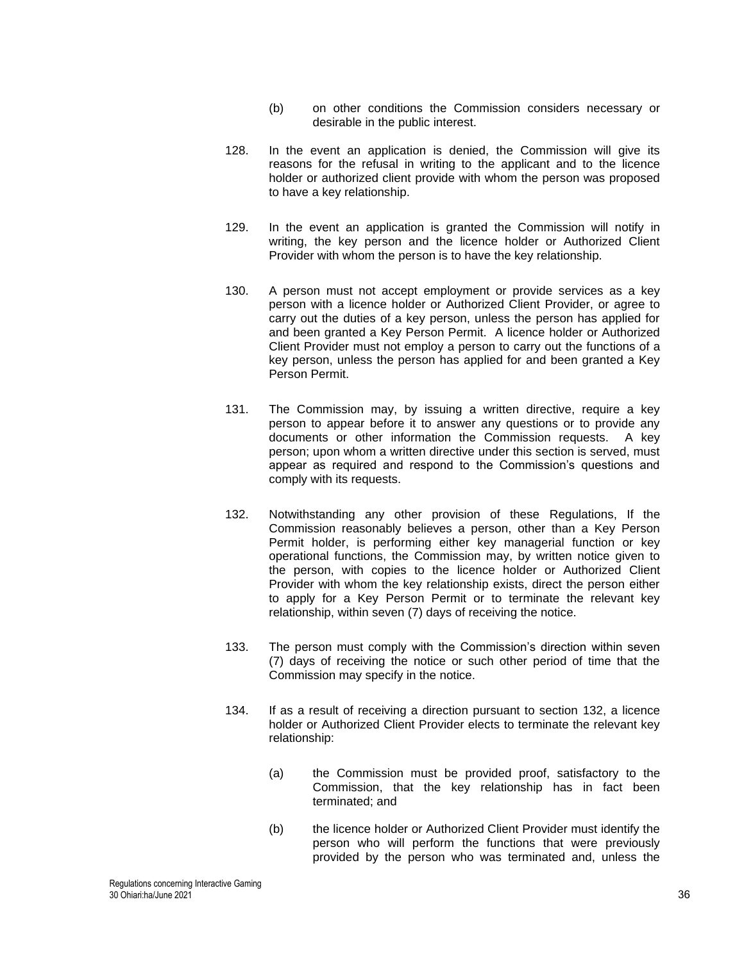- (b) on other conditions the Commission considers necessary or desirable in the public interest.
- 128. In the event an application is denied, the Commission will give its reasons for the refusal in writing to the applicant and to the licence holder or authorized client provide with whom the person was proposed to have a key relationship.
- 129. In the event an application is granted the Commission will notify in writing, the key person and the licence holder or Authorized Client Provider with whom the person is to have the key relationship.
- 130. A person must not accept employment or provide services as a key person with a licence holder or Authorized Client Provider, or agree to carry out the duties of a key person, unless the person has applied for and been granted a Key Person Permit. A licence holder or Authorized Client Provider must not employ a person to carry out the functions of a key person, unless the person has applied for and been granted a Key Person Permit.
- 131. The Commission may, by issuing a written directive, require a key person to appear before it to answer any questions or to provide any documents or other information the Commission requests. A key person; upon whom a written directive under this section is served, must appear as required and respond to the Commission's questions and comply with its requests.
- <span id="page-35-0"></span>132. Notwithstanding any other provision of these Regulations, If the Commission reasonably believes a person, other than a Key Person Permit holder, is performing either key managerial function or key operational functions, the Commission may, by written notice given to the person, with copies to the licence holder or Authorized Client Provider with whom the key relationship exists, direct the person either to apply for a Key Person Permit or to terminate the relevant key relationship, within seven (7) days of receiving the notice.
- 133. The person must comply with the Commission's direction within seven (7) days of receiving the notice or such other period of time that the Commission may specify in the notice.
- 134. If as a result of receiving a direction pursuant to section [132,](#page-35-0) a licence holder or Authorized Client Provider elects to terminate the relevant key relationship:
	- (a) the Commission must be provided proof, satisfactory to the Commission, that the key relationship has in fact been terminated; and
	- (b) the licence holder or Authorized Client Provider must identify the person who will perform the functions that were previously provided by the person who was terminated and, unless the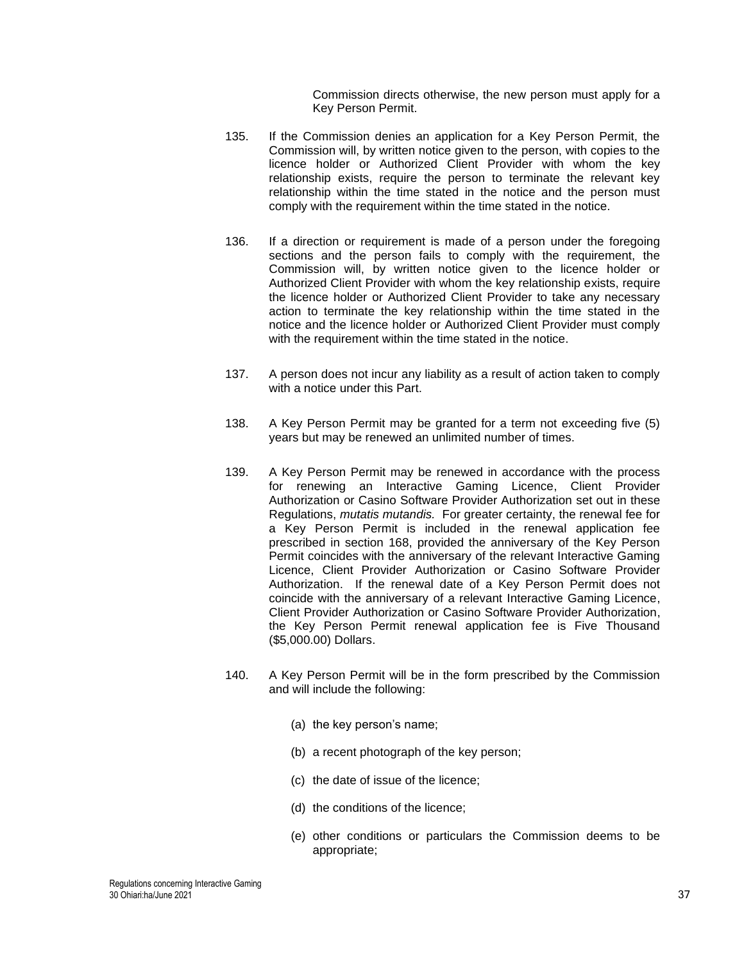Commission directs otherwise, the new person must apply for a Key Person Permit.

- 135. If the Commission denies an application for a Key Person Permit, the Commission will, by written notice given to the person, with copies to the licence holder or Authorized Client Provider with whom the key relationship exists, require the person to terminate the relevant key relationship within the time stated in the notice and the person must comply with the requirement within the time stated in the notice.
- 136. If a direction or requirement is made of a person under the foregoing sections and the person fails to comply with the requirement, the Commission will, by written notice given to the licence holder or Authorized Client Provider with whom the key relationship exists, require the licence holder or Authorized Client Provider to take any necessary action to terminate the key relationship within the time stated in the notice and the licence holder or Authorized Client Provider must comply with the requirement within the time stated in the notice.
- 137. A person does not incur any liability as a result of action taken to comply with a notice under this Part.
- 138. A Key Person Permit may be granted for a term not exceeding five (5) years but may be renewed an unlimited number of times.
- 139. A Key Person Permit may be renewed in accordance with the process for renewing an Interactive Gaming Licence, Client Provider Authorization or Casino Software Provider Authorization set out in these Regulations, *mutatis mutandis.* For greater certainty, the renewal fee for a Key Person Permit is included in the renewal application fee prescribed in section [168,](#page-40-0) provided the anniversary of the Key Person Permit coincides with the anniversary of the relevant Interactive Gaming Licence, Client Provider Authorization or Casino Software Provider Authorization. If the renewal date of a Key Person Permit does not coincide with the anniversary of a relevant Interactive Gaming Licence, Client Provider Authorization or Casino Software Provider Authorization, the Key Person Permit renewal application fee is Five Thousand (\$5,000.00) Dollars.
- 140. A Key Person Permit will be in the form prescribed by the Commission and will include the following:
	- (a) the key person's name;
	- (b) a recent photograph of the key person;
	- (c) the date of issue of the licence;
	- (d) the conditions of the licence;
	- (e) other conditions or particulars the Commission deems to be appropriate;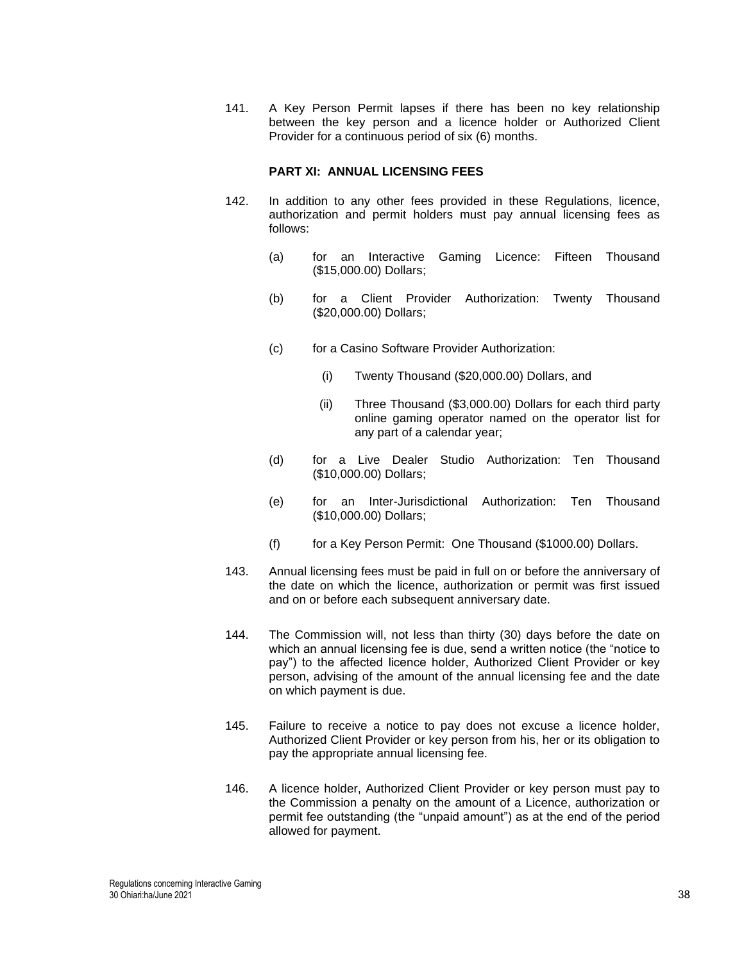141. A Key Person Permit lapses if there has been no key relationship between the key person and a licence holder or Authorized Client Provider for a continuous period of six (6) months.

### **PART XI: ANNUAL LICENSING FEES**

- 142. In addition to any other fees provided in these Regulations, licence, authorization and permit holders must pay annual licensing fees as follows:
	- (a) for an Interactive Gaming Licence: Fifteen Thousand (\$15,000.00) Dollars;
	- (b) for a Client Provider Authorization: Twenty Thousand (\$20,000.00) Dollars;
	- (c) for a Casino Software Provider Authorization:
		- (i) Twenty Thousand (\$20,000.00) Dollars, and
		- (ii) Three Thousand (\$3,000.00) Dollars for each third party online gaming operator named on the operator list for any part of a calendar year;
	- (d) for a Live Dealer Studio Authorization: Ten Thousand (\$10,000.00) Dollars;
	- (e) for an Inter-Jurisdictional Authorization: Ten Thousand (\$10,000.00) Dollars;
	- (f) for a Key Person Permit: One Thousand (\$1000.00) Dollars.
- 143. Annual licensing fees must be paid in full on or before the anniversary of the date on which the licence, authorization or permit was first issued and on or before each subsequent anniversary date.
- 144. The Commission will, not less than thirty (30) days before the date on which an annual licensing fee is due, send a written notice (the "notice to pay") to the affected licence holder, Authorized Client Provider or key person, advising of the amount of the annual licensing fee and the date on which payment is due.
- 145. Failure to receive a notice to pay does not excuse a licence holder, Authorized Client Provider or key person from his, her or its obligation to pay the appropriate annual licensing fee.
- 146. A licence holder, Authorized Client Provider or key person must pay to the Commission a penalty on the amount of a Licence, authorization or permit fee outstanding (the "unpaid amount") as at the end of the period allowed for payment.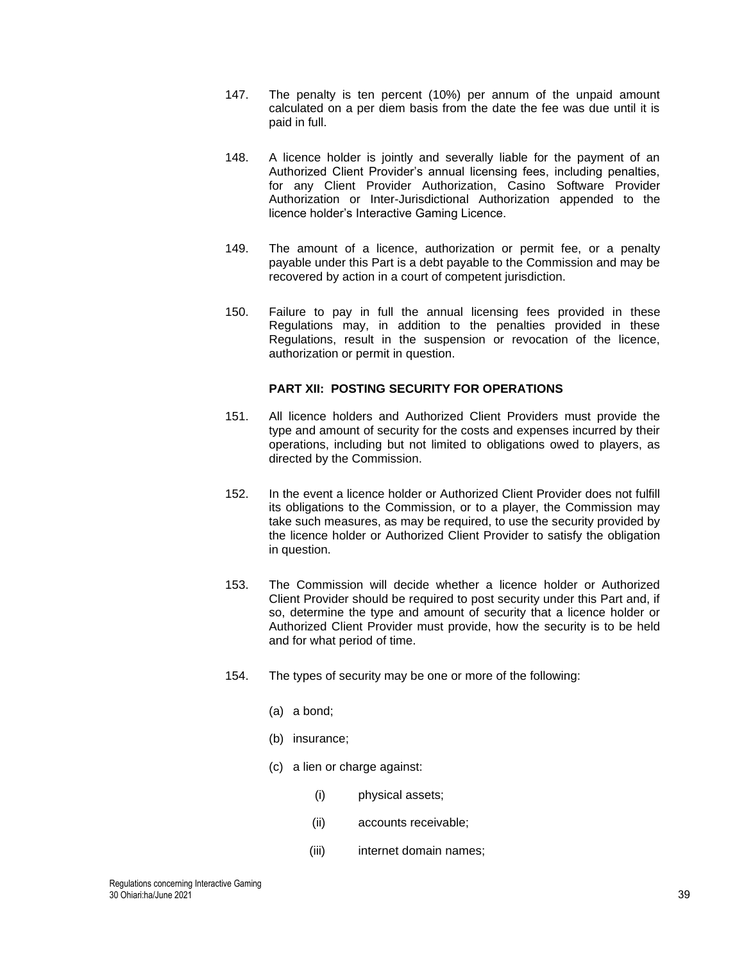- 147. The penalty is ten percent (10%) per annum of the unpaid amount calculated on a per diem basis from the date the fee was due until it is paid in full.
- 148. A licence holder is jointly and severally liable for the payment of an Authorized Client Provider's annual licensing fees, including penalties, for any Client Provider Authorization, Casino Software Provider Authorization or Inter-Jurisdictional Authorization appended to the licence holder's Interactive Gaming Licence.
- 149. The amount of a licence, authorization or permit fee, or a penalty payable under this Part is a debt payable to the Commission and may be recovered by action in a court of competent jurisdiction.
- 150. Failure to pay in full the annual licensing fees provided in these Regulations may, in addition to the penalties provided in these Regulations, result in the suspension or revocation of the licence, authorization or permit in question.

## **PART XII: POSTING SECURITY FOR OPERATIONS**

- 151. All licence holders and Authorized Client Providers must provide the type and amount of security for the costs and expenses incurred by their operations, including but not limited to obligations owed to players, as directed by the Commission.
- 152. In the event a licence holder or Authorized Client Provider does not fulfill its obligations to the Commission, or to a player, the Commission may take such measures, as may be required, to use the security provided by the licence holder or Authorized Client Provider to satisfy the obligation in question.
- 153. The Commission will decide whether a licence holder or Authorized Client Provider should be required to post security under this Part and, if so, determine the type and amount of security that a licence holder or Authorized Client Provider must provide, how the security is to be held and for what period of time.
- 154. The types of security may be one or more of the following:
	- (a) a bond;
	- (b) insurance;
	- (c) a lien or charge against:
		- (i) physical assets;
		- (ii) accounts receivable;
		- (iii) internet domain names;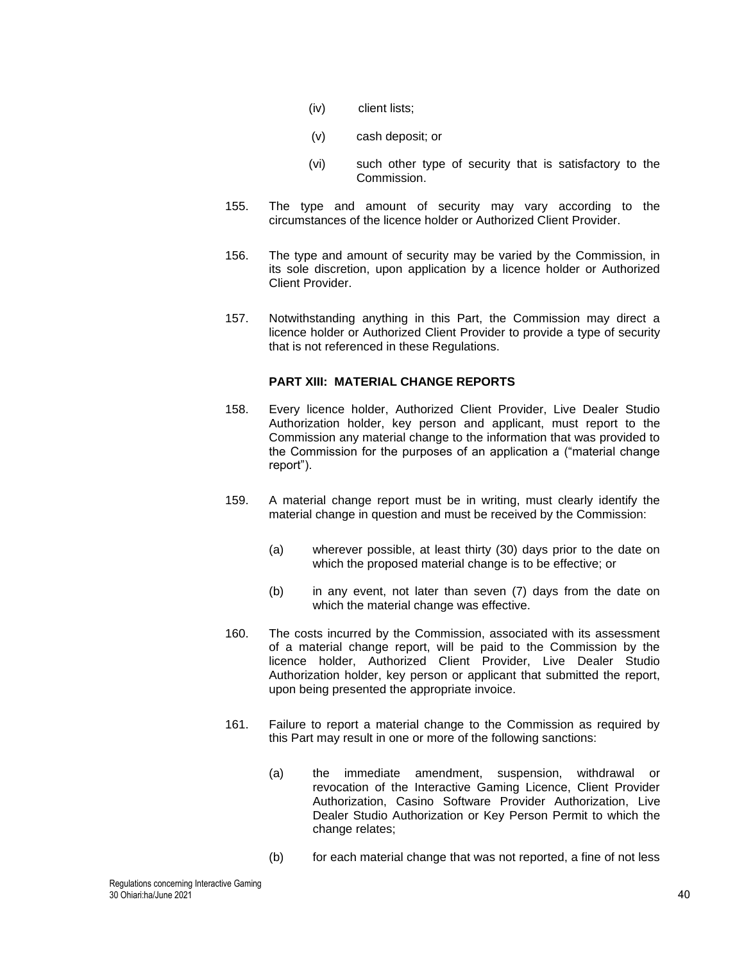- (iv) client lists;
- (v) cash deposit; or
- (vi) such other type of security that is satisfactory to the Commission.
- 155. The type and amount of security may vary according to the circumstances of the licence holder or Authorized Client Provider.
- 156. The type and amount of security may be varied by the Commission, in its sole discretion, upon application by a licence holder or Authorized Client Provider.
- 157. Notwithstanding anything in this Part, the Commission may direct a licence holder or Authorized Client Provider to provide a type of security that is not referenced in these Regulations.

# **PART XIII: MATERIAL CHANGE REPORTS**

- 158. Every licence holder, Authorized Client Provider, Live Dealer Studio Authorization holder, key person and applicant, must report to the Commission any material change to the information that was provided to the Commission for the purposes of an application a ("material change report").
- 159. A material change report must be in writing, must clearly identify the material change in question and must be received by the Commission:
	- (a) wherever possible, at least thirty (30) days prior to the date on which the proposed material change is to be effective; or
	- (b) in any event, not later than seven (7) days from the date on which the material change was effective.
- 160. The costs incurred by the Commission, associated with its assessment of a material change report, will be paid to the Commission by the licence holder, Authorized Client Provider, Live Dealer Studio Authorization holder, key person or applicant that submitted the report, upon being presented the appropriate invoice.
- 161. Failure to report a material change to the Commission as required by this Part may result in one or more of the following sanctions:
	- (a) the immediate amendment, suspension, withdrawal or revocation of the Interactive Gaming Licence, Client Provider Authorization, Casino Software Provider Authorization, Live Dealer Studio Authorization or Key Person Permit to which the change relates;
	- (b) for each material change that was not reported, a fine of not less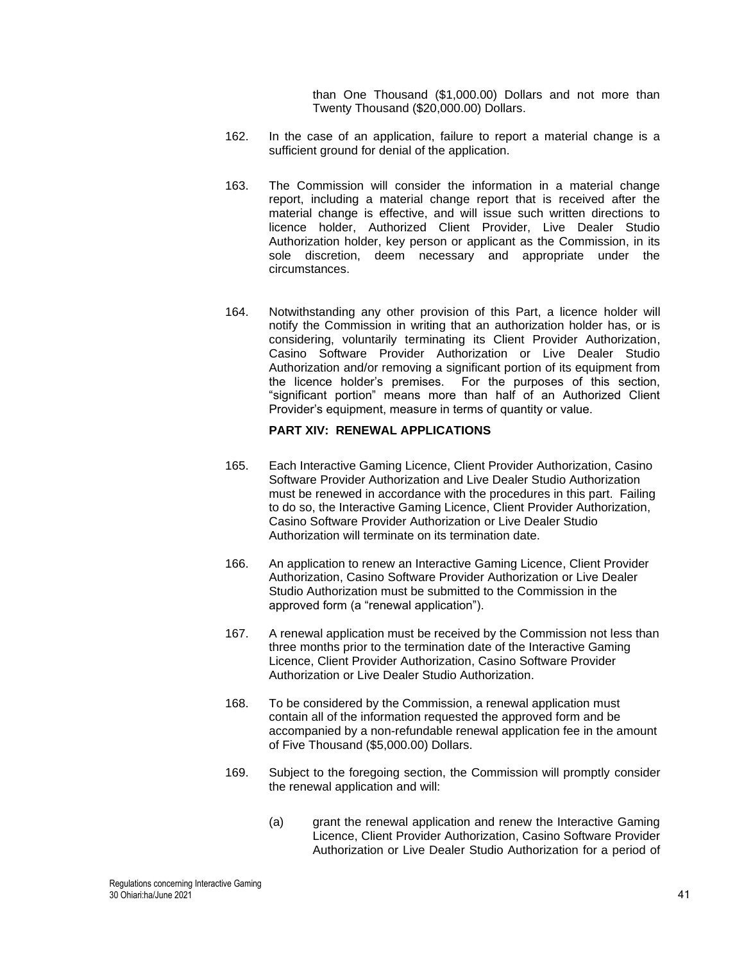than One Thousand (\$1,000.00) Dollars and not more than Twenty Thousand (\$20,000.00) Dollars.

- 162. In the case of an application, failure to report a material change is a sufficient ground for denial of the application.
- 163. The Commission will consider the information in a material change report, including a material change report that is received after the material change is effective, and will issue such written directions to licence holder, Authorized Client Provider, Live Dealer Studio Authorization holder, key person or applicant as the Commission, in its sole discretion, deem necessary and appropriate under the circumstances.
- 164. Notwithstanding any other provision of this Part, a licence holder will notify the Commission in writing that an authorization holder has, or is considering, voluntarily terminating its Client Provider Authorization, Casino Software Provider Authorization or Live Dealer Studio Authorization and/or removing a significant portion of its equipment from the licence holder's premises. For the purposes of this section, "significant portion" means more than half of an Authorized Client Provider's equipment, measure in terms of quantity or value.

# **PART XIV: RENEWAL APPLICATIONS**

- 165. Each Interactive Gaming Licence, Client Provider Authorization, Casino Software Provider Authorization and Live Dealer Studio Authorization must be renewed in accordance with the procedures in this part. Failing to do so, the Interactive Gaming Licence, Client Provider Authorization, Casino Software Provider Authorization or Live Dealer Studio Authorization will terminate on its termination date.
- 166. An application to renew an Interactive Gaming Licence, Client Provider Authorization, Casino Software Provider Authorization or Live Dealer Studio Authorization must be submitted to the Commission in the approved form (a "renewal application").
- 167. A renewal application must be received by the Commission not less than three months prior to the termination date of the Interactive Gaming Licence, Client Provider Authorization, Casino Software Provider Authorization or Live Dealer Studio Authorization.
- <span id="page-40-0"></span>168. To be considered by the Commission, a renewal application must contain all of the information requested the approved form and be accompanied by a non-refundable renewal application fee in the amount of Five Thousand (\$5,000.00) Dollars.
- 169. Subject to the foregoing section, the Commission will promptly consider the renewal application and will:
	- (a) grant the renewal application and renew the Interactive Gaming Licence, Client Provider Authorization, Casino Software Provider Authorization or Live Dealer Studio Authorization for a period of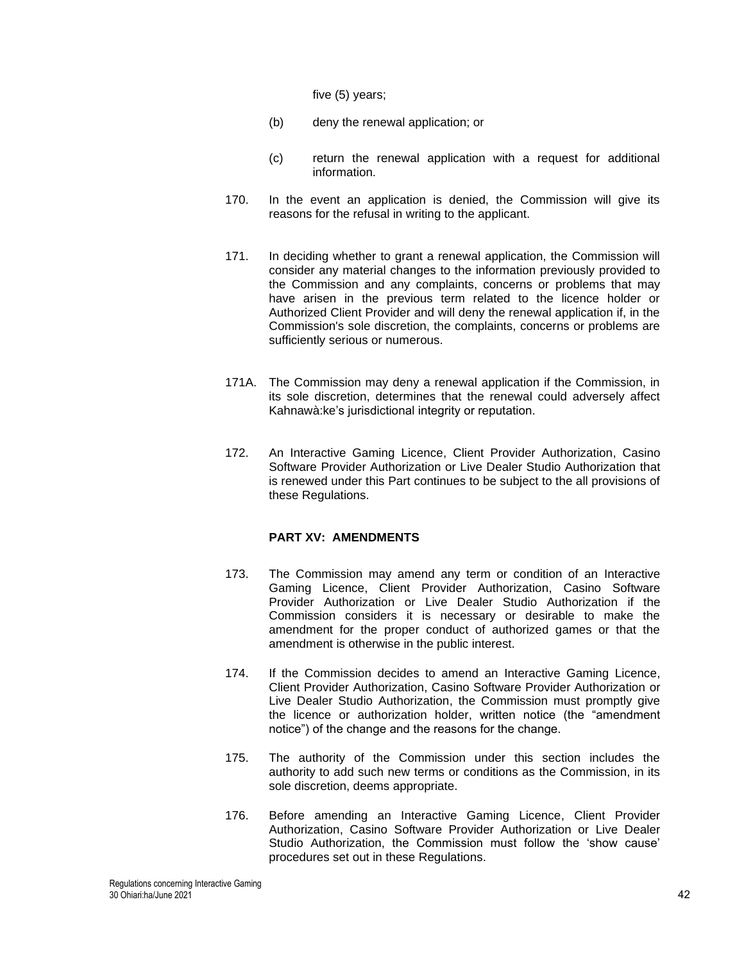five (5) years;

- (b) deny the renewal application; or
- (c) return the renewal application with a request for additional information.
- 170. In the event an application is denied, the Commission will give its reasons for the refusal in writing to the applicant.
- 171. In deciding whether to grant a renewal application, the Commission will consider any material changes to the information previously provided to the Commission and any complaints, concerns or problems that may have arisen in the previous term related to the licence holder or Authorized Client Provider and will deny the renewal application if, in the Commission's sole discretion, the complaints, concerns or problems are sufficiently serious or numerous.
- 171A. The Commission may deny a renewal application if the Commission, in its sole discretion, determines that the renewal could adversely affect Kahnawà:ke's jurisdictional integrity or reputation.
- 172. An Interactive Gaming Licence, Client Provider Authorization, Casino Software Provider Authorization or Live Dealer Studio Authorization that is renewed under this Part continues to be subject to the all provisions of these Regulations.

## **PART XV: AMENDMENTS**

- 173. The Commission may amend any term or condition of an Interactive Gaming Licence, Client Provider Authorization, Casino Software Provider Authorization or Live Dealer Studio Authorization if the Commission considers it is necessary or desirable to make the amendment for the proper conduct of authorized games or that the amendment is otherwise in the public interest.
- 174. If the Commission decides to amend an Interactive Gaming Licence, Client Provider Authorization, Casino Software Provider Authorization or Live Dealer Studio Authorization, the Commission must promptly give the licence or authorization holder, written notice (the "amendment notice") of the change and the reasons for the change.
- 175. The authority of the Commission under this section includes the authority to add such new terms or conditions as the Commission, in its sole discretion, deems appropriate.
- 176. Before amending an Interactive Gaming Licence, Client Provider Authorization, Casino Software Provider Authorization or Live Dealer Studio Authorization, the Commission must follow the 'show cause' procedures set out in these Regulations.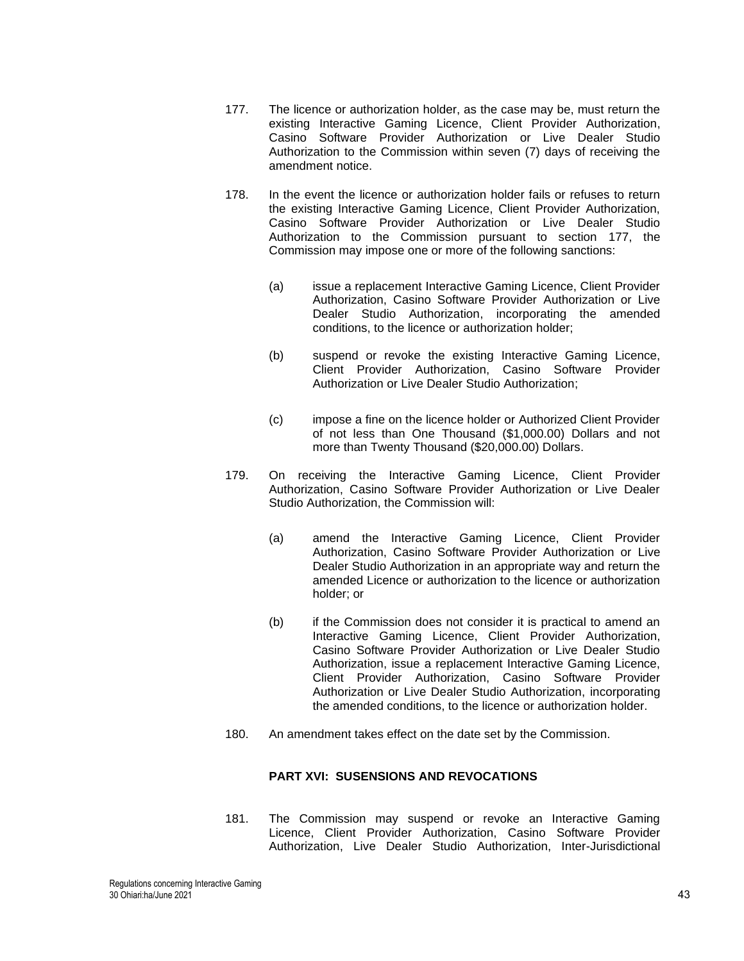- <span id="page-42-0"></span>177. The licence or authorization holder, as the case may be, must return the existing Interactive Gaming Licence, Client Provider Authorization, Casino Software Provider Authorization or Live Dealer Studio Authorization to the Commission within seven (7) days of receiving the amendment notice.
- 178. In the event the licence or authorization holder fails or refuses to return the existing Interactive Gaming Licence, Client Provider Authorization, Casino Software Provider Authorization or Live Dealer Studio Authorization to the Commission pursuant to section [177,](#page-42-0) the Commission may impose one or more of the following sanctions:
	- (a) issue a replacement Interactive Gaming Licence, Client Provider Authorization, Casino Software Provider Authorization or Live Dealer Studio Authorization, incorporating the amended conditions, to the licence or authorization holder;
	- (b) suspend or revoke the existing Interactive Gaming Licence, Client Provider Authorization, Casino Software Provider Authorization or Live Dealer Studio Authorization;
	- (c) impose a fine on the licence holder or Authorized Client Provider of not less than One Thousand (\$1,000.00) Dollars and not more than Twenty Thousand (\$20,000.00) Dollars.
- 179. On receiving the Interactive Gaming Licence, Client Provider Authorization, Casino Software Provider Authorization or Live Dealer Studio Authorization, the Commission will:
	- (a) amend the Interactive Gaming Licence, Client Provider Authorization, Casino Software Provider Authorization or Live Dealer Studio Authorization in an appropriate way and return the amended Licence or authorization to the licence or authorization holder; or
	- (b) if the Commission does not consider it is practical to amend an Interactive Gaming Licence, Client Provider Authorization, Casino Software Provider Authorization or Live Dealer Studio Authorization, issue a replacement Interactive Gaming Licence, Client Provider Authorization, Casino Software Provider Authorization or Live Dealer Studio Authorization, incorporating the amended conditions, to the licence or authorization holder.
- 180. An amendment takes effect on the date set by the Commission.

# **PART XVI: SUSENSIONS AND REVOCATIONS**

181. The Commission may suspend or revoke an Interactive Gaming Licence, Client Provider Authorization, Casino Software Provider Authorization, Live Dealer Studio Authorization, Inter-Jurisdictional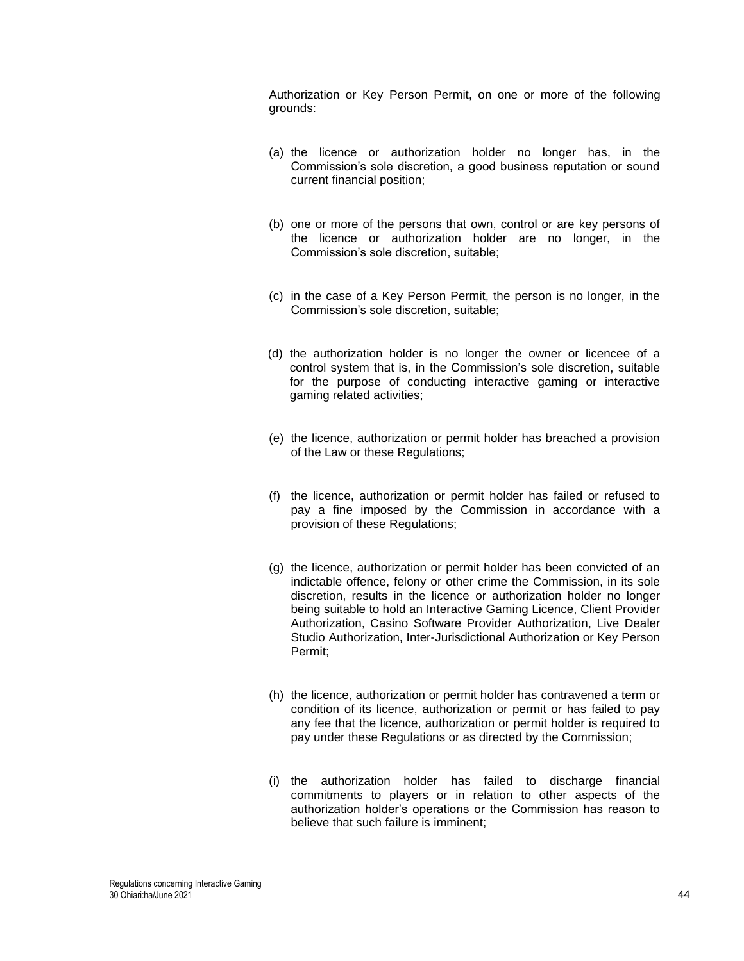Authorization or Key Person Permit, on one or more of the following grounds:

- (a) the licence or authorization holder no longer has, in the Commission's sole discretion, a good business reputation or sound current financial position;
- (b) one or more of the persons that own, control or are key persons of the licence or authorization holder are no longer, in the Commission's sole discretion, suitable;
- (c) in the case of a Key Person Permit, the person is no longer, in the Commission's sole discretion, suitable;
- (d) the authorization holder is no longer the owner or licencee of a control system that is, in the Commission's sole discretion, suitable for the purpose of conducting interactive gaming or interactive gaming related activities;
- (e) the licence, authorization or permit holder has breached a provision of the Law or these Regulations;
- (f) the licence, authorization or permit holder has failed or refused to pay a fine imposed by the Commission in accordance with a provision of these Regulations;
- (g) the licence, authorization or permit holder has been convicted of an indictable offence, felony or other crime the Commission, in its sole discretion, results in the licence or authorization holder no longer being suitable to hold an Interactive Gaming Licence, Client Provider Authorization, Casino Software Provider Authorization, Live Dealer Studio Authorization, Inter-Jurisdictional Authorization or Key Person Permit;
- (h) the licence, authorization or permit holder has contravened a term or condition of its licence, authorization or permit or has failed to pay any fee that the licence, authorization or permit holder is required to pay under these Regulations or as directed by the Commission;
- (i) the authorization holder has failed to discharge financial commitments to players or in relation to other aspects of the authorization holder's operations or the Commission has reason to believe that such failure is imminent;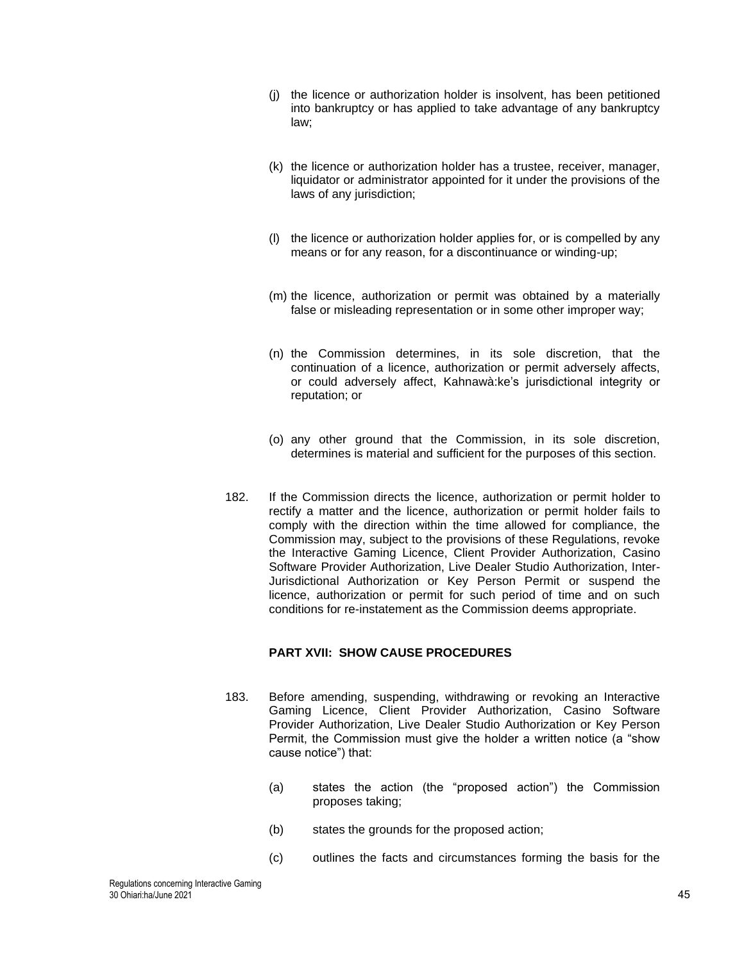- (j) the licence or authorization holder is insolvent, has been petitioned into bankruptcy or has applied to take advantage of any bankruptcy law;
- (k) the licence or authorization holder has a trustee, receiver, manager, liquidator or administrator appointed for it under the provisions of the laws of any jurisdiction;
- (l) the licence or authorization holder applies for, or is compelled by any means or for any reason, for a discontinuance or winding-up;
- (m) the licence, authorization or permit was obtained by a materially false or misleading representation or in some other improper way;
- (n) the Commission determines, in its sole discretion, that the continuation of a licence, authorization or permit adversely affects, or could adversely affect, Kahnawà:ke's jurisdictional integrity or reputation; or
- (o) any other ground that the Commission, in its sole discretion, determines is material and sufficient for the purposes of this section.
- 182. If the Commission directs the licence, authorization or permit holder to rectify a matter and the licence, authorization or permit holder fails to comply with the direction within the time allowed for compliance, the Commission may, subject to the provisions of these Regulations, revoke the Interactive Gaming Licence, Client Provider Authorization, Casino Software Provider Authorization, Live Dealer Studio Authorization, Inter-Jurisdictional Authorization or Key Person Permit or suspend the licence, authorization or permit for such period of time and on such conditions for re-instatement as the Commission deems appropriate.

# **PART XVII: SHOW CAUSE PROCEDURES**

- 183. Before amending, suspending, withdrawing or revoking an Interactive Gaming Licence, Client Provider Authorization, Casino Software Provider Authorization, Live Dealer Studio Authorization or Key Person Permit, the Commission must give the holder a written notice (a "show cause notice") that:
	- (a) states the action (the "proposed action") the Commission proposes taking;
	- (b) states the grounds for the proposed action;
	- (c) outlines the facts and circumstances forming the basis for the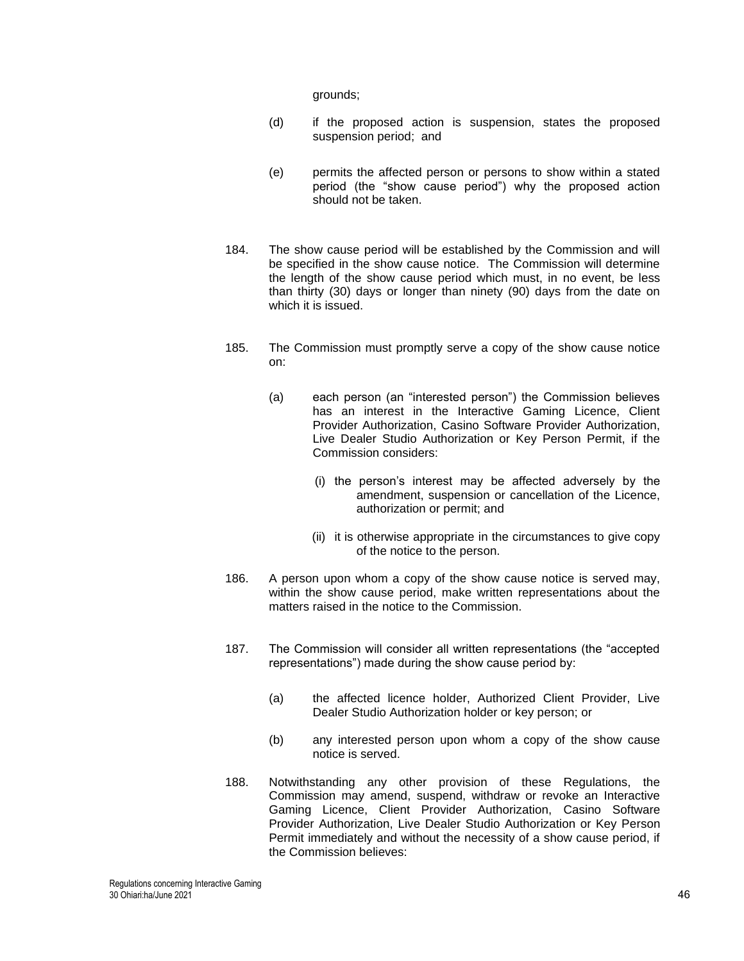grounds;

- (d) if the proposed action is suspension, states the proposed suspension period; and
- (e) permits the affected person or persons to show within a stated period (the "show cause period") why the proposed action should not be taken.
- 184. The show cause period will be established by the Commission and will be specified in the show cause notice. The Commission will determine the length of the show cause period which must, in no event, be less than thirty (30) days or longer than ninety (90) days from the date on which it is issued.
- 185. The Commission must promptly serve a copy of the show cause notice on:
	- (a) each person (an "interested person") the Commission believes has an interest in the Interactive Gaming Licence, Client Provider Authorization, Casino Software Provider Authorization, Live Dealer Studio Authorization or Key Person Permit, if the Commission considers:
		- (i) the person's interest may be affected adversely by the amendment, suspension or cancellation of the Licence, authorization or permit; and
		- (ii) it is otherwise appropriate in the circumstances to give copy of the notice to the person.
- 186. A person upon whom a copy of the show cause notice is served may, within the show cause period, make written representations about the matters raised in the notice to the Commission.
- 187. The Commission will consider all written representations (the "accepted representations") made during the show cause period by:
	- (a) the affected licence holder, Authorized Client Provider, Live Dealer Studio Authorization holder or key person; or
	- (b) any interested person upon whom a copy of the show cause notice is served.
- 188. Notwithstanding any other provision of these Regulations, the Commission may amend, suspend, withdraw or revoke an Interactive Gaming Licence, Client Provider Authorization, Casino Software Provider Authorization, Live Dealer Studio Authorization or Key Person Permit immediately and without the necessity of a show cause period, if the Commission believes: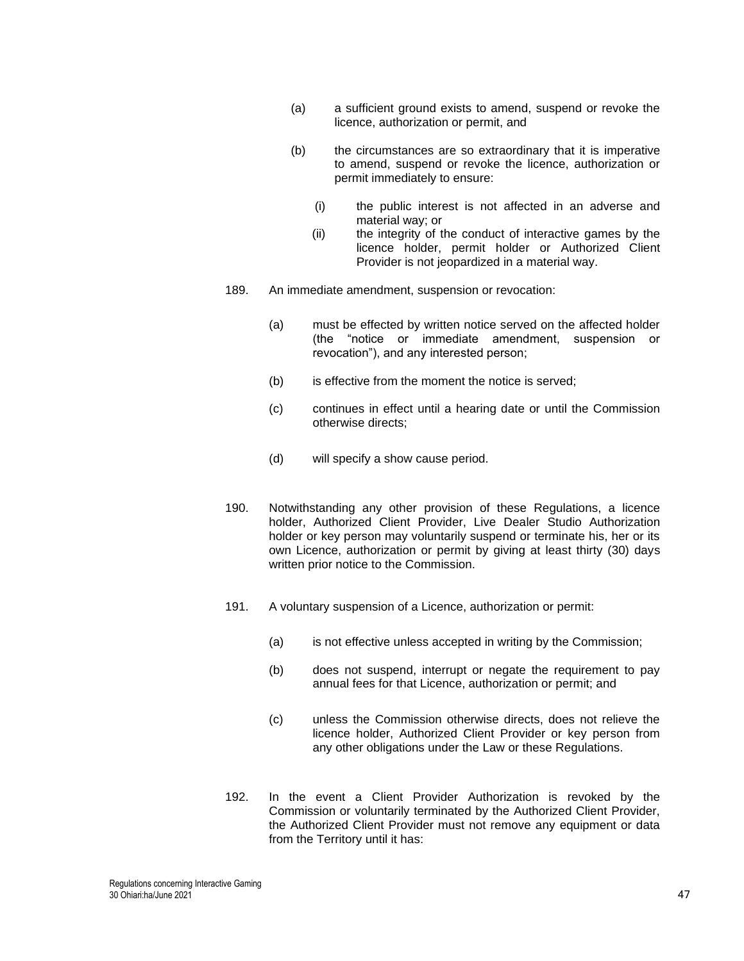- (a) a sufficient ground exists to amend, suspend or revoke the licence, authorization or permit, and
- (b) the circumstances are so extraordinary that it is imperative to amend, suspend or revoke the licence, authorization or permit immediately to ensure:
	- (i) the public interest is not affected in an adverse and material way; or
	- (ii) the integrity of the conduct of interactive games by the licence holder, permit holder or Authorized Client Provider is not jeopardized in a material way.
- 189. An immediate amendment, suspension or revocation:
	- (a) must be effected by written notice served on the affected holder (the "notice or immediate amendment, suspension or revocation"), and any interested person;
	- (b) is effective from the moment the notice is served;
	- (c) continues in effect until a hearing date or until the Commission otherwise directs;
	- (d) will specify a show cause period.
- 190. Notwithstanding any other provision of these Regulations, a licence holder, Authorized Client Provider, Live Dealer Studio Authorization holder or key person may voluntarily suspend or terminate his, her or its own Licence, authorization or permit by giving at least thirty (30) days written prior notice to the Commission.
- 191. A voluntary suspension of a Licence, authorization or permit:
	- (a) is not effective unless accepted in writing by the Commission;
	- (b) does not suspend, interrupt or negate the requirement to pay annual fees for that Licence, authorization or permit; and
	- (c) unless the Commission otherwise directs, does not relieve the licence holder, Authorized Client Provider or key person from any other obligations under the Law or these Regulations.
- <span id="page-46-0"></span>192. In the event a Client Provider Authorization is revoked by the Commission or voluntarily terminated by the Authorized Client Provider, the Authorized Client Provider must not remove any equipment or data from the Territory until it has: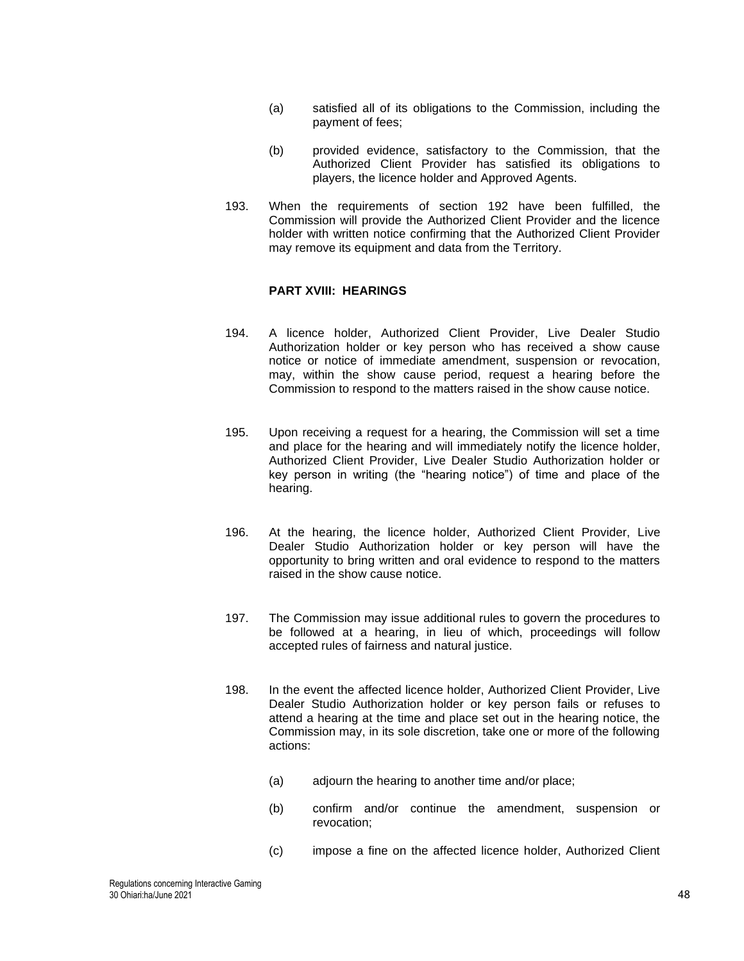- (a) satisfied all of its obligations to the Commission, including the payment of fees;
- (b) provided evidence, satisfactory to the Commission, that the Authorized Client Provider has satisfied its obligations to players, the licence holder and Approved Agents.
- 193. When the requirements of section [192](#page-46-0) have been fulfilled, the Commission will provide the Authorized Client Provider and the licence holder with written notice confirming that the Authorized Client Provider may remove its equipment and data from the Territory.

# **PART XVIII: HEARINGS**

- 194. A licence holder, Authorized Client Provider, Live Dealer Studio Authorization holder or key person who has received a show cause notice or notice of immediate amendment, suspension or revocation, may, within the show cause period, request a hearing before the Commission to respond to the matters raised in the show cause notice.
- 195. Upon receiving a request for a hearing, the Commission will set a time and place for the hearing and will immediately notify the licence holder, Authorized Client Provider, Live Dealer Studio Authorization holder or key person in writing (the "hearing notice") of time and place of the hearing.
- 196. At the hearing, the licence holder, Authorized Client Provider, Live Dealer Studio Authorization holder or key person will have the opportunity to bring written and oral evidence to respond to the matters raised in the show cause notice.
- 197. The Commission may issue additional rules to govern the procedures to be followed at a hearing, in lieu of which, proceedings will follow accepted rules of fairness and natural justice.
- 198. In the event the affected licence holder, Authorized Client Provider, Live Dealer Studio Authorization holder or key person fails or refuses to attend a hearing at the time and place set out in the hearing notice, the Commission may, in its sole discretion, take one or more of the following actions:
	- (a) adjourn the hearing to another time and/or place;
	- (b) confirm and/or continue the amendment, suspension or revocation;
	- (c) impose a fine on the affected licence holder, Authorized Client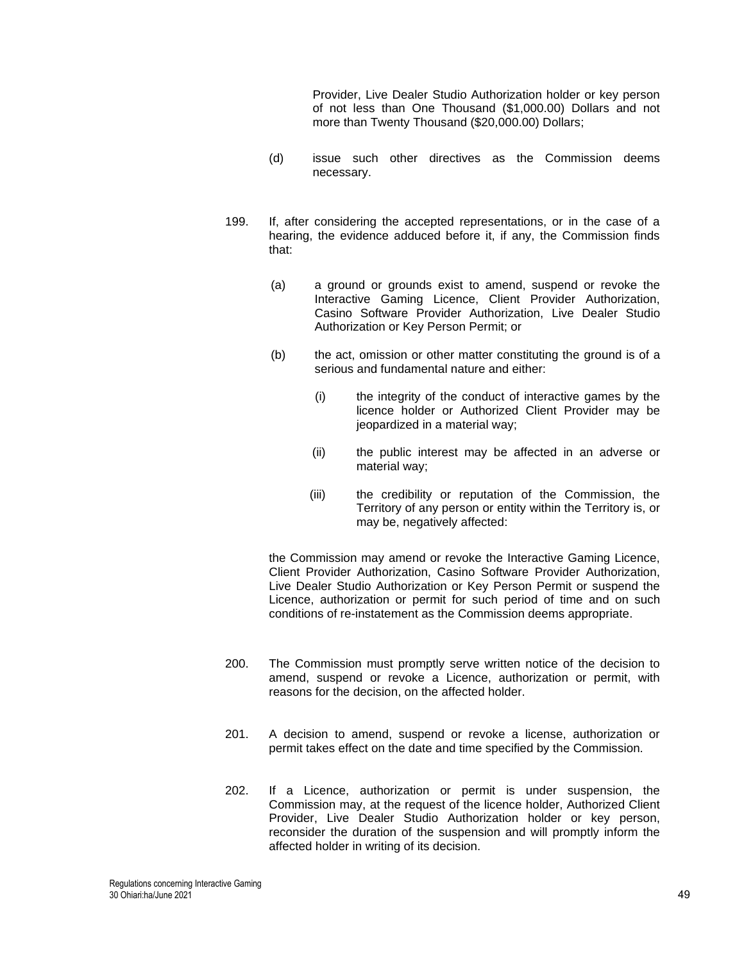Provider, Live Dealer Studio Authorization holder or key person of not less than One Thousand (\$1,000.00) Dollars and not more than Twenty Thousand (\$20,000.00) Dollars;

- (d) issue such other directives as the Commission deems necessary.
- 199. If, after considering the accepted representations, or in the case of a hearing, the evidence adduced before it, if any, the Commission finds that:
	- (a) a ground or grounds exist to amend, suspend or revoke the Interactive Gaming Licence, Client Provider Authorization, Casino Software Provider Authorization, Live Dealer Studio Authorization or Key Person Permit; or
	- (b) the act, omission or other matter constituting the ground is of a serious and fundamental nature and either:
		- (i) the integrity of the conduct of interactive games by the licence holder or Authorized Client Provider may be jeopardized in a material way;
		- (ii) the public interest may be affected in an adverse or material way;
		- (iii) the credibility or reputation of the Commission, the Territory of any person or entity within the Territory is, or may be, negatively affected:

the Commission may amend or revoke the Interactive Gaming Licence, Client Provider Authorization, Casino Software Provider Authorization, Live Dealer Studio Authorization or Key Person Permit or suspend the Licence, authorization or permit for such period of time and on such conditions of re-instatement as the Commission deems appropriate.

- 200. The Commission must promptly serve written notice of the decision to amend, suspend or revoke a Licence, authorization or permit, with reasons for the decision, on the affected holder.
- 201. A decision to amend, suspend or revoke a license, authorization or permit takes effect on the date and time specified by the Commission.
- 202. If a Licence, authorization or permit is under suspension, the Commission may, at the request of the licence holder, Authorized Client Provider, Live Dealer Studio Authorization holder or key person, reconsider the duration of the suspension and will promptly inform the affected holder in writing of its decision.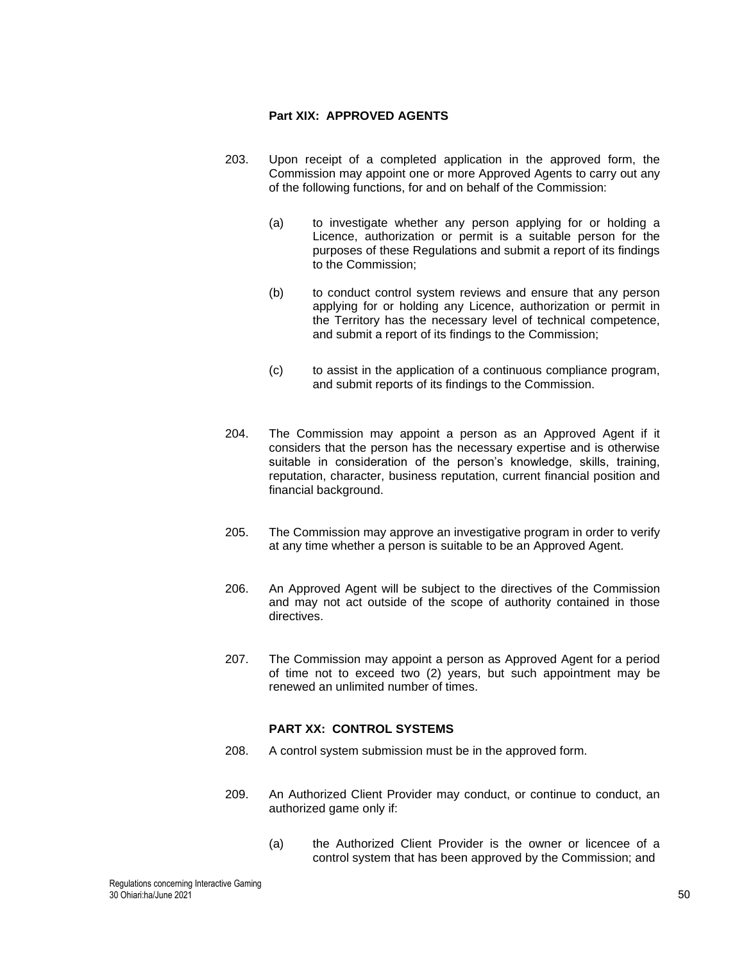## **Part XIX: APPROVED AGENTS**

- 203. Upon receipt of a completed application in the approved form, the Commission may appoint one or more Approved Agents to carry out any of the following functions, for and on behalf of the Commission:
	- (a) to investigate whether any person applying for or holding a Licence, authorization or permit is a suitable person for the purposes of these Regulations and submit a report of its findings to the Commission;
	- (b) to conduct control system reviews and ensure that any person applying for or holding any Licence, authorization or permit in the Territory has the necessary level of technical competence, and submit a report of its findings to the Commission;
	- (c) to assist in the application of a continuous compliance program, and submit reports of its findings to the Commission.
- 204. The Commission may appoint a person as an Approved Agent if it considers that the person has the necessary expertise and is otherwise suitable in consideration of the person's knowledge, skills, training, reputation, character, business reputation, current financial position and financial background.
- 205. The Commission may approve an investigative program in order to verify at any time whether a person is suitable to be an Approved Agent.
- 206. An Approved Agent will be subject to the directives of the Commission and may not act outside of the scope of authority contained in those directives.
- 207. The Commission may appoint a person as Approved Agent for a period of time not to exceed two (2) years, but such appointment may be renewed an unlimited number of times.

## **PART XX: CONTROL SYSTEMS**

- 208. A control system submission must be in the approved form.
- 209. An Authorized Client Provider may conduct, or continue to conduct, an authorized game only if:
	- (a) the Authorized Client Provider is the owner or licencee of a control system that has been approved by the Commission; and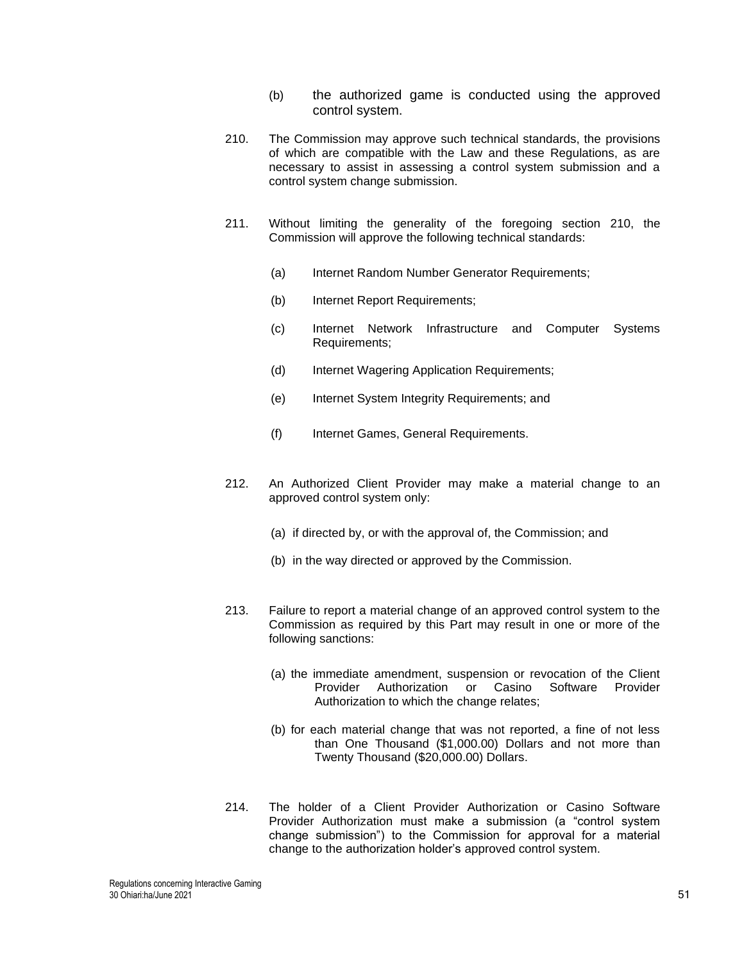- (b) the authorized game is conducted using the approved control system.
- <span id="page-50-0"></span>210. The Commission may approve such technical standards, the provisions of which are compatible with the Law and these Regulations, as are necessary to assist in assessing a control system submission and a control system change submission.
- 211. Without limiting the generality of the foregoing section [210,](#page-50-0) the Commission will approve the following technical standards:
	- (a) Internet Random Number Generator Requirements;
	- (b) Internet Report Requirements;
	- (c) Internet Network Infrastructure and Computer Systems Requirements;
	- (d) Internet Wagering Application Requirements;
	- (e) Internet System Integrity Requirements; and
	- (f) Internet Games, General Requirements.
- 212. An Authorized Client Provider may make a material change to an approved control system only:
	- (a) if directed by, or with the approval of, the Commission; and
	- (b) in the way directed or approved by the Commission.
- 213. Failure to report a material change of an approved control system to the Commission as required by this Part may result in one or more of the following sanctions:
	- (a) the immediate amendment, suspension or revocation of the Client Provider Authorization or Casino Software Provider Authorization to which the change relates;
	- (b) for each material change that was not reported, a fine of not less than One Thousand (\$1,000.00) Dollars and not more than Twenty Thousand (\$20,000.00) Dollars.
- 214. The holder of a Client Provider Authorization or Casino Software Provider Authorization must make a submission (a "control system change submission") to the Commission for approval for a material change to the authorization holder's approved control system.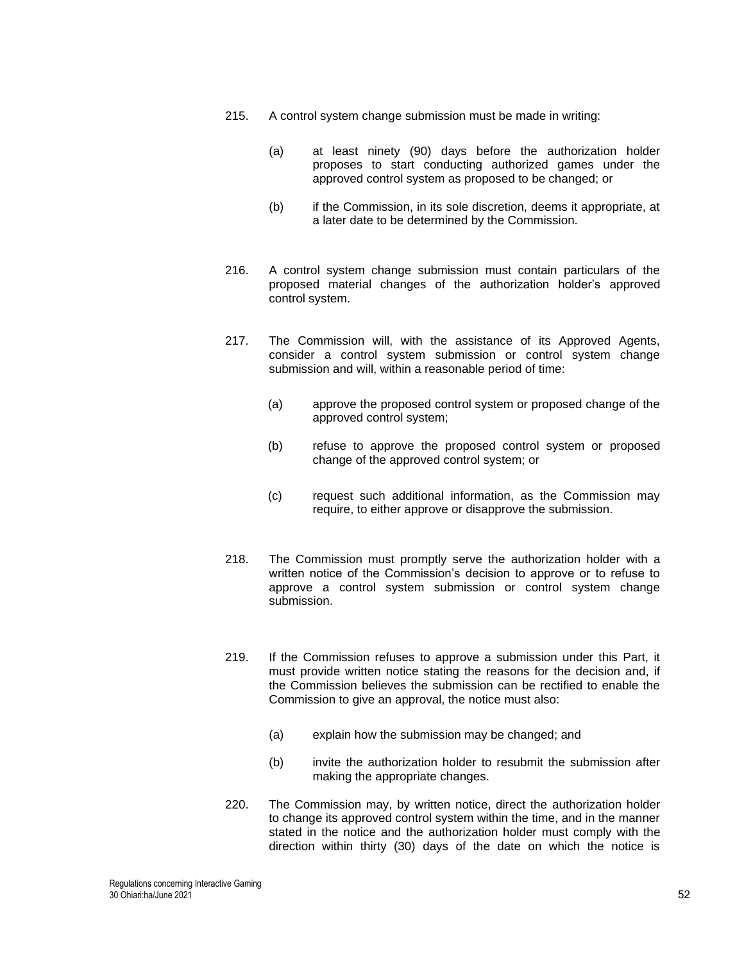- 215. A control system change submission must be made in writing:
	- (a) at least ninety (90) days before the authorization holder proposes to start conducting authorized games under the approved control system as proposed to be changed; or
	- (b) if the Commission, in its sole discretion, deems it appropriate, at a later date to be determined by the Commission.
- 216. A control system change submission must contain particulars of the proposed material changes of the authorization holder's approved control system.
- 217. The Commission will, with the assistance of its Approved Agents, consider a control system submission or control system change submission and will, within a reasonable period of time:
	- (a) approve the proposed control system or proposed change of the approved control system;
	- (b) refuse to approve the proposed control system or proposed change of the approved control system; or
	- (c) request such additional information, as the Commission may require, to either approve or disapprove the submission.
- 218. The Commission must promptly serve the authorization holder with a written notice of the Commission's decision to approve or to refuse to approve a control system submission or control system change submission.
- 219. If the Commission refuses to approve a submission under this Part, it must provide written notice stating the reasons for the decision and, if the Commission believes the submission can be rectified to enable the Commission to give an approval, the notice must also:
	- (a) explain how the submission may be changed; and
	- (b) invite the authorization holder to resubmit the submission after making the appropriate changes.
- <span id="page-51-0"></span>220. The Commission may, by written notice, direct the authorization holder to change its approved control system within the time, and in the manner stated in the notice and the authorization holder must comply with the direction within thirty (30) days of the date on which the notice is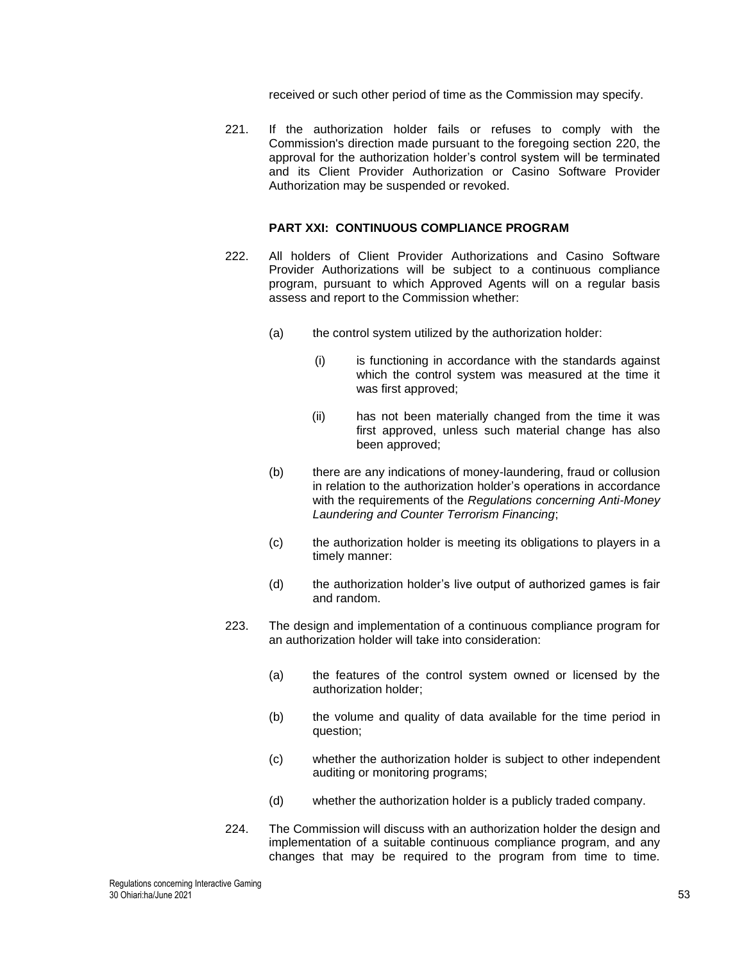received or such other period of time as the Commission may specify.

221. If the authorization holder fails or refuses to comply with the Commission's direction made pursuant to the foregoing section [220,](#page-51-0) the approval for the authorization holder's control system will be terminated and its Client Provider Authorization or Casino Software Provider Authorization may be suspended or revoked.

#### **PART XXI: CONTINUOUS COMPLIANCE PROGRAM**

- 222. All holders of Client Provider Authorizations and Casino Software Provider Authorizations will be subject to a continuous compliance program, pursuant to which Approved Agents will on a regular basis assess and report to the Commission whether:
	- (a) the control system utilized by the authorization holder:
		- (i) is functioning in accordance with the standards against which the control system was measured at the time it was first approved;
		- (ii) has not been materially changed from the time it was first approved, unless such material change has also been approved;
	- (b) there are any indications of money-laundering, fraud or collusion in relation to the authorization holder's operations in accordance with the requirements of the *Regulations concerning Anti-Money Laundering and Counter Terrorism Financing*;
	- (c) the authorization holder is meeting its obligations to players in a timely manner:
	- (d) the authorization holder's live output of authorized games is fair and random.
- 223. The design and implementation of a continuous compliance program for an authorization holder will take into consideration:
	- (a) the features of the control system owned or licensed by the authorization holder;
	- (b) the volume and quality of data available for the time period in question;
	- (c) whether the authorization holder is subject to other independent auditing or monitoring programs;
	- (d) whether the authorization holder is a publicly traded company.
- 224. The Commission will discuss with an authorization holder the design and implementation of a suitable continuous compliance program, and any changes that may be required to the program from time to time.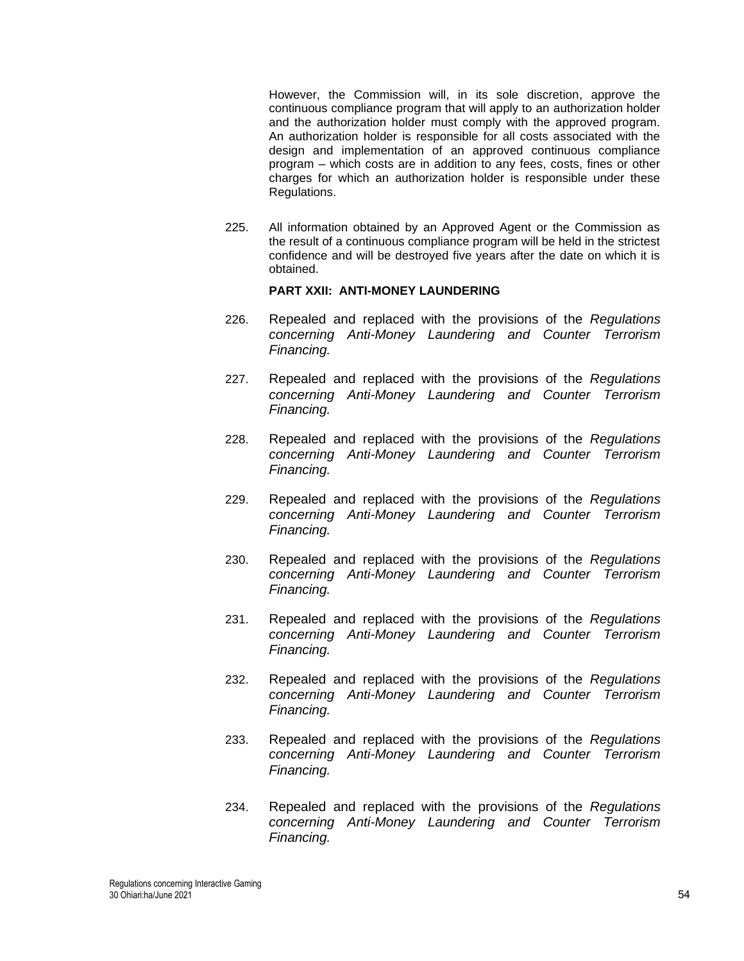However, the Commission will, in its sole discretion, approve the continuous compliance program that will apply to an authorization holder and the authorization holder must comply with the approved program. An authorization holder is responsible for all costs associated with the design and implementation of an approved continuous compliance program – which costs are in addition to any fees, costs, fines or other charges for which an authorization holder is responsible under these Regulations.

225. All information obtained by an Approved Agent or the Commission as the result of a continuous compliance program will be held in the strictest confidence and will be destroyed five years after the date on which it is obtained.

# **PART XXII: ANTI-MONEY LAUNDERING**

- 226. Repealed and replaced with the provisions of the *Regulations concerning Anti-Money Laundering and Counter Terrorism Financing.*
- 227. Repealed and replaced with the provisions of the *Regulations concerning Anti-Money Laundering and Counter Terrorism Financing.*
- 228. Repealed and replaced with the provisions of the *Regulations concerning Anti-Money Laundering and Counter Terrorism Financing.*
- 229. Repealed and replaced with the provisions of the *Regulations concerning Anti-Money Laundering and Counter Terrorism Financing.*
- 230. Repealed and replaced with the provisions of the *Regulations concerning Anti-Money Laundering and Counter Terrorism Financing.*
- 231. Repealed and replaced with the provisions of the *Regulations concerning Anti-Money Laundering and Counter Terrorism Financing.*
- 232. Repealed and replaced with the provisions of the *Regulations concerning Anti-Money Laundering and Counter Terrorism Financing.*
- 233. Repealed and replaced with the provisions of the *Regulations concerning Anti-Money Laundering and Counter Terrorism Financing.*
- 234. Repealed and replaced with the provisions of the *Regulations concerning Anti-Money Laundering and Counter Terrorism Financing.*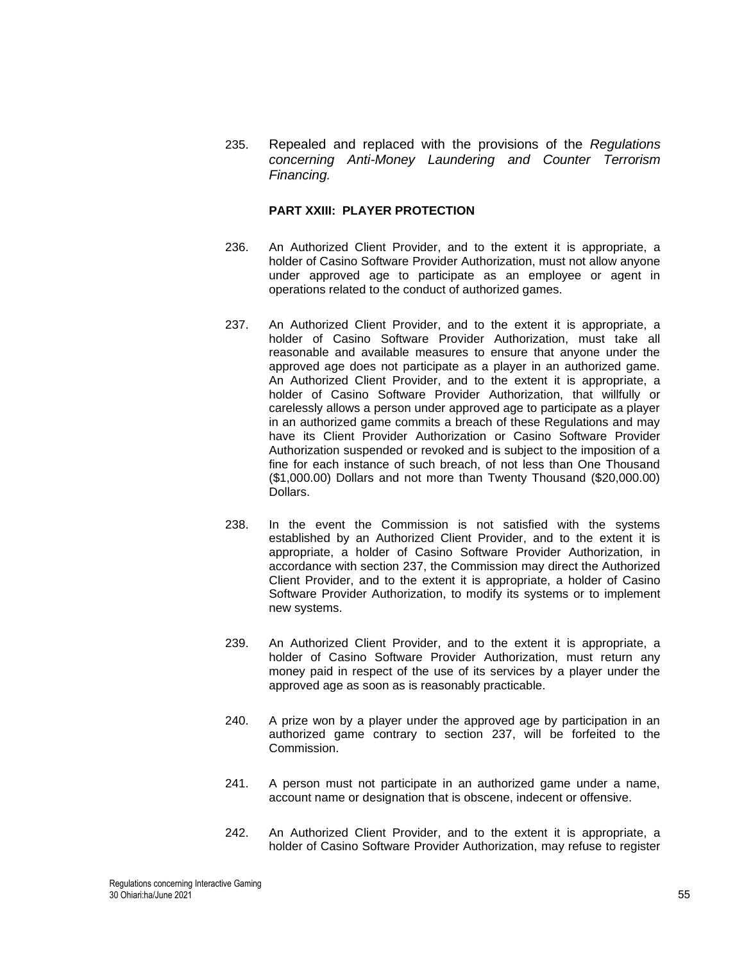235. Repealed and replaced with the provisions of the *Regulations concerning Anti-Money Laundering and Counter Terrorism Financing.*

### **PART XXIII: PLAYER PROTECTION**

- 236. An Authorized Client Provider, and to the extent it is appropriate, a holder of Casino Software Provider Authorization, must not allow anyone under approved age to participate as an employee or agent in operations related to the conduct of authorized games.
- <span id="page-54-0"></span>237. An Authorized Client Provider, and to the extent it is appropriate, a holder of Casino Software Provider Authorization, must take all reasonable and available measures to ensure that anyone under the approved age does not participate as a player in an authorized game. An Authorized Client Provider, and to the extent it is appropriate, a holder of Casino Software Provider Authorization, that willfully or carelessly allows a person under approved age to participate as a player in an authorized game commits a breach of these Regulations and may have its Client Provider Authorization or Casino Software Provider Authorization suspended or revoked and is subject to the imposition of a fine for each instance of such breach, of not less than One Thousand (\$1,000.00) Dollars and not more than Twenty Thousand (\$20,000.00) Dollars.
- 238. In the event the Commission is not satisfied with the systems established by an Authorized Client Provider, and to the extent it is appropriate, a holder of Casino Software Provider Authorization, in accordance with section [237,](#page-54-0) the Commission may direct the Authorized Client Provider, and to the extent it is appropriate, a holder of Casino Software Provider Authorization, to modify its systems or to implement new systems.
- 239. An Authorized Client Provider, and to the extent it is appropriate, a holder of Casino Software Provider Authorization, must return any money paid in respect of the use of its services by a player under the approved age as soon as is reasonably practicable.
- 240. A prize won by a player under the approved age by participation in an authorized game contrary to section [237,](#page-54-0) will be forfeited to the Commission.
- 241. A person must not participate in an authorized game under a name, account name or designation that is obscene, indecent or offensive.
- 242. An Authorized Client Provider, and to the extent it is appropriate, a holder of Casino Software Provider Authorization, may refuse to register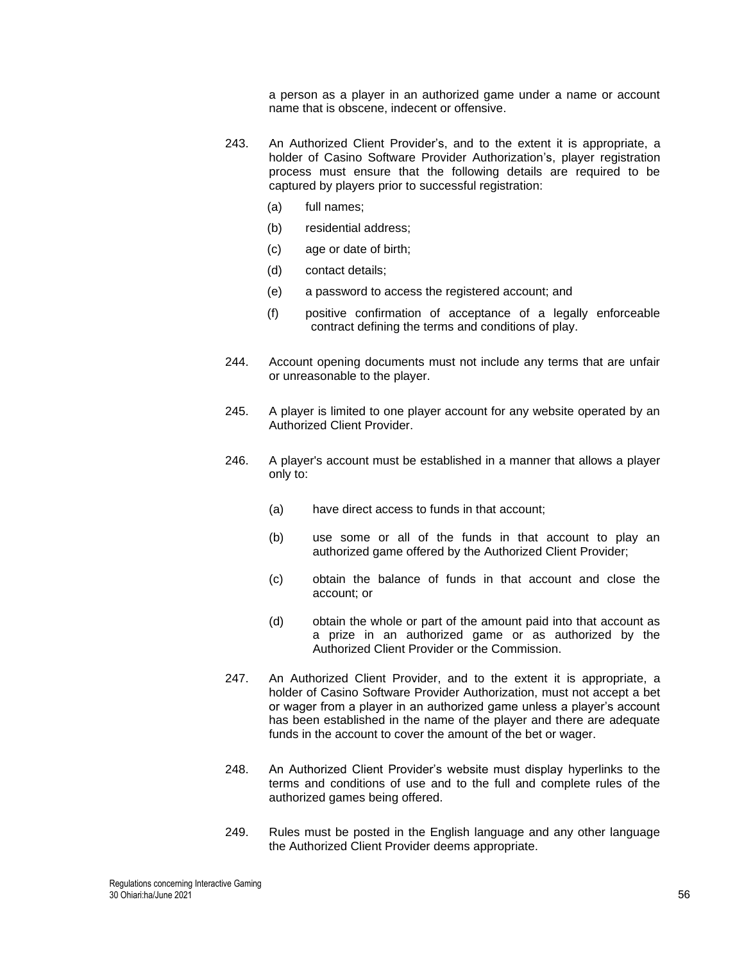a person as a player in an authorized game under a name or account name that is obscene, indecent or offensive.

- 243. An Authorized Client Provider's, and to the extent it is appropriate, a holder of Casino Software Provider Authorization's, player registration process must ensure that the following details are required to be captured by players prior to successful registration:
	- (a) full names;
	- (b) residential address;
	- (c) age or date of birth;
	- (d) contact details;
	- (e) a password to access the registered account; and
	- (f) positive confirmation of acceptance of a legally enforceable contract defining the terms and conditions of play.
- 244. Account opening documents must not include any terms that are unfair or unreasonable to the player.
- 245. A player is limited to one player account for any website operated by an Authorized Client Provider.
- 246. A player's account must be established in a manner that allows a player only to:
	- (a) have direct access to funds in that account;
	- (b) use some or all of the funds in that account to play an authorized game offered by the Authorized Client Provider;
	- (c) obtain the balance of funds in that account and close the account; or
	- (d) obtain the whole or part of the amount paid into that account as a prize in an authorized game or as authorized by the Authorized Client Provider or the Commission.
- 247. An Authorized Client Provider, and to the extent it is appropriate, a holder of Casino Software Provider Authorization, must not accept a bet or wager from a player in an authorized game unless a player's account has been established in the name of the player and there are adequate funds in the account to cover the amount of the bet or wager.
- 248. An Authorized Client Provider's website must display hyperlinks to the terms and conditions of use and to the full and complete rules of the authorized games being offered.
- 249. Rules must be posted in the English language and any other language the Authorized Client Provider deems appropriate.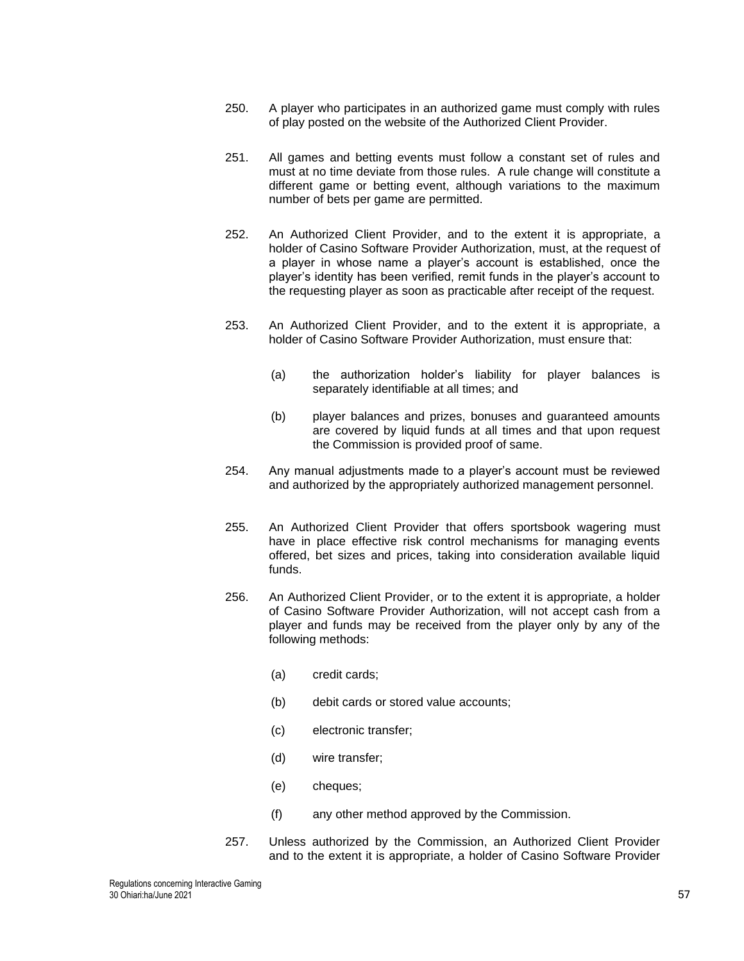- 250. A player who participates in an authorized game must comply with rules of play posted on the website of the Authorized Client Provider.
- 251. All games and betting events must follow a constant set of rules and must at no time deviate from those rules. A rule change will constitute a different game or betting event, although variations to the maximum number of bets per game are permitted.
- 252. An Authorized Client Provider, and to the extent it is appropriate, a holder of Casino Software Provider Authorization, must, at the request of a player in whose name a player's account is established, once the player's identity has been verified, remit funds in the player's account to the requesting player as soon as practicable after receipt of the request.
- 253. An Authorized Client Provider, and to the extent it is appropriate, a holder of Casino Software Provider Authorization, must ensure that:
	- (a) the authorization holder's liability for player balances is separately identifiable at all times; and
	- (b) player balances and prizes, bonuses and guaranteed amounts are covered by liquid funds at all times and that upon request the Commission is provided proof of same.
- 254. Any manual adjustments made to a player's account must be reviewed and authorized by the appropriately authorized management personnel.
- 255. An Authorized Client Provider that offers sportsbook wagering must have in place effective risk control mechanisms for managing events offered, bet sizes and prices, taking into consideration available liquid funds.
- 256. An Authorized Client Provider, or to the extent it is appropriate, a holder of Casino Software Provider Authorization, will not accept cash from a player and funds may be received from the player only by any of the following methods:
	- (a) credit cards;
	- (b) debit cards or stored value accounts;
	- (c) electronic transfer;
	- (d) wire transfer;
	- (e) cheques;
	- (f) any other method approved by the Commission.
- 257. Unless authorized by the Commission, an Authorized Client Provider and to the extent it is appropriate, a holder of Casino Software Provider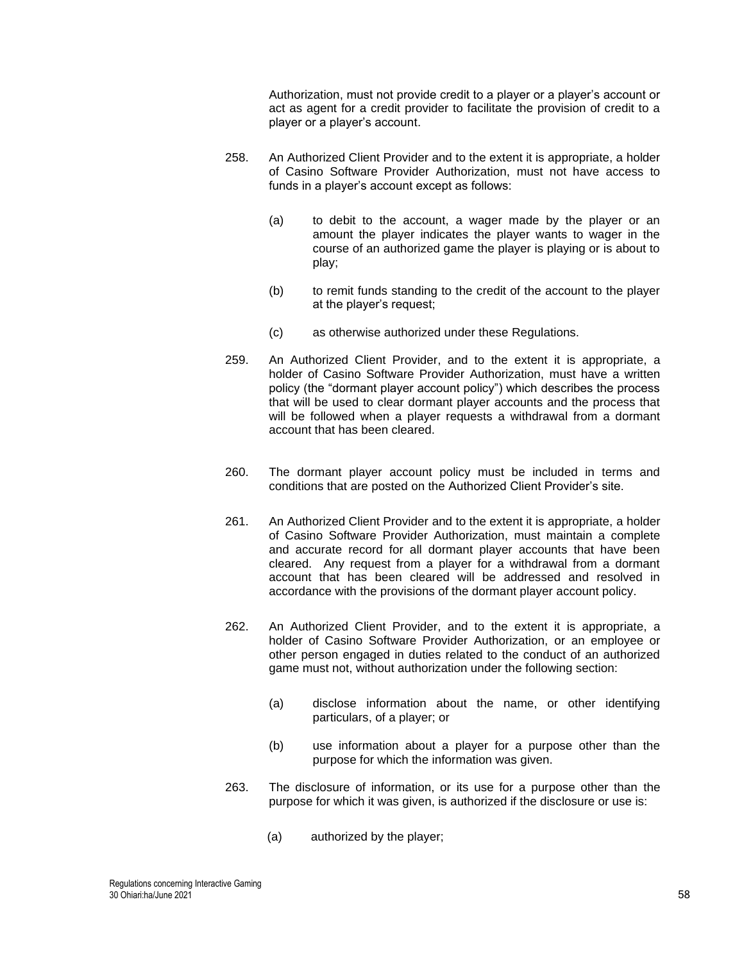Authorization, must not provide credit to a player or a player's account or act as agent for a credit provider to facilitate the provision of credit to a player or a player's account.

- 258. An Authorized Client Provider and to the extent it is appropriate, a holder of Casino Software Provider Authorization, must not have access to funds in a player's account except as follows:
	- (a) to debit to the account, a wager made by the player or an amount the player indicates the player wants to wager in the course of an authorized game the player is playing or is about to play;
	- (b) to remit funds standing to the credit of the account to the player at the player's request;
	- (c) as otherwise authorized under these Regulations.
- 259. An Authorized Client Provider, and to the extent it is appropriate, a holder of Casino Software Provider Authorization, must have a written policy (the "dormant player account policy") which describes the process that will be used to clear dormant player accounts and the process that will be followed when a player requests a withdrawal from a dormant account that has been cleared.
- 260. The dormant player account policy must be included in terms and conditions that are posted on the Authorized Client Provider's site.
- 261. An Authorized Client Provider and to the extent it is appropriate, a holder of Casino Software Provider Authorization, must maintain a complete and accurate record for all dormant player accounts that have been cleared. Any request from a player for a withdrawal from a dormant account that has been cleared will be addressed and resolved in accordance with the provisions of the dormant player account policy.
- 262. An Authorized Client Provider, and to the extent it is appropriate, a holder of Casino Software Provider Authorization, or an employee or other person engaged in duties related to the conduct of an authorized game must not, without authorization under the following section:
	- (a) disclose information about the name, or other identifying particulars, of a player; or
	- (b) use information about a player for a purpose other than the purpose for which the information was given.
- 263. The disclosure of information, or its use for a purpose other than the purpose for which it was given, is authorized if the disclosure or use is:
	- (a) authorized by the player;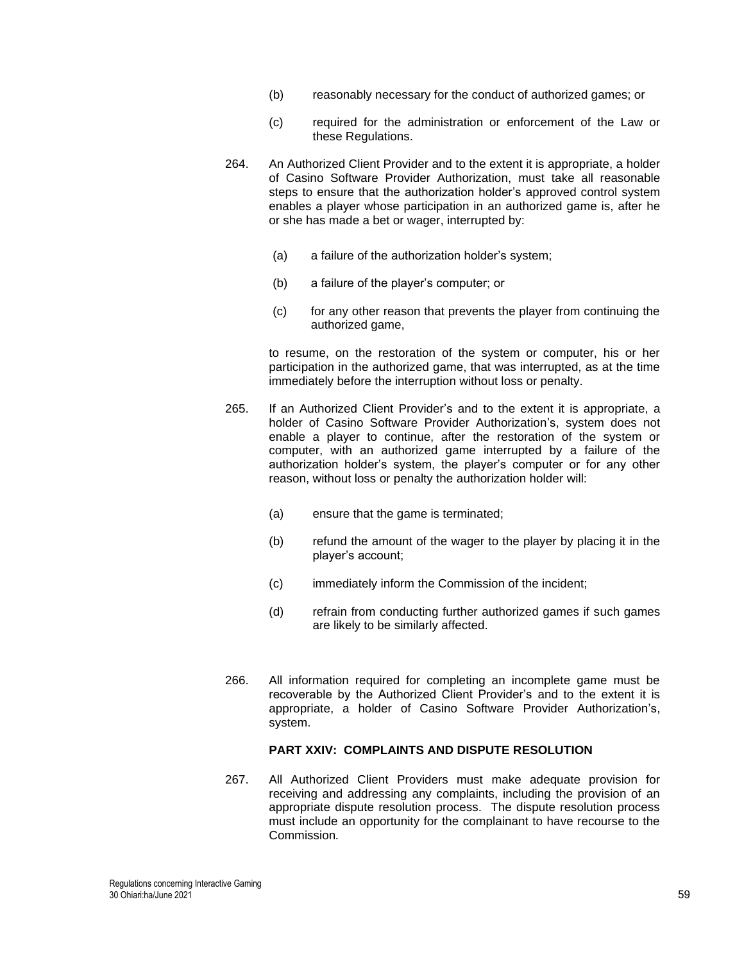- (b) reasonably necessary for the conduct of authorized games; or
- (c) required for the administration or enforcement of the Law or these Regulations.
- 264. An Authorized Client Provider and to the extent it is appropriate, a holder of Casino Software Provider Authorization, must take all reasonable steps to ensure that the authorization holder's approved control system enables a player whose participation in an authorized game is, after he or she has made a bet or wager, interrupted by:
	- (a) a failure of the authorization holder's system;
	- (b) a failure of the player's computer; or
	- (c) for any other reason that prevents the player from continuing the authorized game,

to resume, on the restoration of the system or computer, his or her participation in the authorized game, that was interrupted, as at the time immediately before the interruption without loss or penalty.

- 265. If an Authorized Client Provider's and to the extent it is appropriate, a holder of Casino Software Provider Authorization's, system does not enable a player to continue, after the restoration of the system or computer, with an authorized game interrupted by a failure of the authorization holder's system, the player's computer or for any other reason, without loss or penalty the authorization holder will:
	- (a) ensure that the game is terminated;
	- (b) refund the amount of the wager to the player by placing it in the player's account;
	- (c) immediately inform the Commission of the incident;
	- (d) refrain from conducting further authorized games if such games are likely to be similarly affected.
- 266. All information required for completing an incomplete game must be recoverable by the Authorized Client Provider's and to the extent it is appropriate, a holder of Casino Software Provider Authorization's, system.

## **PART XXIV: COMPLAINTS AND DISPUTE RESOLUTION**

267. All Authorized Client Providers must make adequate provision for receiving and addressing any complaints, including the provision of an appropriate dispute resolution process. The dispute resolution process must include an opportunity for the complainant to have recourse to the Commission*.*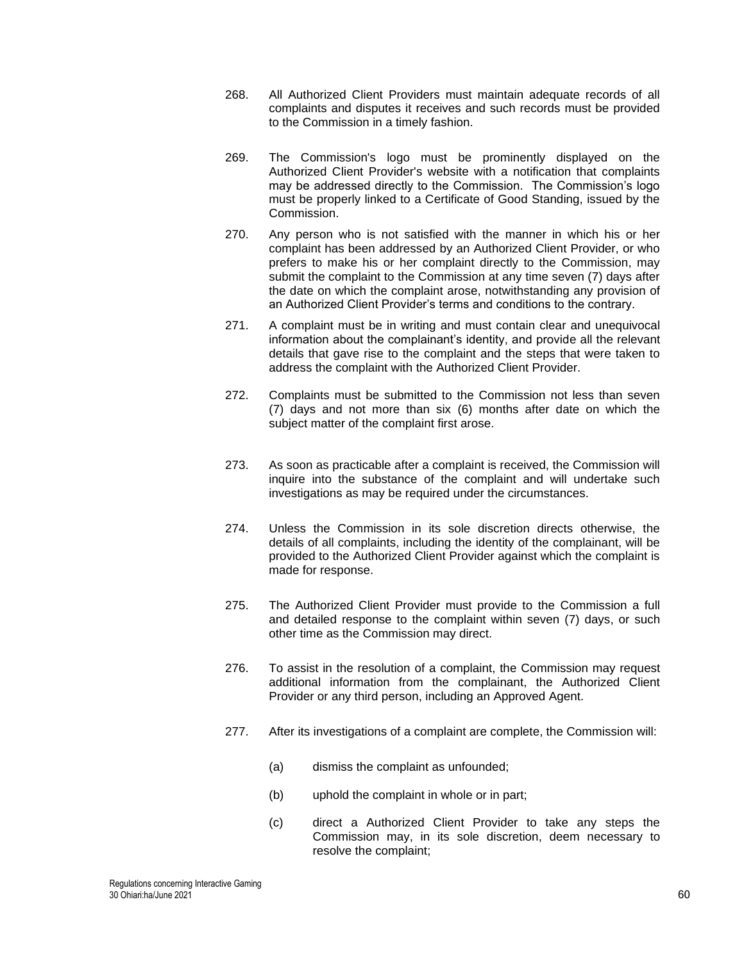- 268. All Authorized Client Providers must maintain adequate records of all complaints and disputes it receives and such records must be provided to the Commission in a timely fashion.
- 269. The Commission's logo must be prominently displayed on the Authorized Client Provider's website with a notification that complaints may be addressed directly to the Commission. The Commission's logo must be properly linked to a Certificate of Good Standing, issued by the Commission.
- 270. Any person who is not satisfied with the manner in which his or her complaint has been addressed by an Authorized Client Provider, or who prefers to make his or her complaint directly to the Commission, may submit the complaint to the Commission at any time seven (7) days after the date on which the complaint arose, notwithstanding any provision of an Authorized Client Provider's terms and conditions to the contrary*.*
- 271. A complaint must be in writing and must contain clear and unequivocal information about the complainant's identity, and provide all the relevant details that gave rise to the complaint and the steps that were taken to address the complaint with the Authorized Client Provider.
- 272. Complaints must be submitted to the Commission not less than seven (7) days and not more than six (6) months after date on which the subject matter of the complaint first arose.
- 273. As soon as practicable after a complaint is received, the Commission will inquire into the substance of the complaint and will undertake such investigations as may be required under the circumstances.
- 274. Unless the Commission in its sole discretion directs otherwise, the details of all complaints, including the identity of the complainant, will be provided to the Authorized Client Provider against which the complaint is made for response.
- 275. The Authorized Client Provider must provide to the Commission a full and detailed response to the complaint within seven (7) days, or such other time as the Commission may direct.
- 276. To assist in the resolution of a complaint, the Commission may request additional information from the complainant, the Authorized Client Provider or any third person, including an Approved Agent.
- 277. After its investigations of a complaint are complete, the Commission will:
	- (a) dismiss the complaint as unfounded;
	- (b) uphold the complaint in whole or in part;
	- (c) direct a Authorized Client Provider to take any steps the Commission may, in its sole discretion, deem necessary to resolve the complaint;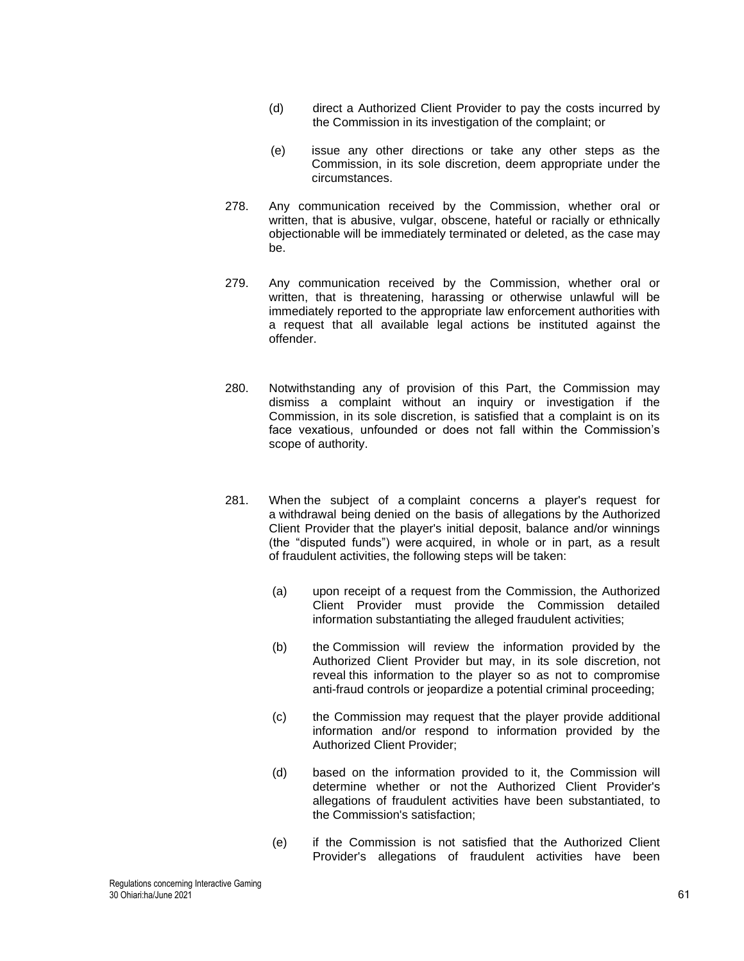- (d) direct a Authorized Client Provider to pay the costs incurred by the Commission in its investigation of the complaint; or
- (e) issue any other directions or take any other steps as the Commission, in its sole discretion, deem appropriate under the circumstances.
- 278. Any communication received by the Commission, whether oral or written, that is abusive, vulgar, obscene, hateful or racially or ethnically objectionable will be immediately terminated or deleted, as the case may be.
- 279. Any communication received by the Commission, whether oral or written, that is threatening, harassing or otherwise unlawful will be immediately reported to the appropriate law enforcement authorities with a request that all available legal actions be instituted against the offender.
- 280. Notwithstanding any of provision of this Part, the Commission may dismiss a complaint without an inquiry or investigation if the Commission, in its sole discretion, is satisfied that a complaint is on its face vexatious, unfounded or does not fall within the Commission's scope of authority.
- 281. When the subject of a complaint concerns a player's request for a withdrawal being denied on the basis of allegations by the Authorized Client Provider that the player's initial deposit, balance and/or winnings (the "disputed funds") were acquired, in whole or in part, as a result of fraudulent activities, the following steps will be taken:
	- (a) upon receipt of a request from the Commission, the Authorized Client Provider must provide the Commission detailed information substantiating the alleged fraudulent activities;
	- (b) the Commission will review the information provided by the Authorized Client Provider but may, in its sole discretion, not reveal this information to the player so as not to compromise anti-fraud controls or jeopardize a potential criminal proceeding;
	- (c) the Commission may request that the player provide additional information and/or respond to information provided by the Authorized Client Provider;
	- (d) based on the information provided to it, the Commission will determine whether or not the Authorized Client Provider's allegations of fraudulent activities have been substantiated, to the Commission's satisfaction;
	- (e) if the Commission is not satisfied that the Authorized Client Provider's allegations of fraudulent activities have been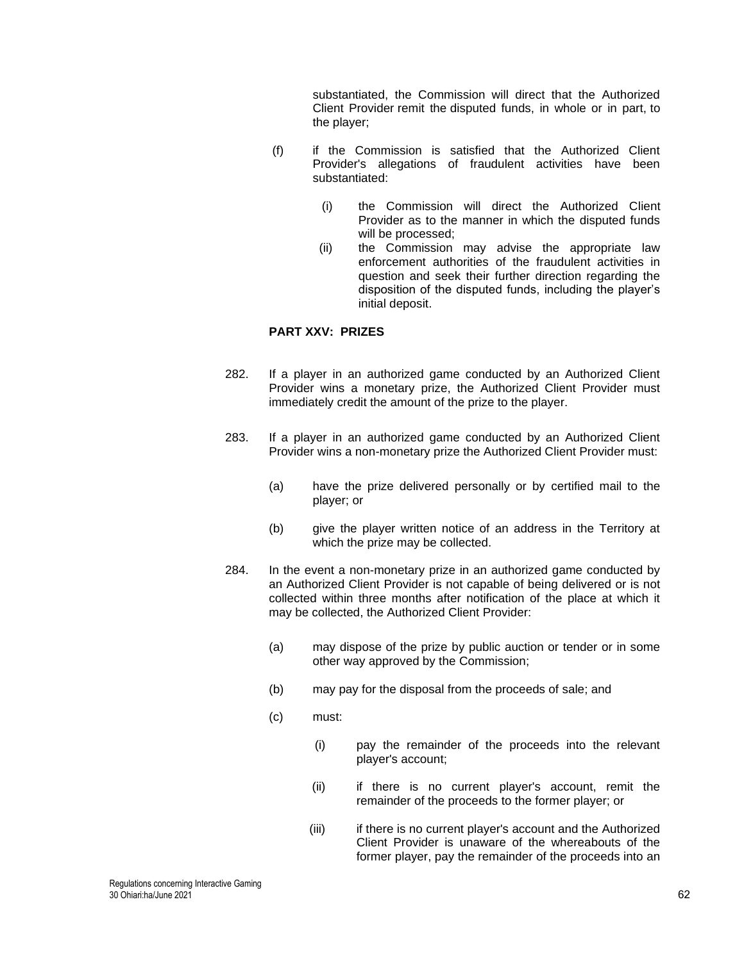substantiated, the Commission will direct that the Authorized Client Provider remit the disputed funds, in whole or in part, to the player;

- (f) if the Commission is satisfied that the Authorized Client Provider's allegations of fraudulent activities have been substantiated:
	- (i) the Commission will direct the Authorized Client Provider as to the manner in which the disputed funds will be processed;
	- (ii) the Commission may advise the appropriate law enforcement authorities of the fraudulent activities in question and seek their further direction regarding the disposition of the disputed funds, including the player's initial deposit.

# **PART XXV: PRIZES**

- 282. If a player in an authorized game conducted by an Authorized Client Provider wins a monetary prize, the Authorized Client Provider must immediately credit the amount of the prize to the player.
- 283. If a player in an authorized game conducted by an Authorized Client Provider wins a non-monetary prize the Authorized Client Provider must:
	- (a) have the prize delivered personally or by certified mail to the player; or
	- (b) give the player written notice of an address in the Territory at which the prize may be collected.
- 284. In the event a non-monetary prize in an authorized game conducted by an Authorized Client Provider is not capable of being delivered or is not collected within three months after notification of the place at which it may be collected, the Authorized Client Provider:
	- (a) may dispose of the prize by public auction or tender or in some other way approved by the Commission;
	- (b) may pay for the disposal from the proceeds of sale; and
	- (c) must:
		- (i) pay the remainder of the proceeds into the relevant player's account;
		- (ii) if there is no current player's account, remit the remainder of the proceeds to the former player; or
		- (iii) if there is no current player's account and the Authorized Client Provider is unaware of the whereabouts of the former player, pay the remainder of the proceeds into an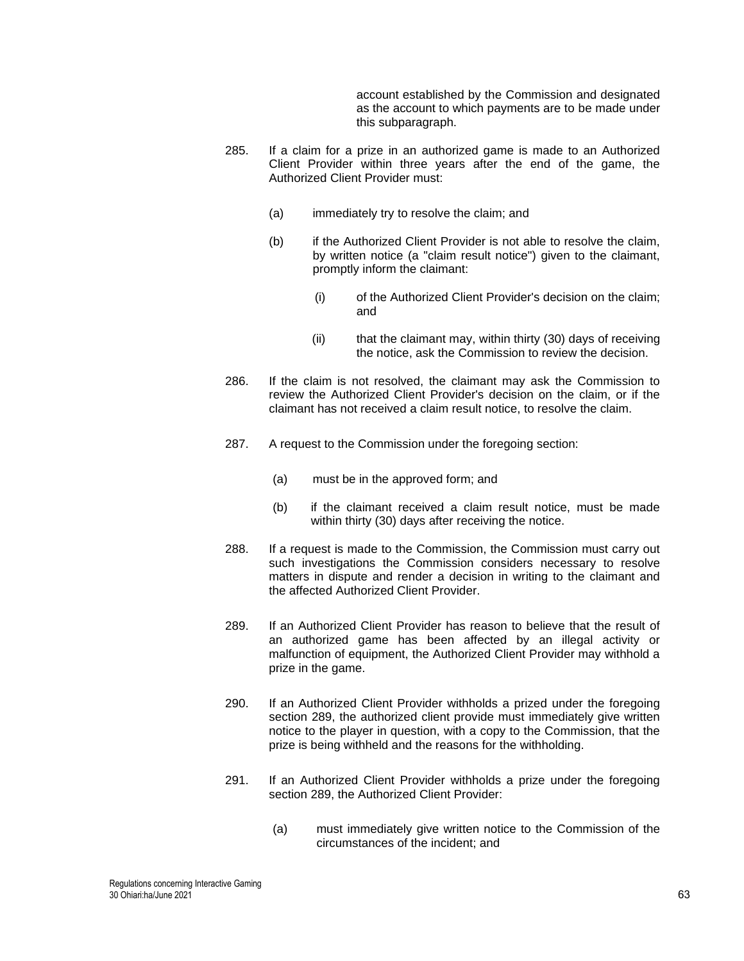account established by the Commission and designated as the account to which payments are to be made under this subparagraph.

- 285. If a claim for a prize in an authorized game is made to an Authorized Client Provider within three years after the end of the game, the Authorized Client Provider must:
	- (a) immediately try to resolve the claim; and
	- (b) if the Authorized Client Provider is not able to resolve the claim, by written notice (a "claim result notice") given to the claimant, promptly inform the claimant:
		- (i) of the Authorized Client Provider's decision on the claim; and
		- (ii) that the claimant may, within thirty (30) days of receiving the notice, ask the Commission to review the decision.
- 286. If the claim is not resolved, the claimant may ask the Commission to review the Authorized Client Provider's decision on the claim, or if the claimant has not received a claim result notice, to resolve the claim.
- 287. A request to the Commission under the foregoing section:
	- (a) must be in the approved form; and
	- (b) if the claimant received a claim result notice, must be made within thirty (30) days after receiving the notice.
- 288. If a request is made to the Commission, the Commission must carry out such investigations the Commission considers necessary to resolve matters in dispute and render a decision in writing to the claimant and the affected Authorized Client Provider.
- <span id="page-62-0"></span>289. If an Authorized Client Provider has reason to believe that the result of an authorized game has been affected by an illegal activity or malfunction of equipment, the Authorized Client Provider may withhold a prize in the game.
- 290. If an Authorized Client Provider withholds a prized under the foregoing section [289,](#page-62-0) the authorized client provide must immediately give written notice to the player in question, with a copy to the Commission, that the prize is being withheld and the reasons for the withholding.
- 291. If an Authorized Client Provider withholds a prize under the foregoing section [289,](#page-62-0) the Authorized Client Provider:
	- (a) must immediately give written notice to the Commission of the circumstances of the incident; and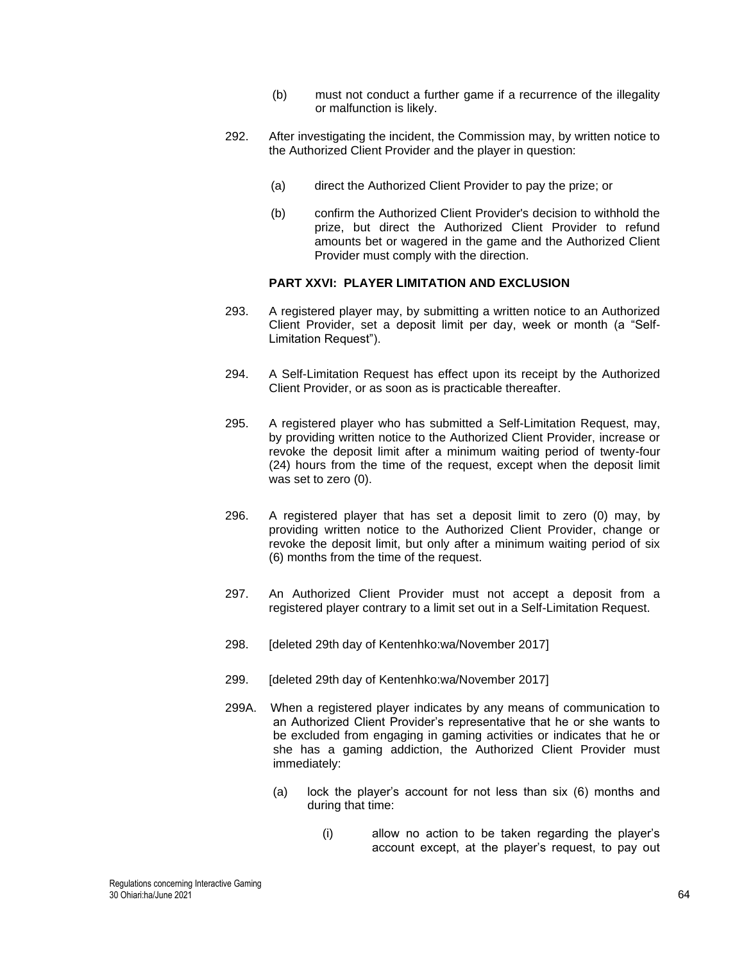- (b) must not conduct a further game if a recurrence of the illegality or malfunction is likely.
- 292. After investigating the incident, the Commission may, by written notice to the Authorized Client Provider and the player in question:
	- (a) direct the Authorized Client Provider to pay the prize; or
	- (b) confirm the Authorized Client Provider's decision to withhold the prize, but direct the Authorized Client Provider to refund amounts bet or wagered in the game and the Authorized Client Provider must comply with the direction.

# **PART XXVI: PLAYER LIMITATION AND EXCLUSION**

- 293. A registered player may, by submitting a written notice to an Authorized Client Provider, set a deposit limit per day, week or month (a "Self-Limitation Request").
- 294. A Self-Limitation Request has effect upon its receipt by the Authorized Client Provider, or as soon as is practicable thereafter.
- 295. A registered player who has submitted a Self-Limitation Request, may, by providing written notice to the Authorized Client Provider, increase or revoke the deposit limit after a minimum waiting period of twenty-four (24) hours from the time of the request, except when the deposit limit was set to zero (0).
- 296. A registered player that has set a deposit limit to zero (0) may, by providing written notice to the Authorized Client Provider, change or revoke the deposit limit, but only after a minimum waiting period of six (6) months from the time of the request.
- 297. An Authorized Client Provider must not accept a deposit from a registered player contrary to a limit set out in a Self-Limitation Request.
- 298. [deleted 29th day of Kentenhko:wa/November 2017]
- 299. [deleted 29th day of Kentenhko:wa/November 2017]
- 299A. When a registered player indicates by any means of communication to an Authorized Client Provider's representative that he or she wants to be excluded from engaging in gaming activities or indicates that he or she has a gaming addiction, the Authorized Client Provider must immediately:
	- (a) lock the player's account for not less than six (6) months and during that time:
		- (i) allow no action to be taken regarding the player's account except, at the player's request, to pay out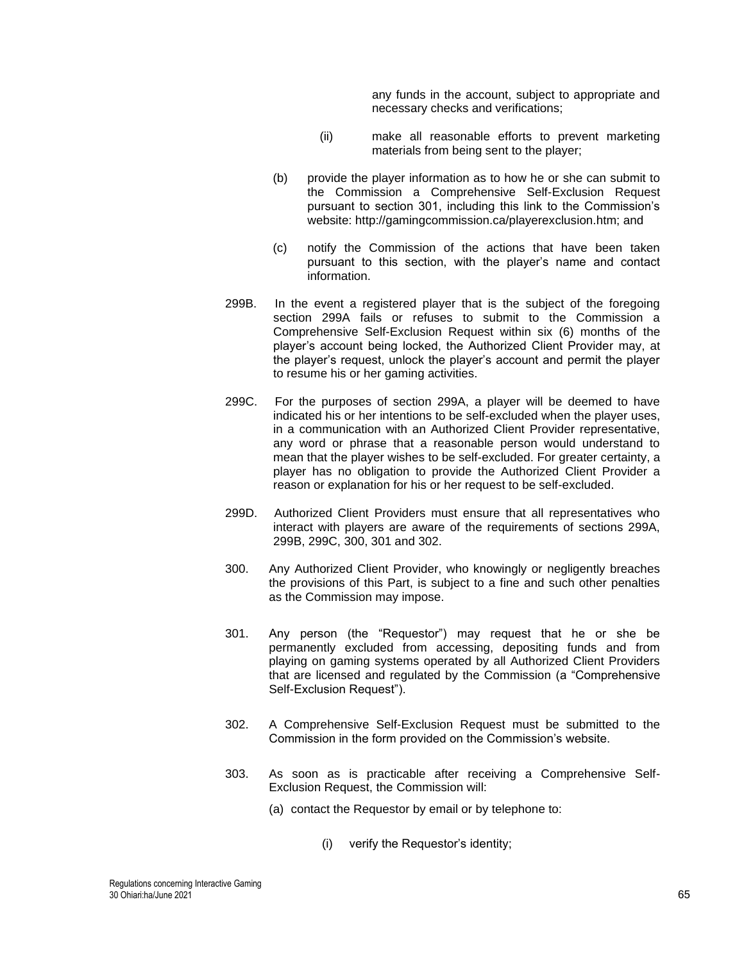any funds in the account, subject to appropriate and necessary checks and verifications;

- (ii) make all reasonable efforts to prevent marketing materials from being sent to the player;
- (b) provide the player information as to how he or she can submit to the Commission a Comprehensive Self-Exclusion Request pursuant to section 301, including this link to the Commission's website: http://gamingcommission.ca/playerexclusion.htm; and
- (c) notify the Commission of the actions that have been taken pursuant to this section, with the player's name and contact information.
- 299B. In the event a registered player that is the subject of the foregoing section 299A fails or refuses to submit to the Commission a Comprehensive Self-Exclusion Request within six (6) months of the player's account being locked, the Authorized Client Provider may, at the player's request, unlock the player's account and permit the player to resume his or her gaming activities.
- 299C. For the purposes of section 299A, a player will be deemed to have indicated his or her intentions to be self-excluded when the player uses, in a communication with an Authorized Client Provider representative, any word or phrase that a reasonable person would understand to mean that the player wishes to be self-excluded. For greater certainty, a player has no obligation to provide the Authorized Client Provider a reason or explanation for his or her request to be self-excluded.
- 299D. Authorized Client Providers must ensure that all representatives who interact with players are aware of the requirements of sections 299A, 299B, 299C, 300, 301 and 302.
- 300. Any Authorized Client Provider, who knowingly or negligently breaches the provisions of this Part, is subject to a fine and such other penalties as the Commission may impose.
- 301. Any person (the "Requestor") may request that he or she be permanently excluded from accessing, depositing funds and from playing on gaming systems operated by all Authorized Client Providers that are licensed and regulated by the Commission (a "Comprehensive Self-Exclusion Request").
- 302. A Comprehensive Self-Exclusion Request must be submitted to the Commission in the form provided on the Commission's website.
- 303. As soon as is practicable after receiving a Comprehensive Self-Exclusion Request, the Commission will:
	- (a) contact the Requestor by email or by telephone to:
		- (i) verify the Requestor's identity;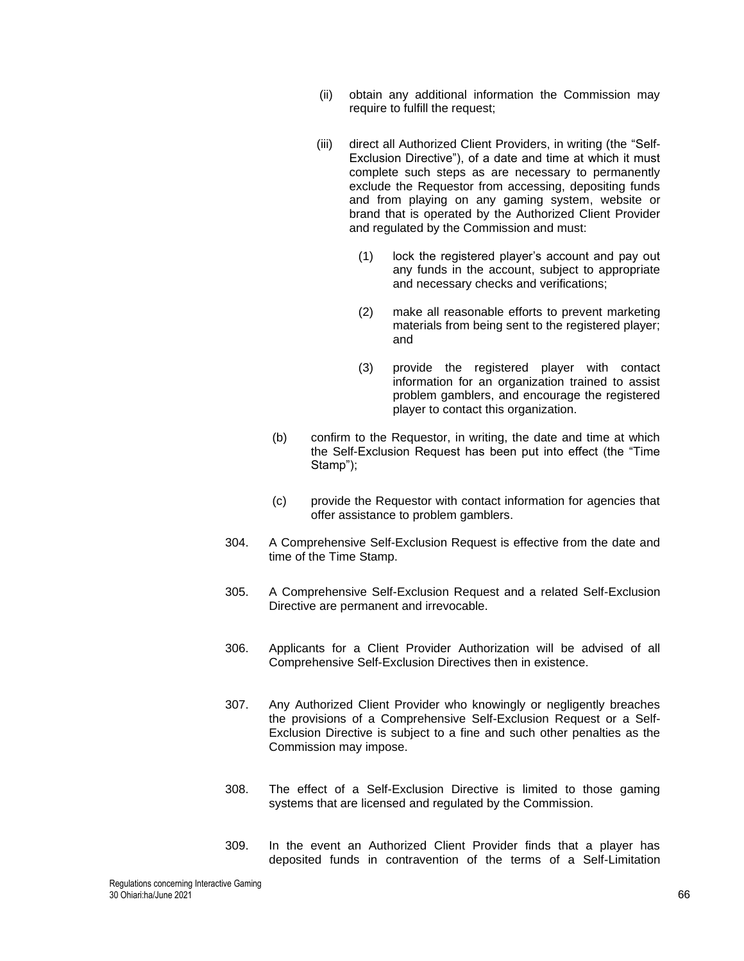- (ii) obtain any additional information the Commission may require to fulfill the request:
- (iii) direct all Authorized Client Providers, in writing (the "Self-Exclusion Directive"), of a date and time at which it must complete such steps as are necessary to permanently exclude the Requestor from accessing, depositing funds and from playing on any gaming system, website or brand that is operated by the Authorized Client Provider and regulated by the Commission and must:
	- (1) lock the registered player's account and pay out any funds in the account, subject to appropriate and necessary checks and verifications;
	- (2) make all reasonable efforts to prevent marketing materials from being sent to the registered player; and
	- (3) provide the registered player with contact information for an organization trained to assist problem gamblers, and encourage the registered player to contact this organization.
- (b) confirm to the Requestor, in writing, the date and time at which the Self-Exclusion Request has been put into effect (the "Time Stamp");
- (c) provide the Requestor with contact information for agencies that offer assistance to problem gamblers.
- 304. A Comprehensive Self-Exclusion Request is effective from the date and time of the Time Stamp.
- 305. A Comprehensive Self-Exclusion Request and a related Self-Exclusion Directive are permanent and irrevocable.
- 306. Applicants for a Client Provider Authorization will be advised of all Comprehensive Self-Exclusion Directives then in existence.
- 307. Any Authorized Client Provider who knowingly or negligently breaches the provisions of a Comprehensive Self-Exclusion Request or a Self-Exclusion Directive is subject to a fine and such other penalties as the Commission may impose.
- 308. The effect of a Self-Exclusion Directive is limited to those gaming systems that are licensed and regulated by the Commission.
- 309. In the event an Authorized Client Provider finds that a player has deposited funds in contravention of the terms of a Self-Limitation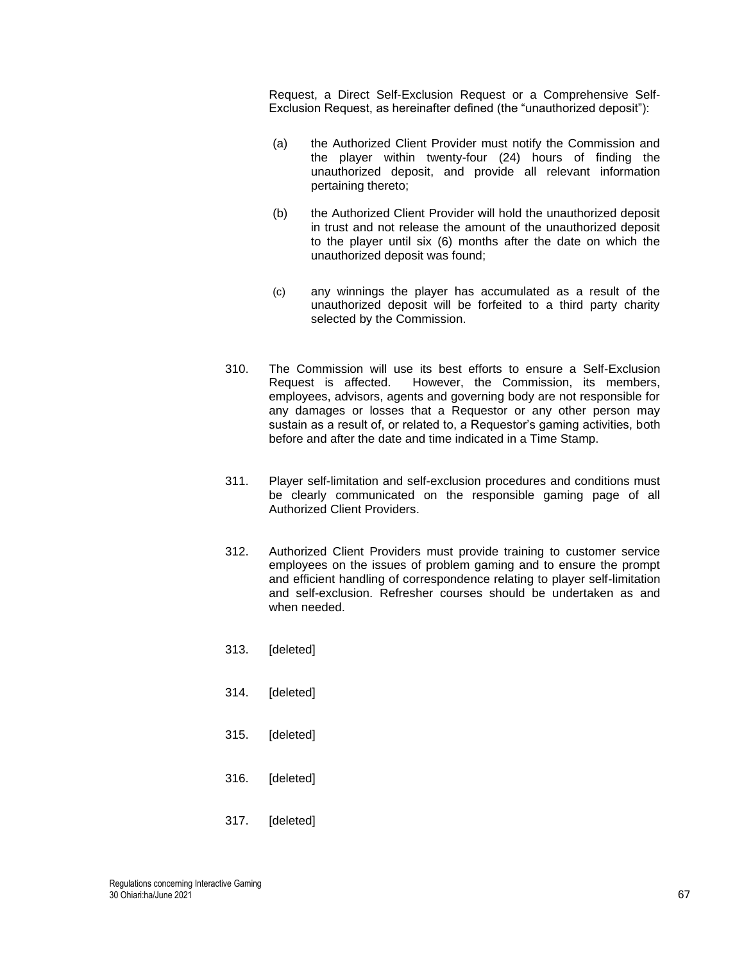Request, a Direct Self-Exclusion Request or a Comprehensive Self-Exclusion Request, as hereinafter defined (the "unauthorized deposit"):

- (a) the Authorized Client Provider must notify the Commission and the player within twenty-four (24) hours of finding the unauthorized deposit, and provide all relevant information pertaining thereto;
- (b) the Authorized Client Provider will hold the unauthorized deposit in trust and not release the amount of the unauthorized deposit to the player until six (6) months after the date on which the unauthorized deposit was found;
- (c) any winnings the player has accumulated as a result of the unauthorized deposit will be forfeited to a third party charity selected by the Commission.
- 310. The Commission will use its best efforts to ensure a Self-Exclusion Request is affected. However, the Commission, its members, employees, advisors, agents and governing body are not responsible for any damages or losses that a Requestor or any other person may sustain as a result of, or related to, a Requestor's gaming activities, both before and after the date and time indicated in a Time Stamp.
- 311. Player self-limitation and self-exclusion procedures and conditions must be clearly communicated on the responsible gaming page of all Authorized Client Providers.
- 312. Authorized Client Providers must provide training to customer service employees on the issues of problem gaming and to ensure the prompt and efficient handling of correspondence relating to player self-limitation and self-exclusion. Refresher courses should be undertaken as and when needed.
- 313. [deleted]
- 314. [deleted]
- 315. [deleted]
- 316. [deleted]
- 317. [deleted]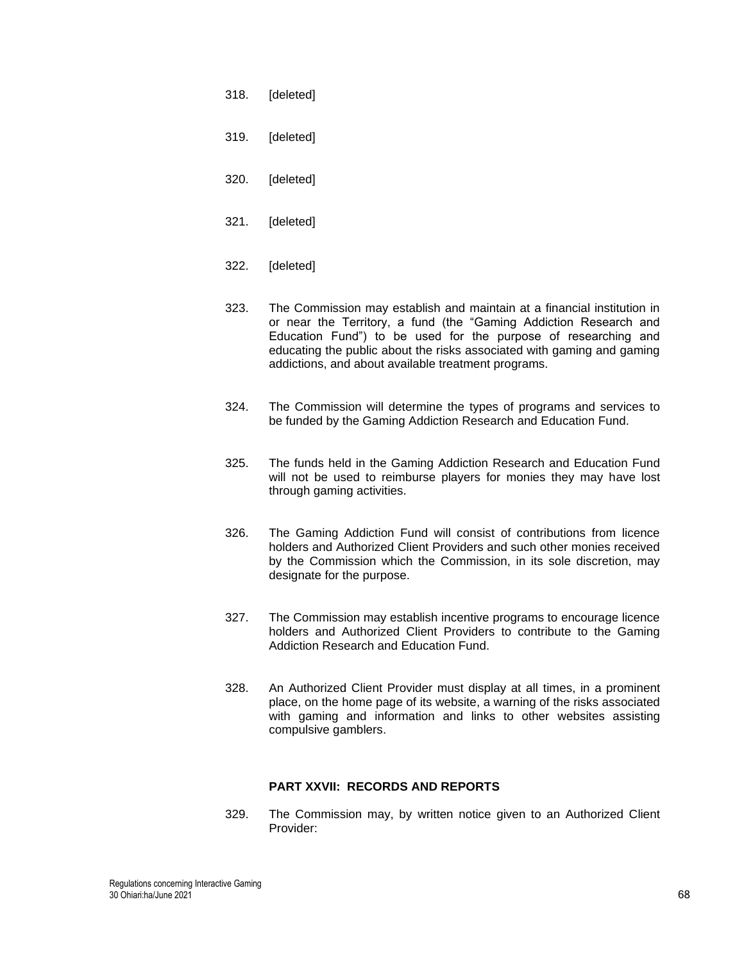- 318. [deleted]
- 319. [deleted]
- 320. [deleted]
- 321. [deleted]
- 322. [deleted]
- 323. The Commission may establish and maintain at a financial institution in or near the Territory, a fund (the "Gaming Addiction Research and Education Fund") to be used for the purpose of researching and educating the public about the risks associated with gaming and gaming addictions, and about available treatment programs.
- 324. The Commission will determine the types of programs and services to be funded by the Gaming Addiction Research and Education Fund.
- 325. The funds held in the Gaming Addiction Research and Education Fund will not be used to reimburse players for monies they may have lost through gaming activities.
- 326. The Gaming Addiction Fund will consist of contributions from licence holders and Authorized Client Providers and such other monies received by the Commission which the Commission, in its sole discretion, may designate for the purpose.
- 327. The Commission may establish incentive programs to encourage licence holders and Authorized Client Providers to contribute to the Gaming Addiction Research and Education Fund.
- 328. An Authorized Client Provider must display at all times, in a prominent place, on the home page of its website, a warning of the risks associated with gaming and information and links to other websites assisting compulsive gamblers.

## **PART XXVII: RECORDS AND REPORTS**

<span id="page-67-0"></span>329. The Commission may, by written notice given to an Authorized Client Provider: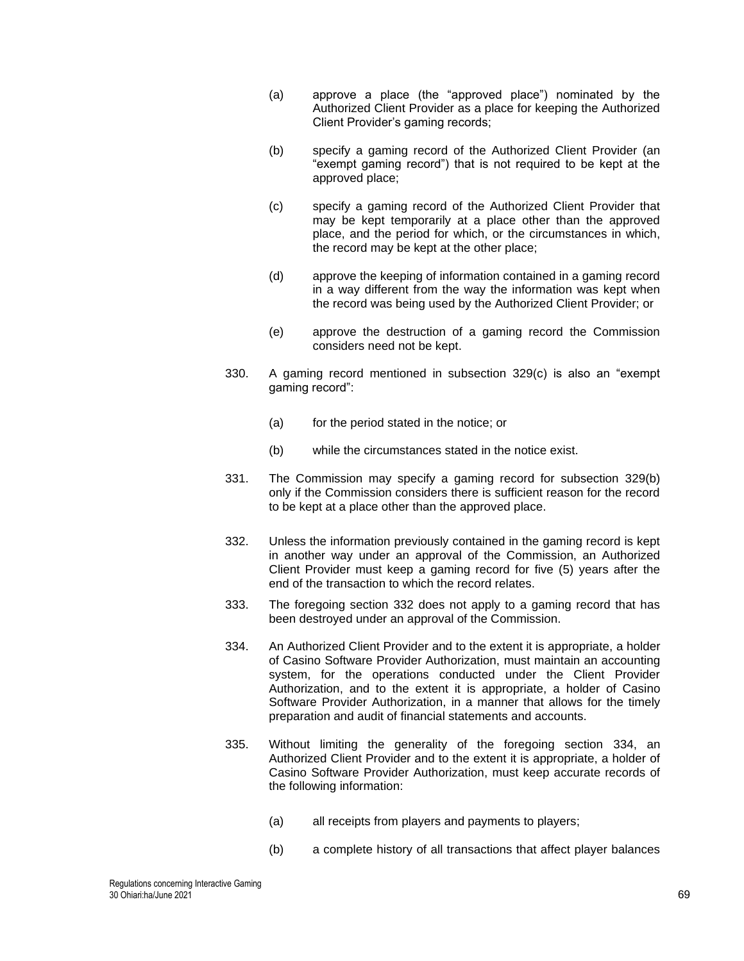- (a) approve a place (the "approved place") nominated by the Authorized Client Provider as a place for keeping the Authorized Client Provider's gaming records;
- (b) specify a gaming record of the Authorized Client Provider (an "exempt gaming record") that is not required to be kept at the approved place;
- (c) specify a gaming record of the Authorized Client Provider that may be kept temporarily at a place other than the approved place, and the period for which, or the circumstances in which, the record may be kept at the other place;
- (d) approve the keeping of information contained in a gaming record in a way different from the way the information was kept when the record was being used by the Authorized Client Provider; or
- (e) approve the destruction of a gaming record the Commission considers need not be kept.
- 330. A gaming record mentioned in subsection [329\(](#page-67-0)c) is also an "exempt gaming record":
	- (a) for the period stated in the notice; or
	- (b) while the circumstances stated in the notice exist.
- 331. The Commission may specify a gaming record for subsection [329\(](#page-67-0)b) only if the Commission considers there is sufficient reason for the record to be kept at a place other than the approved place.
- <span id="page-68-0"></span>332. Unless the information previously contained in the gaming record is kept in another way under an approval of the Commission, an Authorized Client Provider must keep a gaming record for five (5) years after the end of the transaction to which the record relates.
- 333. The foregoing section [332](#page-68-0) does not apply to a gaming record that has been destroyed under an approval of the Commission.
- <span id="page-68-1"></span>334. An Authorized Client Provider and to the extent it is appropriate, a holder of Casino Software Provider Authorization, must maintain an accounting system, for the operations conducted under the Client Provider Authorization, and to the extent it is appropriate, a holder of Casino Software Provider Authorization, in a manner that allows for the timely preparation and audit of financial statements and accounts.
- 335. Without limiting the generality of the foregoing section [334,](#page-68-1) an Authorized Client Provider and to the extent it is appropriate, a holder of Casino Software Provider Authorization, must keep accurate records of the following information:
	- (a) all receipts from players and payments to players;
	- (b) a complete history of all transactions that affect player balances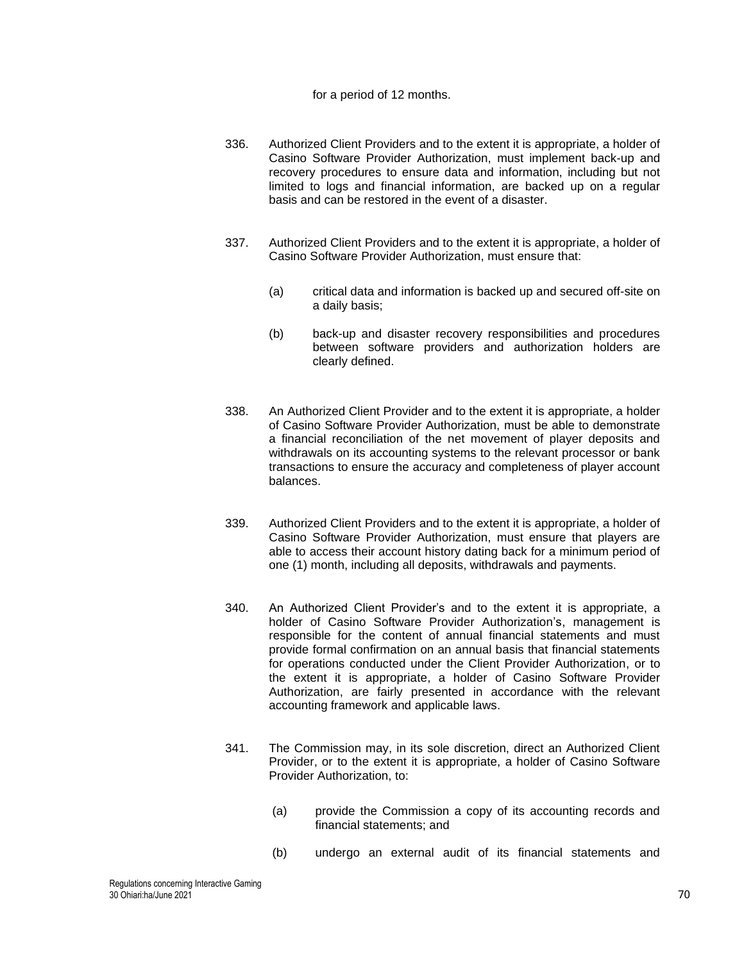#### for a period of 12 months.

- 336. Authorized Client Providers and to the extent it is appropriate, a holder of Casino Software Provider Authorization, must implement back-up and recovery procedures to ensure data and information, including but not limited to logs and financial information, are backed up on a regular basis and can be restored in the event of a disaster.
- 337. Authorized Client Providers and to the extent it is appropriate, a holder of Casino Software Provider Authorization, must ensure that:
	- (a) critical data and information is backed up and secured off-site on a daily basis;
	- (b) back-up and disaster recovery responsibilities and procedures between software providers and authorization holders are clearly defined.
- 338. An Authorized Client Provider and to the extent it is appropriate, a holder of Casino Software Provider Authorization, must be able to demonstrate a financial reconciliation of the net movement of player deposits and withdrawals on its accounting systems to the relevant processor or bank transactions to ensure the accuracy and completeness of player account balances.
- 339. Authorized Client Providers and to the extent it is appropriate, a holder of Casino Software Provider Authorization, must ensure that players are able to access their account history dating back for a minimum period of one (1) month, including all deposits, withdrawals and payments.
- 340. An Authorized Client Provider's and to the extent it is appropriate, a holder of Casino Software Provider Authorization's, management is responsible for the content of annual financial statements and must provide formal confirmation on an annual basis that financial statements for operations conducted under the Client Provider Authorization, or to the extent it is appropriate, a holder of Casino Software Provider Authorization, are fairly presented in accordance with the relevant accounting framework and applicable laws.
- 341. The Commission may, in its sole discretion, direct an Authorized Client Provider, or to the extent it is appropriate, a holder of Casino Software Provider Authorization, to:
	- (a) provide the Commission a copy of its accounting records and financial statements; and
	- (b) undergo an external audit of its financial statements and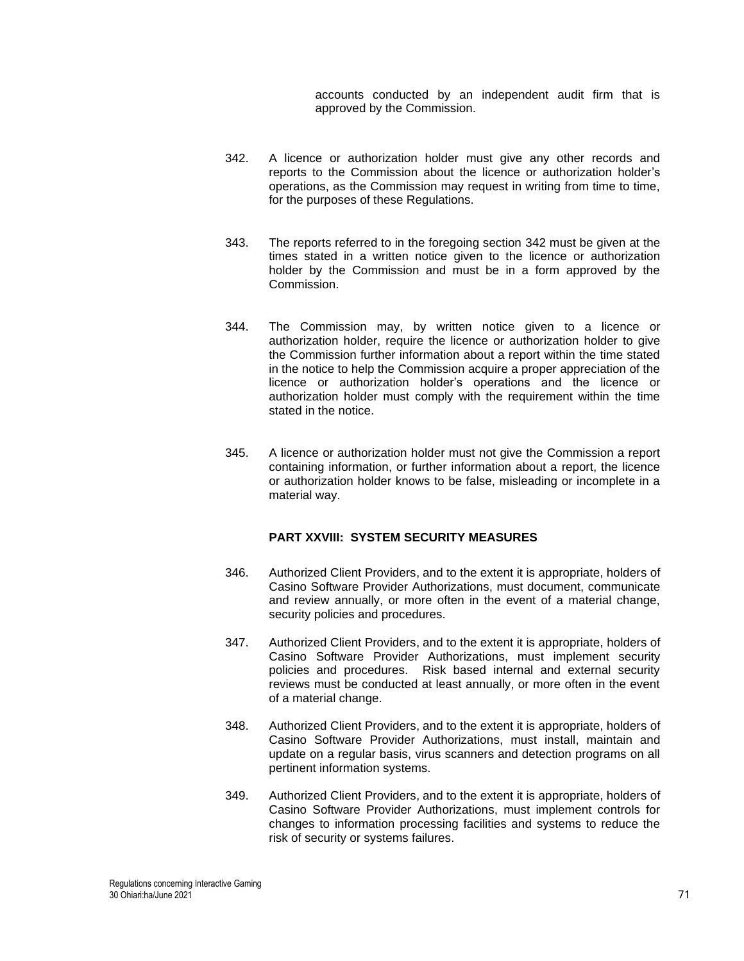accounts conducted by an independent audit firm that is approved by the Commission.

- <span id="page-70-0"></span>342. A licence or authorization holder must give any other records and reports to the Commission about the licence or authorization holder's operations, as the Commission may request in writing from time to time, for the purposes of these Regulations.
- 343. The reports referred to in the foregoing section [342](#page-70-0) must be given at the times stated in a written notice given to the licence or authorization holder by the Commission and must be in a form approved by the Commission.
- 344. The Commission may, by written notice given to a licence or authorization holder, require the licence or authorization holder to give the Commission further information about a report within the time stated in the notice to help the Commission acquire a proper appreciation of the licence or authorization holder's operations and the licence or authorization holder must comply with the requirement within the time stated in the notice.
- 345. A licence or authorization holder must not give the Commission a report containing information, or further information about a report, the licence or authorization holder knows to be false, misleading or incomplete in a material way.

## **PART XXVIII: SYSTEM SECURITY MEASURES**

- 346. Authorized Client Providers, and to the extent it is appropriate, holders of Casino Software Provider Authorizations, must document, communicate and review annually, or more often in the event of a material change, security policies and procedures.
- 347. Authorized Client Providers, and to the extent it is appropriate, holders of Casino Software Provider Authorizations, must implement security policies and procedures. Risk based internal and external security reviews must be conducted at least annually, or more often in the event of a material change.
- 348. Authorized Client Providers, and to the extent it is appropriate, holders of Casino Software Provider Authorizations, must install, maintain and update on a regular basis, virus scanners and detection programs on all pertinent information systems.
- 349. Authorized Client Providers, and to the extent it is appropriate, holders of Casino Software Provider Authorizations, must implement controls for changes to information processing facilities and systems to reduce the risk of security or systems failures.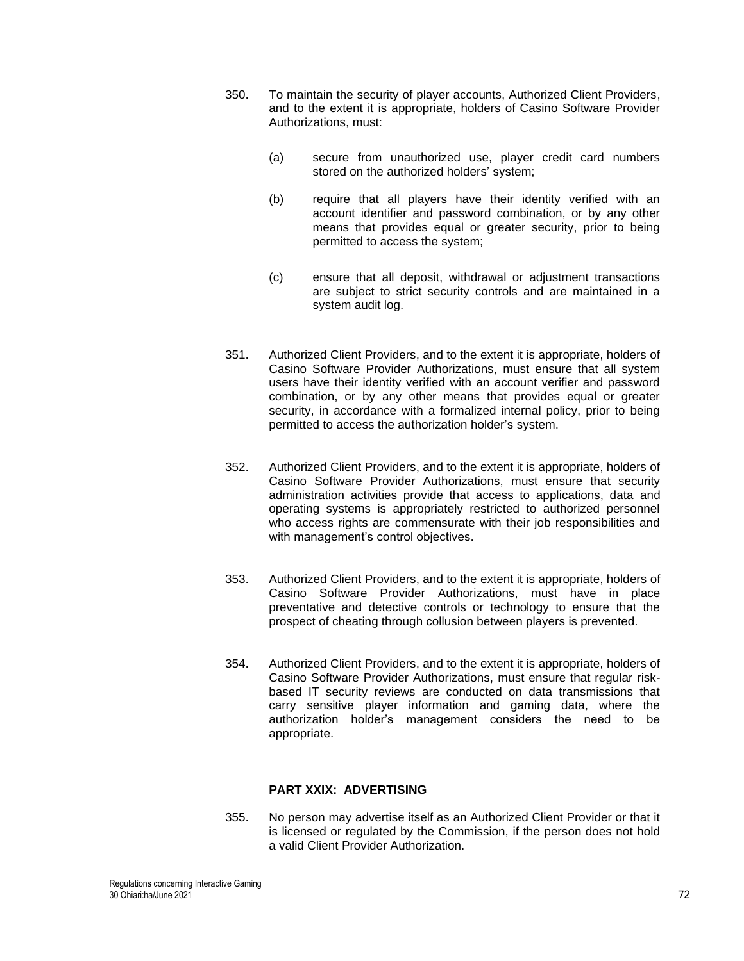- 350. To maintain the security of player accounts, Authorized Client Providers, and to the extent it is appropriate, holders of Casino Software Provider Authorizations, must:
	- (a) secure from unauthorized use, player credit card numbers stored on the authorized holders' system;
	- (b) require that all players have their identity verified with an account identifier and password combination, or by any other means that provides equal or greater security, prior to being permitted to access the system;
	- (c) ensure that all deposit, withdrawal or adjustment transactions are subject to strict security controls and are maintained in a system audit log.
- 351. Authorized Client Providers, and to the extent it is appropriate, holders of Casino Software Provider Authorizations, must ensure that all system users have their identity verified with an account verifier and password combination, or by any other means that provides equal or greater security, in accordance with a formalized internal policy, prior to being permitted to access the authorization holder's system.
- 352. Authorized Client Providers, and to the extent it is appropriate, holders of Casino Software Provider Authorizations, must ensure that security administration activities provide that access to applications, data and operating systems is appropriately restricted to authorized personnel who access rights are commensurate with their job responsibilities and with management's control objectives.
- 353. Authorized Client Providers, and to the extent it is appropriate, holders of Casino Software Provider Authorizations, must have in place preventative and detective controls or technology to ensure that the prospect of cheating through collusion between players is prevented.
- 354. Authorized Client Providers, and to the extent it is appropriate, holders of Casino Software Provider Authorizations, must ensure that regular riskbased IT security reviews are conducted on data transmissions that carry sensitive player information and gaming data, where the authorization holder's management considers the need to be appropriate.

# **PART XXIX: ADVERTISING**

355. No person may advertise itself as an Authorized Client Provider or that it is licensed or regulated by the Commission, if the person does not hold a valid Client Provider Authorization.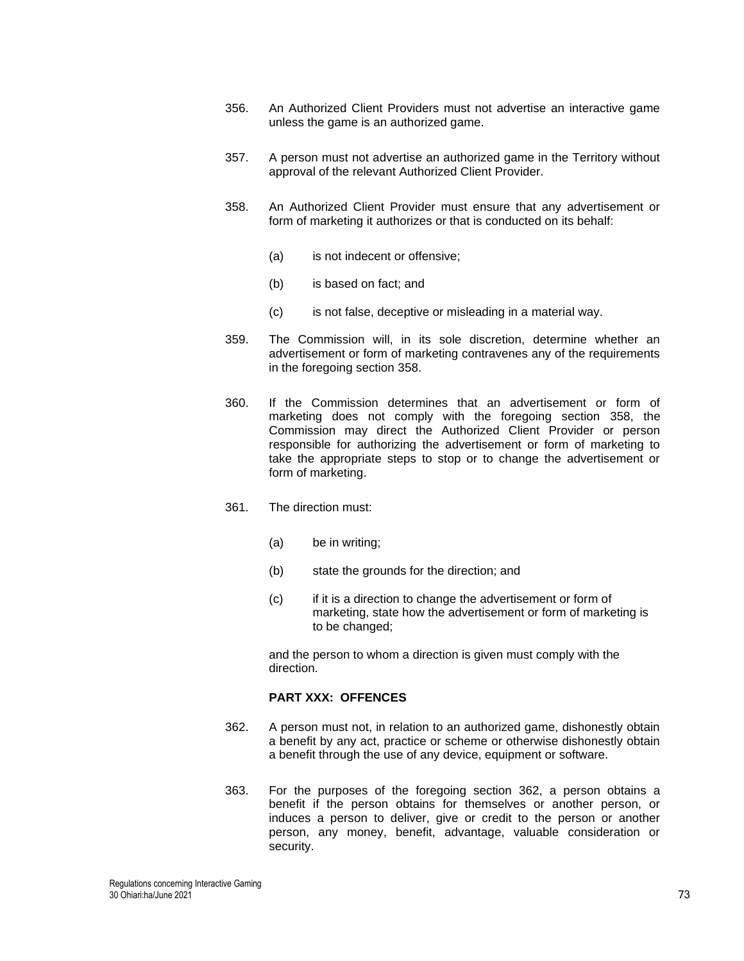- 356. An Authorized Client Providers must not advertise an interactive game unless the game is an authorized game.
- 357. A person must not advertise an authorized game in the Territory without approval of the relevant Authorized Client Provider.
- <span id="page-72-0"></span>358. An Authorized Client Provider must ensure that any advertisement or form of marketing it authorizes or that is conducted on its behalf:
	- (a) is not indecent or offensive;
	- (b) is based on fact; and
	- (c) is not false, deceptive or misleading in a material way.
- 359. The Commission will, in its sole discretion, determine whether an advertisement or form of marketing contravenes any of the requirements in the foregoing section [358.](#page-72-0)
- 360. If the Commission determines that an advertisement or form of marketing does not comply with the foregoing section [358,](#page-72-0) the Commission may direct the Authorized Client Provider or person responsible for authorizing the advertisement or form of marketing to take the appropriate steps to stop or to change the advertisement or form of marketing.
- 361. The direction must:
	- (a) be in writing;
	- (b) state the grounds for the direction; and
	- (c) if it is a direction to change the advertisement or form of marketing, state how the advertisement or form of marketing is to be changed;

and the person to whom a direction is given must comply with the direction.

### **PART XXX: OFFENCES**

- <span id="page-72-1"></span>362. A person must not, in relation to an authorized game, dishonestly obtain a benefit by any act, practice or scheme or otherwise dishonestly obtain a benefit through the use of any device, equipment or software.
- 363. For the purposes of the foregoing section [362,](#page-72-1) a person obtains a benefit if the person obtains for themselves or another person, or induces a person to deliver, give or credit to the person or another person, any money, benefit, advantage, valuable consideration or security.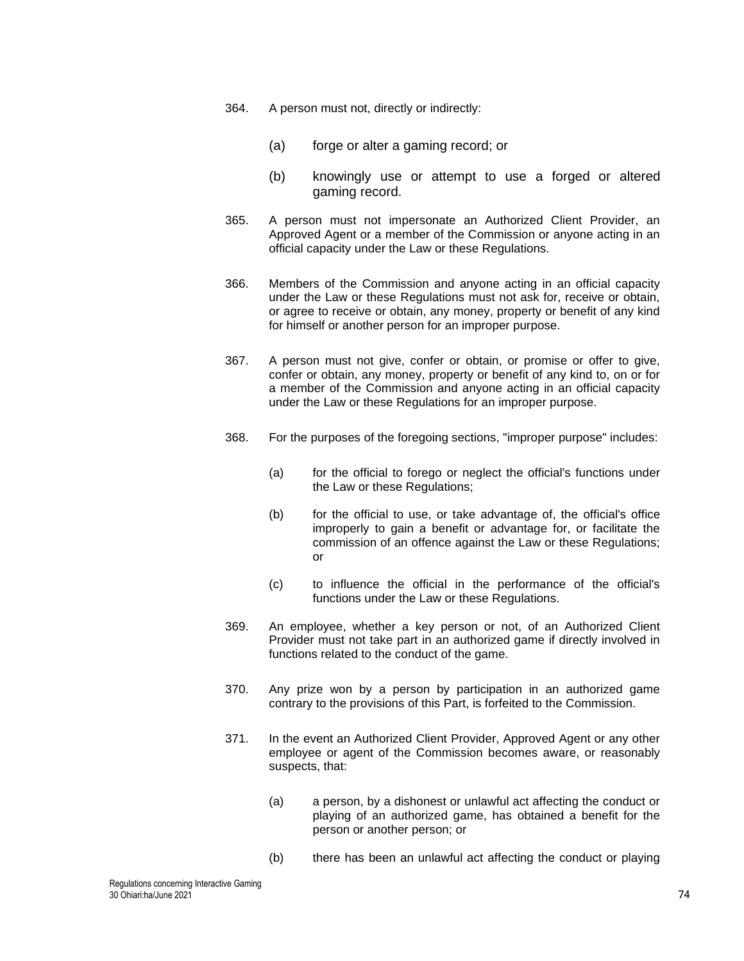- <span id="page-73-0"></span>364. A person must not, directly or indirectly:
	- (a) forge or alter a gaming record; or
	- (b) knowingly use or attempt to use a forged or altered gaming record.
- <span id="page-73-1"></span>365. A person must not impersonate an Authorized Client Provider, an Approved Agent or a member of the Commission or anyone acting in an official capacity under the Law or these Regulations.
- <span id="page-73-2"></span>366. Members of the Commission and anyone acting in an official capacity under the Law or these Regulations must not ask for, receive or obtain, or agree to receive or obtain, any money, property or benefit of any kind for himself or another person for an improper purpose.
- <span id="page-73-3"></span>367. A person must not give, confer or obtain, or promise or offer to give, confer or obtain, any money, property or benefit of any kind to, on or for a member of the Commission and anyone acting in an official capacity under the Law or these Regulations for an improper purpose.
- 368. For the purposes of the foregoing sections, "improper purpose" includes:
	- (a) for the official to forego or neglect the official's functions under the Law or these Regulations;
	- (b) for the official to use, or take advantage of, the official's office improperly to gain a benefit or advantage for, or facilitate the commission of an offence against the Law or these Regulations; or
	- (c) to influence the official in the performance of the official's functions under the Law or these Regulations.
- 369. An employee, whether a key person or not, of an Authorized Client Provider must not take part in an authorized game if directly involved in functions related to the conduct of the game.
- 370. Any prize won by a person by participation in an authorized game contrary to the provisions of this Part, is forfeited to the Commission.
- 371. In the event an Authorized Client Provider, Approved Agent or any other employee or agent of the Commission becomes aware, or reasonably suspects, that:
	- (a) a person, by a dishonest or unlawful act affecting the conduct or playing of an authorized game, has obtained a benefit for the person or another person; or
	- (b) there has been an unlawful act affecting the conduct or playing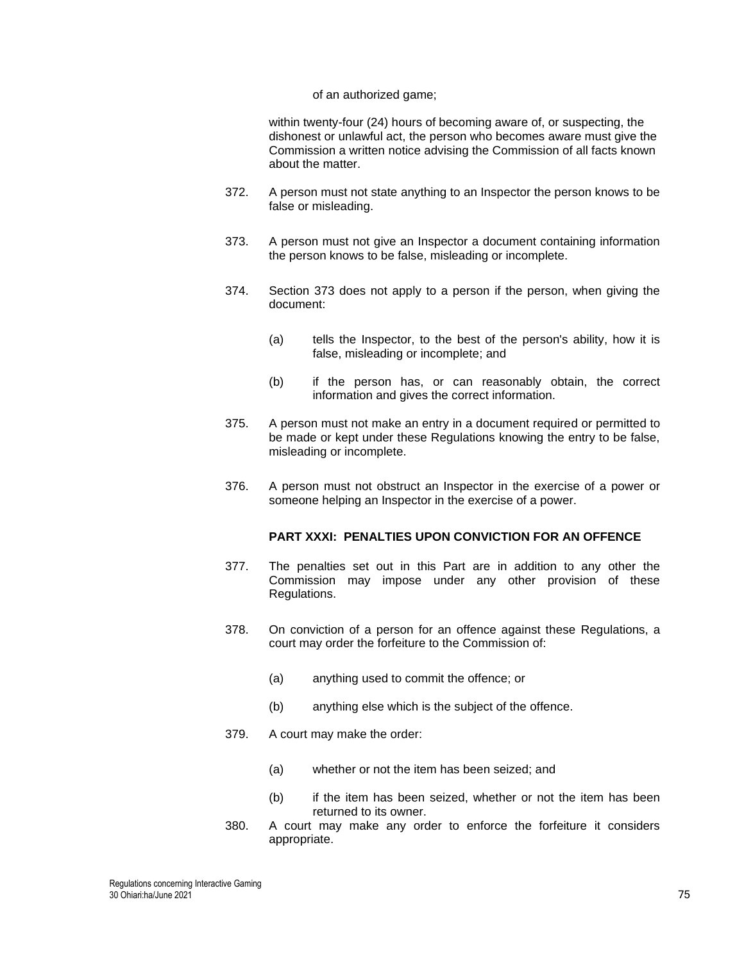#### of an authorized game;

within twenty-four (24) hours of becoming aware of, or suspecting, the dishonest or unlawful act, the person who becomes aware must give the Commission a written notice advising the Commission of all facts known about the matter.

- 372. A person must not state anything to an Inspector the person knows to be false or misleading.
- <span id="page-74-0"></span>373. A person must not give an Inspector a document containing information the person knows to be false, misleading or incomplete.
- 374. Section [373](#page-74-0) does not apply to a person if the person, when giving the document:
	- (a) tells the Inspector, to the best of the person's ability, how it is false, misleading or incomplete; and
	- (b) if the person has, or can reasonably obtain, the correct information and gives the correct information.
- 375. A person must not make an entry in a document required or permitted to be made or kept under these Regulations knowing the entry to be false, misleading or incomplete.
- 376. A person must not obstruct an Inspector in the exercise of a power or someone helping an Inspector in the exercise of a power.

## **PART XXXI: PENALTIES UPON CONVICTION FOR AN OFFENCE**

- 377. The penalties set out in this Part are in addition to any other the Commission may impose under any other provision of these Regulations.
- 378. On conviction of a person for an offence against these Regulations, a court may order the forfeiture to the Commission of:
	- (a) anything used to commit the offence; or
	- (b) anything else which is the subject of the offence.
- 379. A court may make the order:
	- (a) whether or not the item has been seized; and
	- (b) if the item has been seized, whether or not the item has been returned to its owner.
- 380. A court may make any order to enforce the forfeiture it considers appropriate.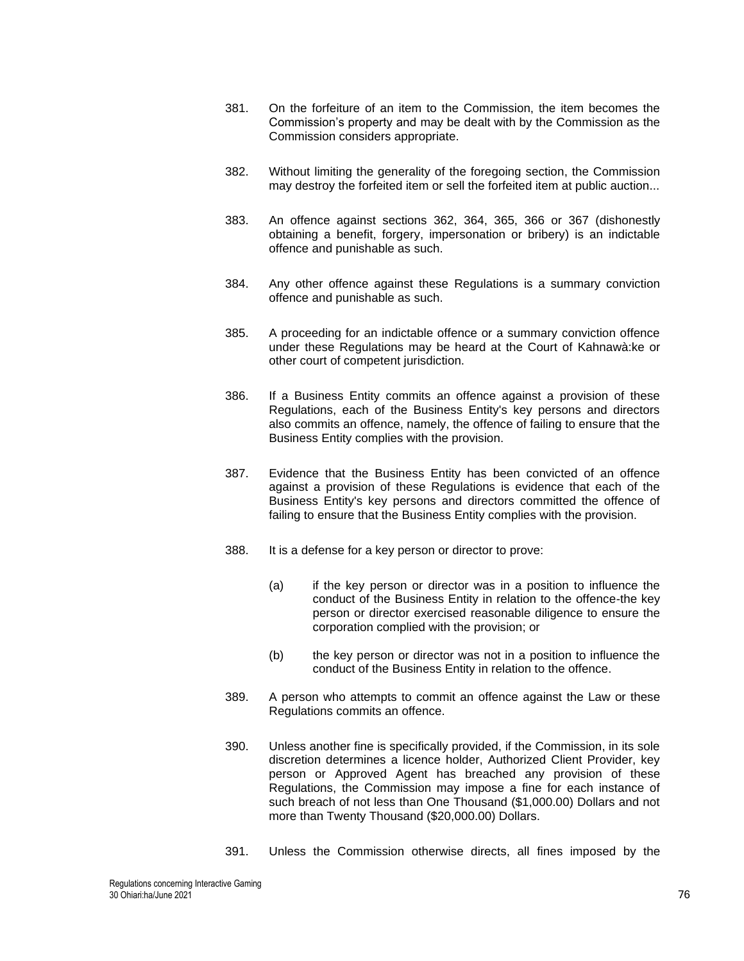- 381. On the forfeiture of an item to the Commission, the item becomes the Commission's property and may be dealt with by the Commission as the Commission considers appropriate.
- 382. Without limiting the generality of the foregoing section, the Commission may destroy the forfeited item or sell the forfeited item at public auction...
- 383. An offence against sections [362,](#page-72-1) [364,](#page-73-0) [365,](#page-73-1) [366](#page-73-2) or [367](#page-73-3) (dishonestly obtaining a benefit, forgery, impersonation or bribery) is an indictable offence and punishable as such.
- 384. Any other offence against these Regulations is a summary conviction offence and punishable as such.
- 385. A proceeding for an indictable offence or a summary conviction offence under these Regulations may be heard at the Court of Kahnawà:ke or other court of competent jurisdiction.
- 386. If a Business Entity commits an offence against a provision of these Regulations, each of the Business Entity's key persons and directors also commits an offence, namely, the offence of failing to ensure that the Business Entity complies with the provision.
- 387. Evidence that the Business Entity has been convicted of an offence against a provision of these Regulations is evidence that each of the Business Entity's key persons and directors committed the offence of failing to ensure that the Business Entity complies with the provision.
- 388. It is a defense for a key person or director to prove:
	- (a) if the key person or director was in a position to influence the conduct of the Business Entity in relation to the offence-the key person or director exercised reasonable diligence to ensure the corporation complied with the provision; or
	- (b) the key person or director was not in a position to influence the conduct of the Business Entity in relation to the offence.
- 389. A person who attempts to commit an offence against the Law or these Regulations commits an offence.
- <span id="page-75-0"></span>390. Unless another fine is specifically provided, if the Commission, in its sole discretion determines a licence holder, Authorized Client Provider, key person or Approved Agent has breached any provision of these Regulations, the Commission may impose a fine for each instance of such breach of not less than One Thousand (\$1,000.00) Dollars and not more than Twenty Thousand (\$20,000.00) Dollars.
- 391. Unless the Commission otherwise directs, all fines imposed by the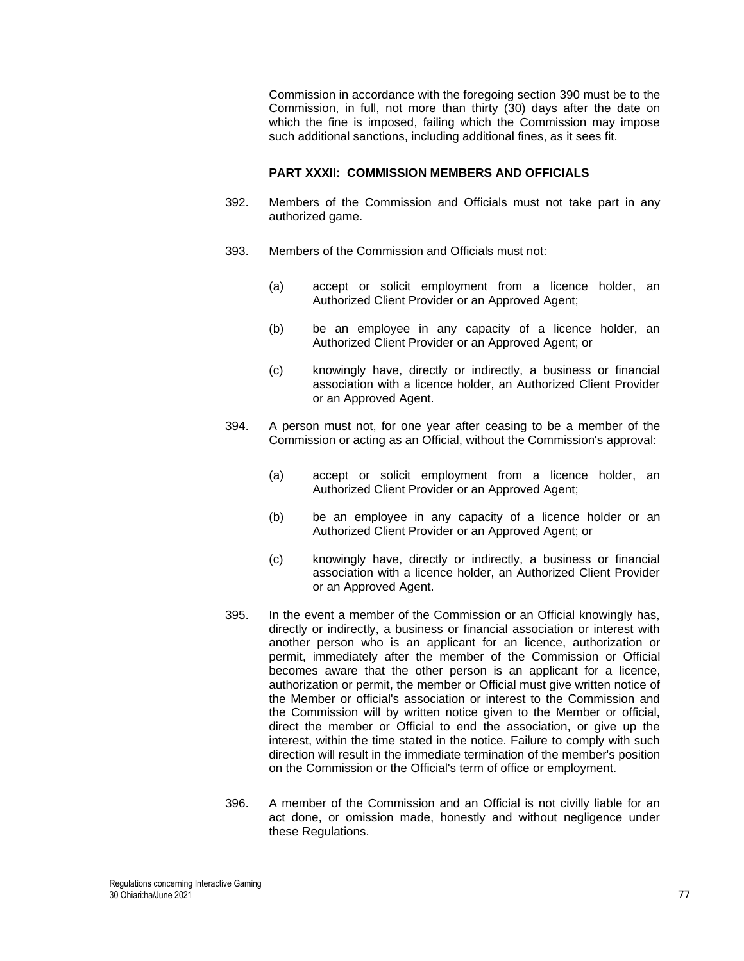Commission in accordance with the foregoing section [390](#page-75-0) must be to the Commission, in full, not more than thirty (30) days after the date on which the fine is imposed, failing which the Commission may impose such additional sanctions, including additional fines, as it sees fit.

### **PART XXXII: COMMISSION MEMBERS AND OFFICIALS**

- 392. Members of the Commission and Officials must not take part in any authorized game.
- 393. Members of the Commission and Officials must not:
	- (a) accept or solicit employment from a licence holder, an Authorized Client Provider or an Approved Agent;
	- (b) be an employee in any capacity of a licence holder, an Authorized Client Provider or an Approved Agent; or
	- (c) knowingly have, directly or indirectly, a business or financial association with a licence holder, an Authorized Client Provider or an Approved Agent.
- 394. A person must not, for one year after ceasing to be a member of the Commission or acting as an Official, without the Commission's approval:
	- (a) accept or solicit employment from a licence holder, an Authorized Client Provider or an Approved Agent;
	- (b) be an employee in any capacity of a licence holder or an Authorized Client Provider or an Approved Agent; or
	- (c) knowingly have, directly or indirectly, a business or financial association with a licence holder, an Authorized Client Provider or an Approved Agent.
- 395. In the event a member of the Commission or an Official knowingly has, directly or indirectly, a business or financial association or interest with another person who is an applicant for an licence, authorization or permit, immediately after the member of the Commission or Official becomes aware that the other person is an applicant for a licence, authorization or permit, the member or Official must give written notice of the Member or official's association or interest to the Commission and the Commission will by written notice given to the Member or official, direct the member or Official to end the association, or give up the interest, within the time stated in the notice. Failure to comply with such direction will result in the immediate termination of the member's position on the Commission or the Official's term of office or employment.
- 396. A member of the Commission and an Official is not civilly liable for an act done, or omission made, honestly and without negligence under these Regulations.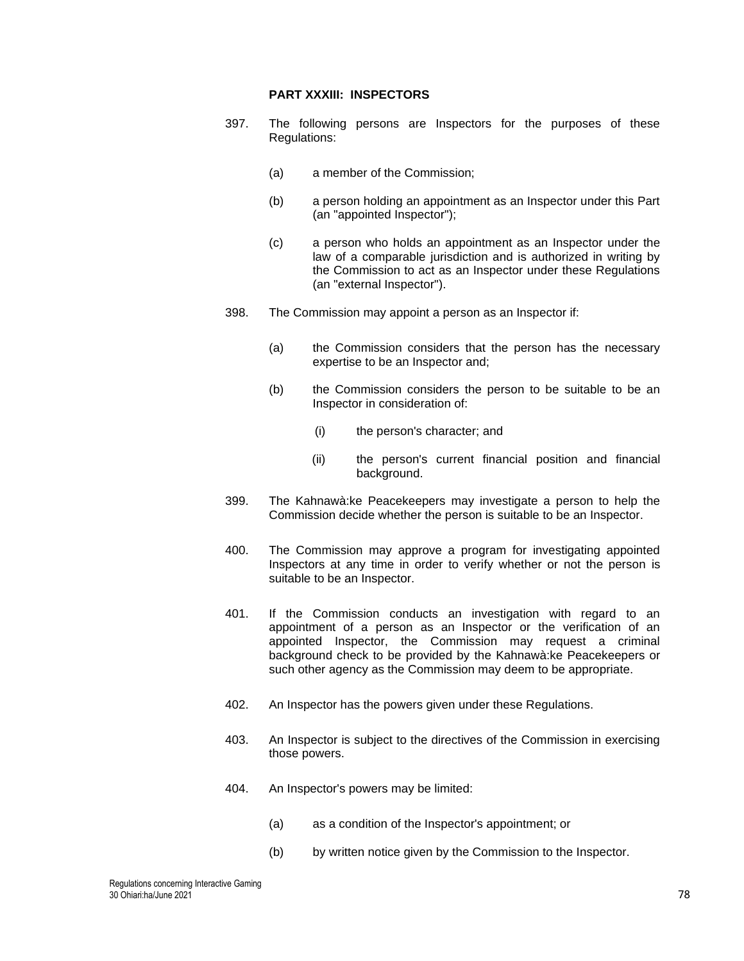### **PART XXXIII: INSPECTORS**

- 397. The following persons are Inspectors for the purposes of these Regulations:
	- (a) a member of the Commission;
	- (b) a person holding an appointment as an Inspector under this Part (an "appointed Inspector");
	- (c) a person who holds an appointment as an Inspector under the law of a comparable jurisdiction and is authorized in writing by the Commission to act as an Inspector under these Regulations (an "external Inspector").
- 398. The Commission may appoint a person as an Inspector if:
	- (a) the Commission considers that the person has the necessary expertise to be an Inspector and;
	- (b) the Commission considers the person to be suitable to be an Inspector in consideration of:
		- (i) the person's character; and
		- (ii) the person's current financial position and financial background.
- 399. The Kahnawà:ke Peacekeepers may investigate a person to help the Commission decide whether the person is suitable to be an Inspector.
- 400. The Commission may approve a program for investigating appointed Inspectors at any time in order to verify whether or not the person is suitable to be an Inspector.
- 401. If the Commission conducts an investigation with regard to an appointment of a person as an Inspector or the verification of an appointed Inspector, the Commission may request a criminal background check to be provided by the Kahnawà:ke Peacekeepers or such other agency as the Commission may deem to be appropriate.
- 402. An Inspector has the powers given under these Regulations.
- 403. An Inspector is subject to the directives of the Commission in exercising those powers.
- 404. An Inspector's powers may be limited:
	- (a) as a condition of the Inspector's appointment; or
	- (b) by written notice given by the Commission to the Inspector.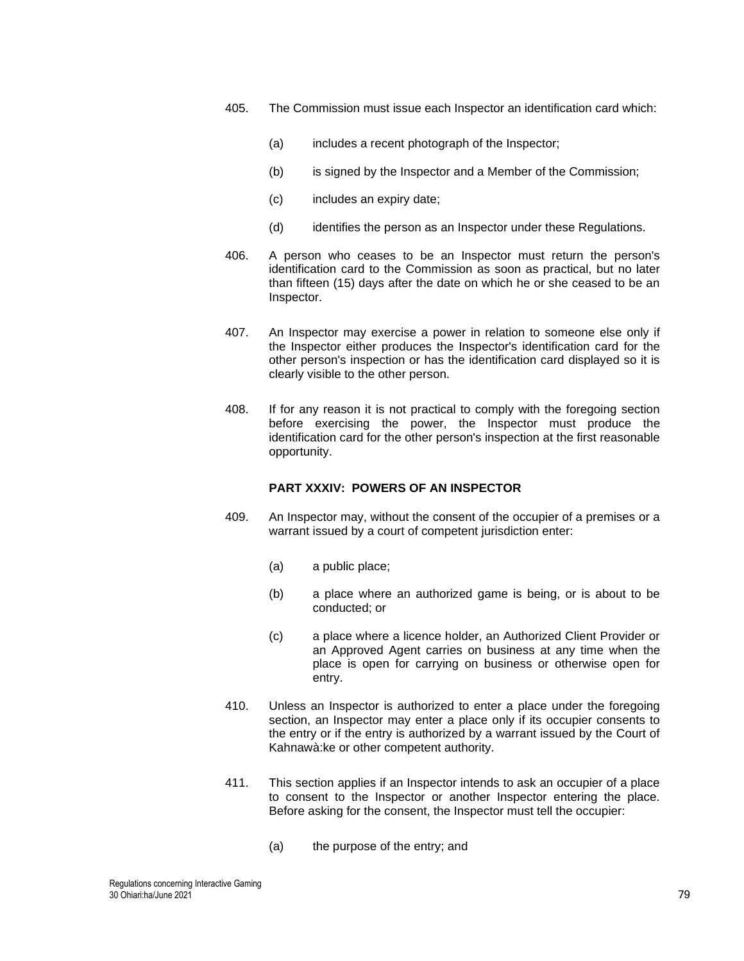- 405. The Commission must issue each Inspector an identification card which:
	- (a) includes a recent photograph of the Inspector;
	- (b) is signed by the Inspector and a Member of the Commission;
	- (c) includes an expiry date;
	- (d) identifies the person as an Inspector under these Regulations.
- 406. A person who ceases to be an Inspector must return the person's identification card to the Commission as soon as practical, but no later than fifteen (15) days after the date on which he or she ceased to be an Inspector.
- 407. An Inspector may exercise a power in relation to someone else only if the Inspector either produces the Inspector's identification card for the other person's inspection or has the identification card displayed so it is clearly visible to the other person.
- 408. If for any reason it is not practical to comply with the foregoing section before exercising the power, the Inspector must produce the identification card for the other person's inspection at the first reasonable opportunity.

## **PART XXXIV: POWERS OF AN INSPECTOR**

- 409. An Inspector may, without the consent of the occupier of a premises or a warrant issued by a court of competent jurisdiction enter:
	- (a) a public place;
	- (b) a place where an authorized game is being, or is about to be conducted; or
	- (c) a place where a licence holder, an Authorized Client Provider or an Approved Agent carries on business at any time when the place is open for carrying on business or otherwise open for entry.
- 410. Unless an Inspector is authorized to enter a place under the foregoing section, an Inspector may enter a place only if its occupier consents to the entry or if the entry is authorized by a warrant issued by the Court of Kahnawà:ke or other competent authority.
- 411. This section applies if an Inspector intends to ask an occupier of a place to consent to the Inspector or another Inspector entering the place. Before asking for the consent, the Inspector must tell the occupier:
	- (a) the purpose of the entry; and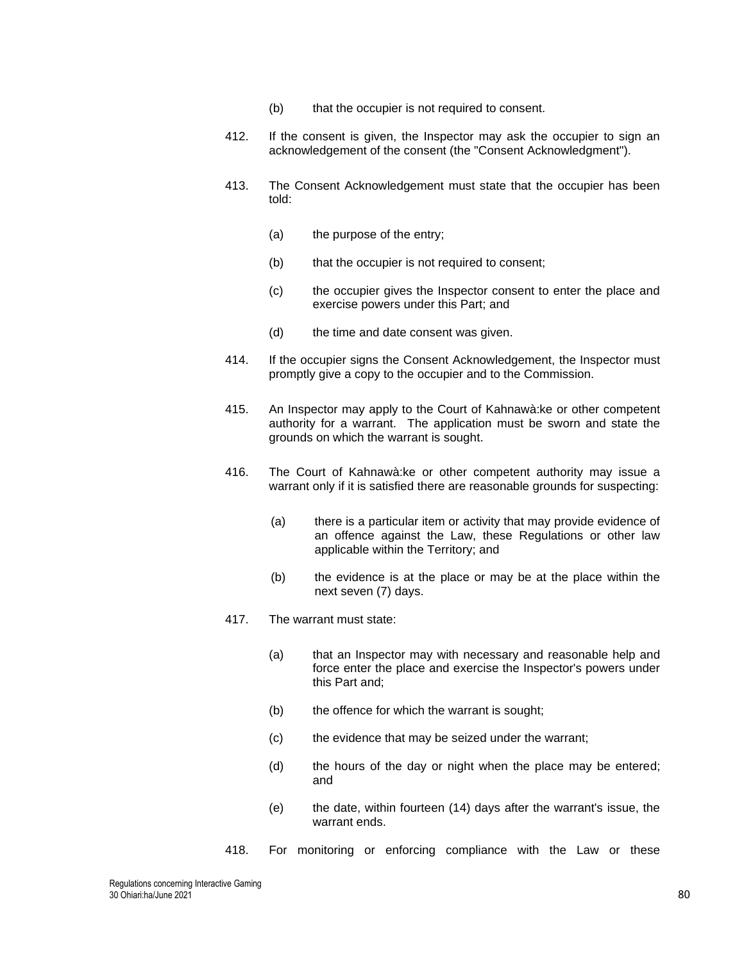- (b) that the occupier is not required to consent.
- 412. If the consent is given, the Inspector may ask the occupier to sign an acknowledgement of the consent (the "Consent Acknowledgment").
- 413. The Consent Acknowledgement must state that the occupier has been told:
	- (a) the purpose of the entry;
	- (b) that the occupier is not required to consent;
	- (c) the occupier gives the Inspector consent to enter the place and exercise powers under this Part; and
	- (d) the time and date consent was given.
- 414. If the occupier signs the Consent Acknowledgement, the Inspector must promptly give a copy to the occupier and to the Commission.
- 415. An Inspector may apply to the Court of Kahnawà:ke or other competent authority for a warrant. The application must be sworn and state the grounds on which the warrant is sought.
- 416. The Court of Kahnawà:ke or other competent authority may issue a warrant only if it is satisfied there are reasonable grounds for suspecting:
	- (a) there is a particular item or activity that may provide evidence of an offence against the Law, these Regulations or other law applicable within the Territory; and
	- (b) the evidence is at the place or may be at the place within the next seven (7) days.
- 417. The warrant must state:
	- (a) that an Inspector may with necessary and reasonable help and force enter the place and exercise the Inspector's powers under this Part and;
	- (b) the offence for which the warrant is sought;
	- (c) the evidence that may be seized under the warrant;
	- (d) the hours of the day or night when the place may be entered; and
	- (e) the date, within fourteen (14) days after the warrant's issue, the warrant ends.
- <span id="page-79-0"></span>418. For monitoring or enforcing compliance with the Law or these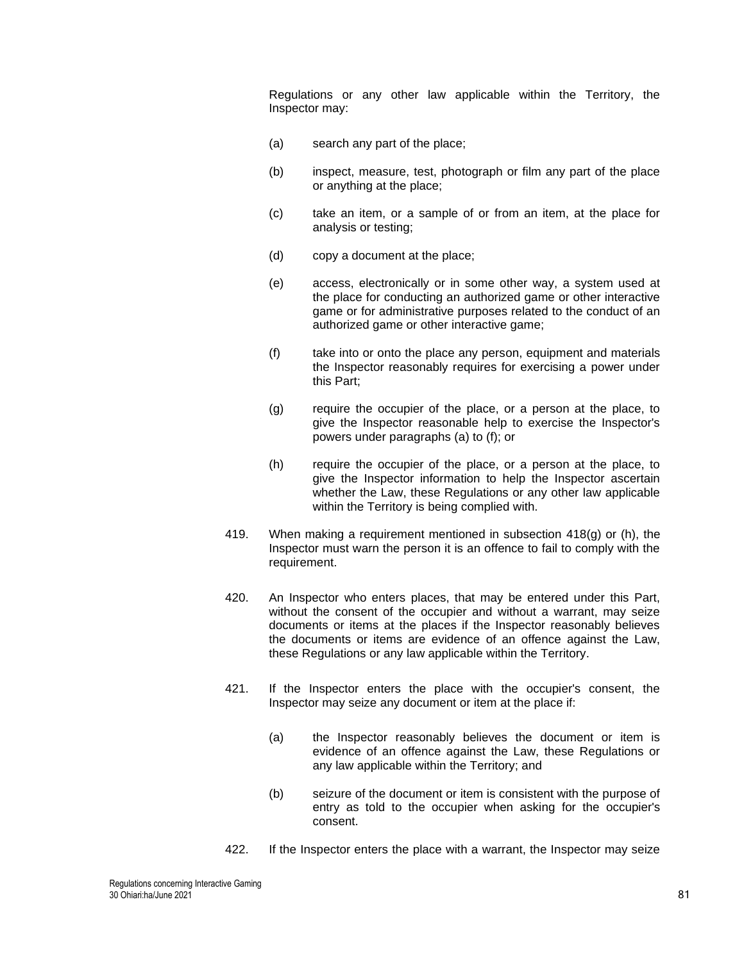Regulations or any other law applicable within the Territory, the Inspector may:

- (a) search any part of the place;
- (b) inspect, measure, test, photograph or film any part of the place or anything at the place;
- (c) take an item, or a sample of or from an item, at the place for analysis or testing;
- (d) copy a document at the place;
- (e) access, electronically or in some other way, a system used at the place for conducting an authorized game or other interactive game or for administrative purposes related to the conduct of an authorized game or other interactive game;
- (f) take into or onto the place any person, equipment and materials the Inspector reasonably requires for exercising a power under this Part;
- (g) require the occupier of the place, or a person at the place, to give the Inspector reasonable help to exercise the Inspector's powers under paragraphs (a) to (f); or
- (h) require the occupier of the place, or a person at the place, to give the Inspector information to help the Inspector ascertain whether the Law, these Regulations or any other law applicable within the Territory is being complied with.
- 419. When making a requirement mentioned in subsection [418\(](#page-79-0)g) or (h), the Inspector must warn the person it is an offence to fail to comply with the requirement.
- 420. An Inspector who enters places, that may be entered under this Part, without the consent of the occupier and without a warrant, may seize documents or items at the places if the Inspector reasonably believes the documents or items are evidence of an offence against the Law, these Regulations or any law applicable within the Territory.
- 421. If the Inspector enters the place with the occupier's consent, the Inspector may seize any document or item at the place if:
	- (a) the Inspector reasonably believes the document or item is evidence of an offence against the Law, these Regulations or any law applicable within the Territory; and
	- (b) seizure of the document or item is consistent with the purpose of entry as told to the occupier when asking for the occupier's consent.
- 422. If the Inspector enters the place with a warrant, the Inspector may seize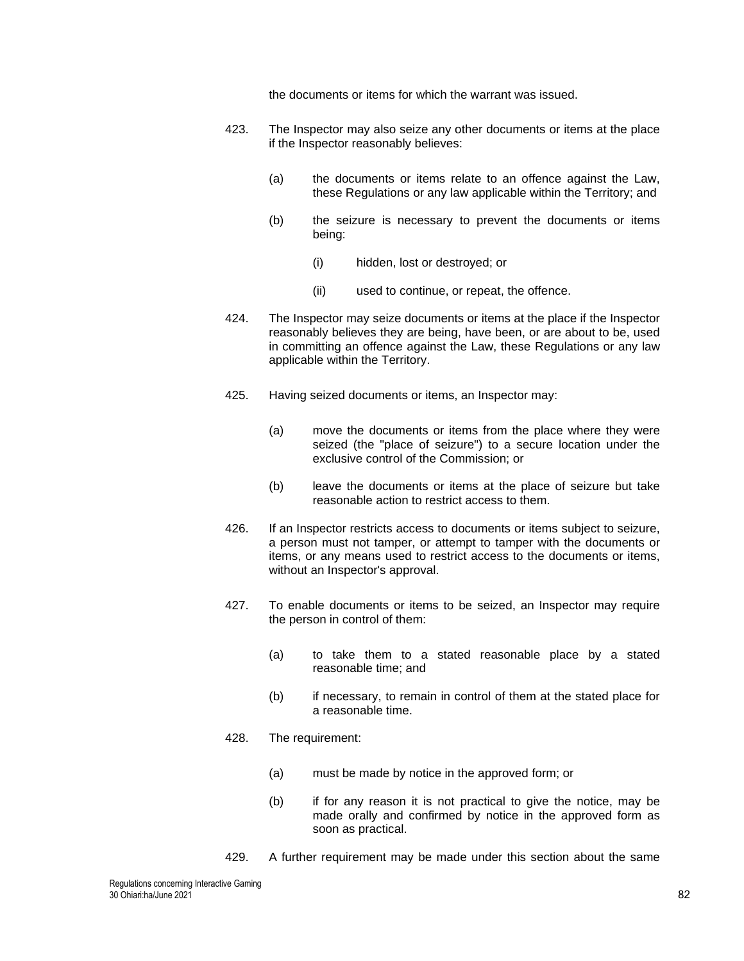the documents or items for which the warrant was issued.

- 423. The Inspector may also seize any other documents or items at the place if the Inspector reasonably believes:
	- (a) the documents or items relate to an offence against the Law, these Regulations or any law applicable within the Territory; and
	- (b) the seizure is necessary to prevent the documents or items being:
		- (i) hidden, lost or destroyed; or
		- (ii) used to continue, or repeat, the offence.
- 424. The Inspector may seize documents or items at the place if the Inspector reasonably believes they are being, have been, or are about to be, used in committing an offence against the Law, these Regulations or any law applicable within the Territory.
- 425. Having seized documents or items, an Inspector may:
	- (a) move the documents or items from the place where they were seized (the "place of seizure") to a secure location under the exclusive control of the Commission; or
	- (b) leave the documents or items at the place of seizure but take reasonable action to restrict access to them.
- 426. If an Inspector restricts access to documents or items subject to seizure, a person must not tamper, or attempt to tamper with the documents or items, or any means used to restrict access to the documents or items, without an Inspector's approval.
- 427. To enable documents or items to be seized, an Inspector may require the person in control of them:
	- (a) to take them to a stated reasonable place by a stated reasonable time; and
	- (b) if necessary, to remain in control of them at the stated place for a reasonable time.
- 428. The requirement:
	- (a) must be made by notice in the approved form; or
	- (b) if for any reason it is not practical to give the notice, may be made orally and confirmed by notice in the approved form as soon as practical.
- 429. A further requirement may be made under this section about the same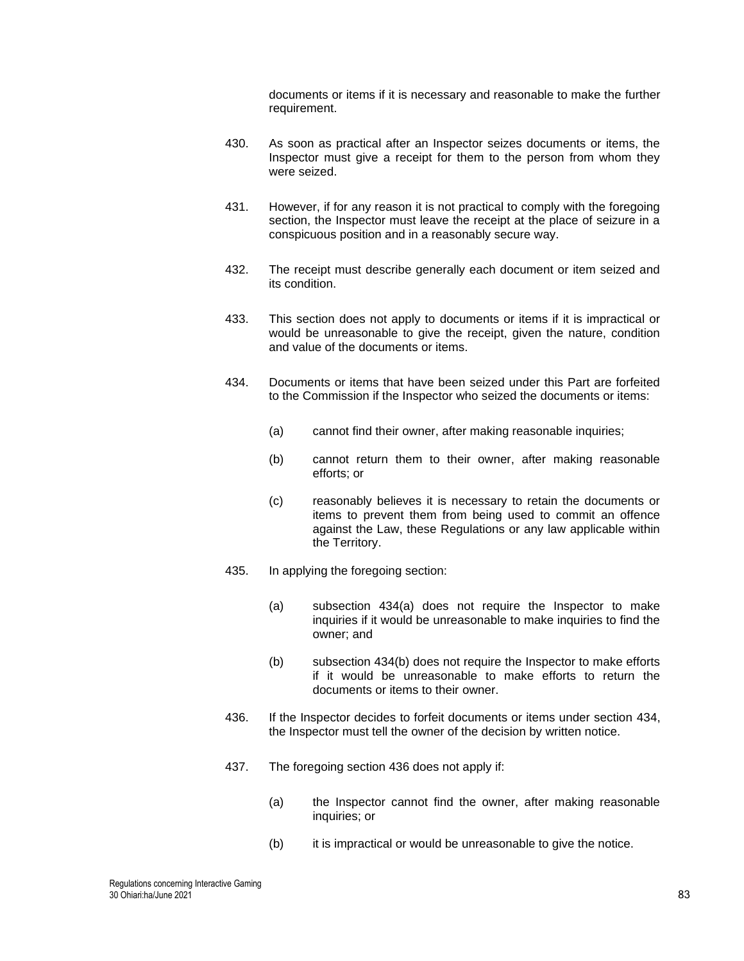documents or items if it is necessary and reasonable to make the further requirement.

- 430. As soon as practical after an Inspector seizes documents or items, the Inspector must give a receipt for them to the person from whom they were seized.
- 431. However, if for any reason it is not practical to comply with the foregoing section, the Inspector must leave the receipt at the place of seizure in a conspicuous position and in a reasonably secure way.
- 432. The receipt must describe generally each document or item seized and its condition.
- 433. This section does not apply to documents or items if it is impractical or would be unreasonable to give the receipt, given the nature, condition and value of the documents or items.
- <span id="page-82-0"></span>434. Documents or items that have been seized under this Part are forfeited to the Commission if the Inspector who seized the documents or items:
	- (a) cannot find their owner, after making reasonable inquiries;
	- (b) cannot return them to their owner, after making reasonable efforts; or
	- (c) reasonably believes it is necessary to retain the documents or items to prevent them from being used to commit an offence against the Law, these Regulations or any law applicable within the Territory.
- 435. In applying the foregoing section:
	- (a) subsection [434\(](#page-82-0)a) does not require the Inspector to make inquiries if it would be unreasonable to make inquiries to find the owner; and
	- (b) subsection [434\(](#page-82-0)b) does not require the Inspector to make efforts if it would be unreasonable to make efforts to return the documents or items to their owner.
- <span id="page-82-1"></span>436. If the Inspector decides to forfeit documents or items under section [434,](#page-82-0) the Inspector must tell the owner of the decision by written notice.
- 437. The foregoing section [436](#page-82-1) does not apply if:
	- (a) the Inspector cannot find the owner, after making reasonable inquiries; or
	- (b) it is impractical or would be unreasonable to give the notice.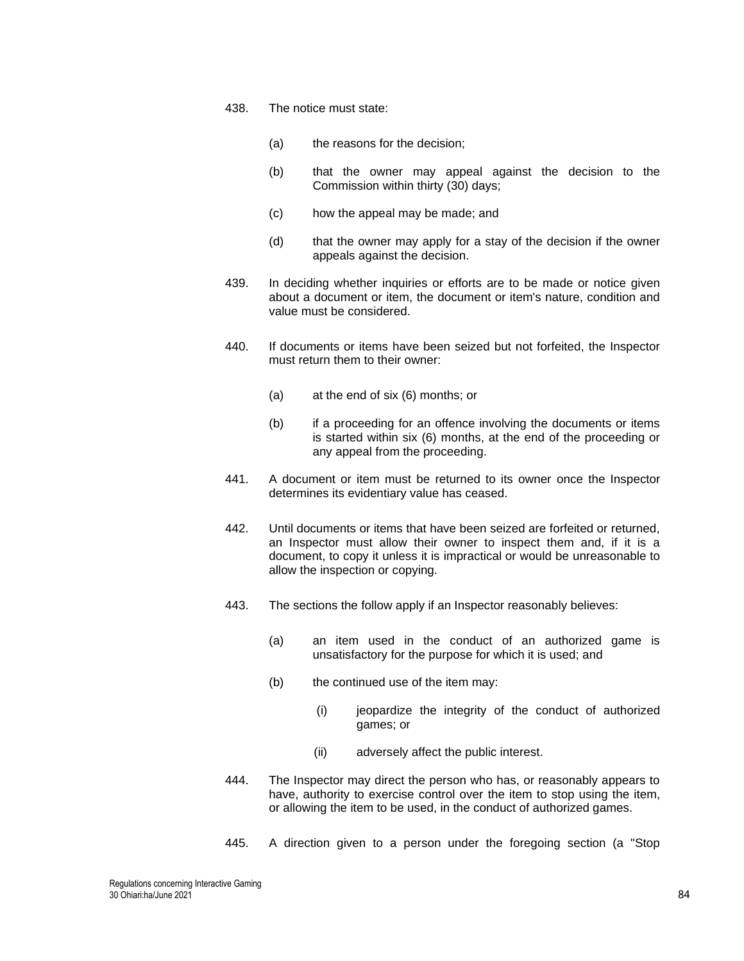#### 438. The notice must state:

- (a) the reasons for the decision;
- (b) that the owner may appeal against the decision to the Commission within thirty (30) days;
- (c) how the appeal may be made; and
- (d) that the owner may apply for a stay of the decision if the owner appeals against the decision.
- 439. In deciding whether inquiries or efforts are to be made or notice given about a document or item, the document or item's nature, condition and value must be considered.
- 440. If documents or items have been seized but not forfeited, the Inspector must return them to their owner:
	- (a) at the end of six (6) months; or
	- (b) if a proceeding for an offence involving the documents or items is started within six (6) months, at the end of the proceeding or any appeal from the proceeding.
- 441. A document or item must be returned to its owner once the Inspector determines its evidentiary value has ceased.
- 442. Until documents or items that have been seized are forfeited or returned, an Inspector must allow their owner to inspect them and, if it is a document, to copy it unless it is impractical or would be unreasonable to allow the inspection or copying.
- 443. The sections the follow apply if an Inspector reasonably believes:
	- (a) an item used in the conduct of an authorized game is unsatisfactory for the purpose for which it is used; and
	- (b) the continued use of the item may:
		- (i) ieopardize the integrity of the conduct of authorized games; or
		- (ii) adversely affect the public interest.
- 444. The Inspector may direct the person who has, or reasonably appears to have, authority to exercise control over the item to stop using the item, or allowing the item to be used, in the conduct of authorized games.
- 445. A direction given to a person under the foregoing section (a "Stop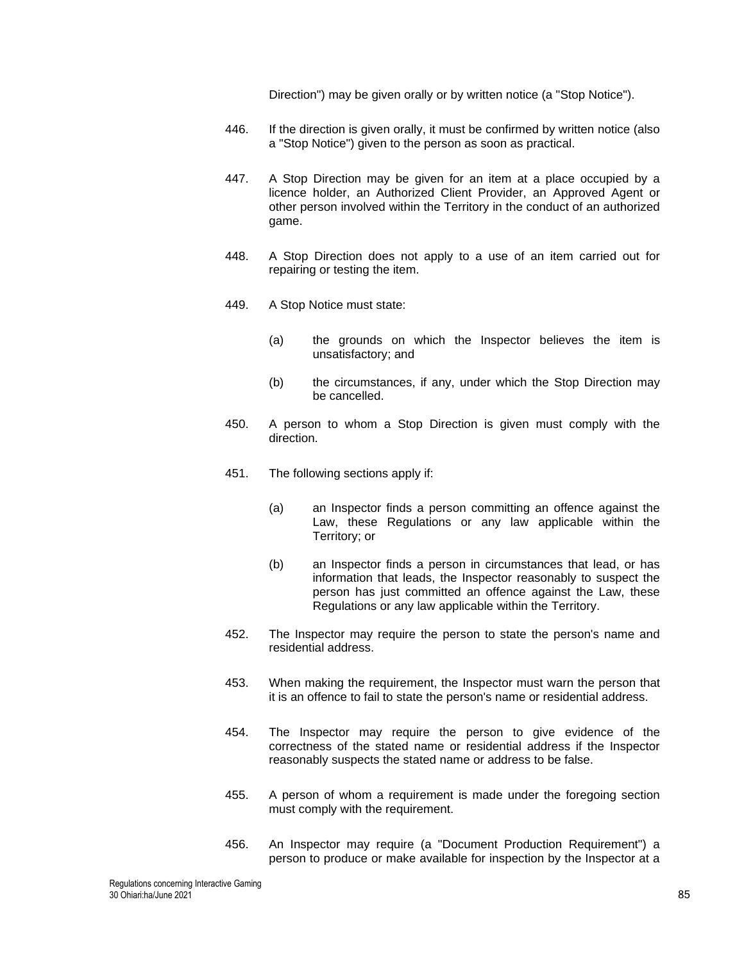Direction") may be given orally or by written notice (a "Stop Notice").

- 446. If the direction is given orally, it must be confirmed by written notice (also a "Stop Notice") given to the person as soon as practical.
- 447. A Stop Direction may be given for an item at a place occupied by a licence holder, an Authorized Client Provider, an Approved Agent or other person involved within the Territory in the conduct of an authorized game.
- 448. A Stop Direction does not apply to a use of an item carried out for repairing or testing the item.
- 449. A Stop Notice must state:
	- (a) the grounds on which the Inspector believes the item is unsatisfactory; and
	- (b) the circumstances, if any, under which the Stop Direction may be cancelled.
- 450. A person to whom a Stop Direction is given must comply with the direction.
- 451. The following sections apply if:
	- (a) an Inspector finds a person committing an offence against the Law, these Regulations or any law applicable within the Territory; or
	- (b) an Inspector finds a person in circumstances that lead, or has information that leads, the Inspector reasonably to suspect the person has just committed an offence against the Law, these Regulations or any law applicable within the Territory.
- 452. The Inspector may require the person to state the person's name and residential address.
- 453. When making the requirement, the Inspector must warn the person that it is an offence to fail to state the person's name or residential address.
- 454. The Inspector may require the person to give evidence of the correctness of the stated name or residential address if the Inspector reasonably suspects the stated name or address to be false.
- 455. A person of whom a requirement is made under the foregoing section must comply with the requirement.
- 456. An Inspector may require (a "Document Production Requirement") a person to produce or make available for inspection by the Inspector at a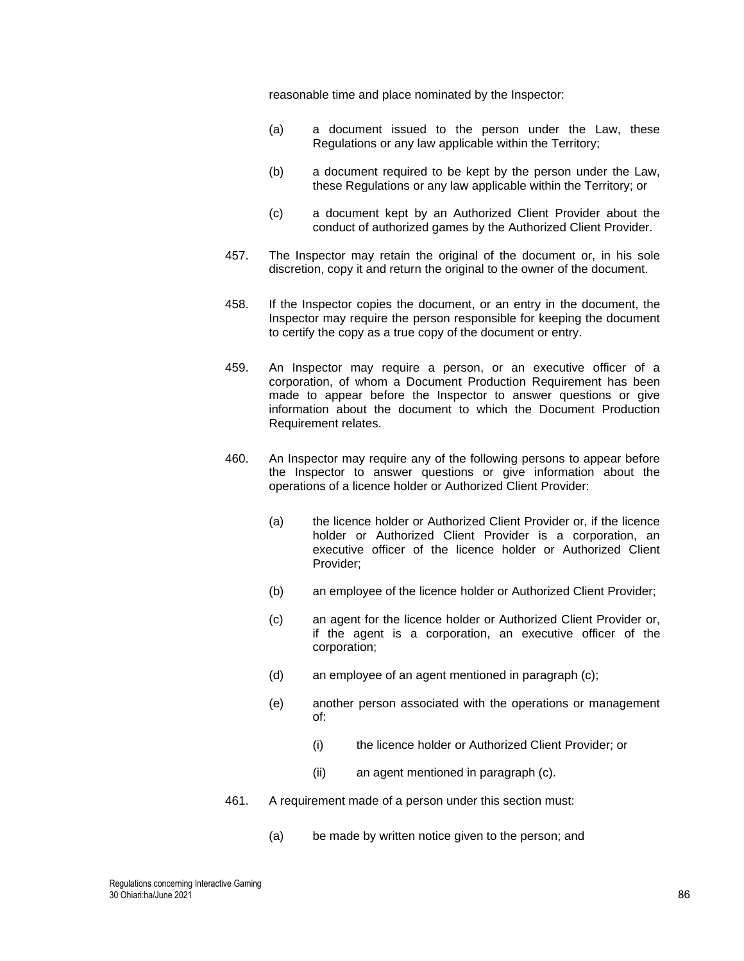reasonable time and place nominated by the Inspector:

- (a) a document issued to the person under the Law, these Regulations or any law applicable within the Territory;
- (b) a document required to be kept by the person under the Law, these Regulations or any law applicable within the Territory; or
- (c) a document kept by an Authorized Client Provider about the conduct of authorized games by the Authorized Client Provider.
- 457. The Inspector may retain the original of the document or, in his sole discretion, copy it and return the original to the owner of the document.
- 458. If the Inspector copies the document, or an entry in the document, the Inspector may require the person responsible for keeping the document to certify the copy as a true copy of the document or entry.
- 459. An Inspector may require a person, or an executive officer of a corporation, of whom a Document Production Requirement has been made to appear before the Inspector to answer questions or give information about the document to which the Document Production Requirement relates.
- 460. An Inspector may require any of the following persons to appear before the Inspector to answer questions or give information about the operations of a licence holder or Authorized Client Provider:
	- (a) the licence holder or Authorized Client Provider or, if the licence holder or Authorized Client Provider is a corporation, an executive officer of the licence holder or Authorized Client Provider;
	- (b) an employee of the licence holder or Authorized Client Provider;
	- (c) an agent for the licence holder or Authorized Client Provider or, if the agent is a corporation, an executive officer of the corporation;
	- (d) an employee of an agent mentioned in paragraph (c);
	- (e) another person associated with the operations or management of:
		- (i) the licence holder or Authorized Client Provider; or
		- (ii) an agent mentioned in paragraph (c).
- 461. A requirement made of a person under this section must:
	- (a) be made by written notice given to the person; and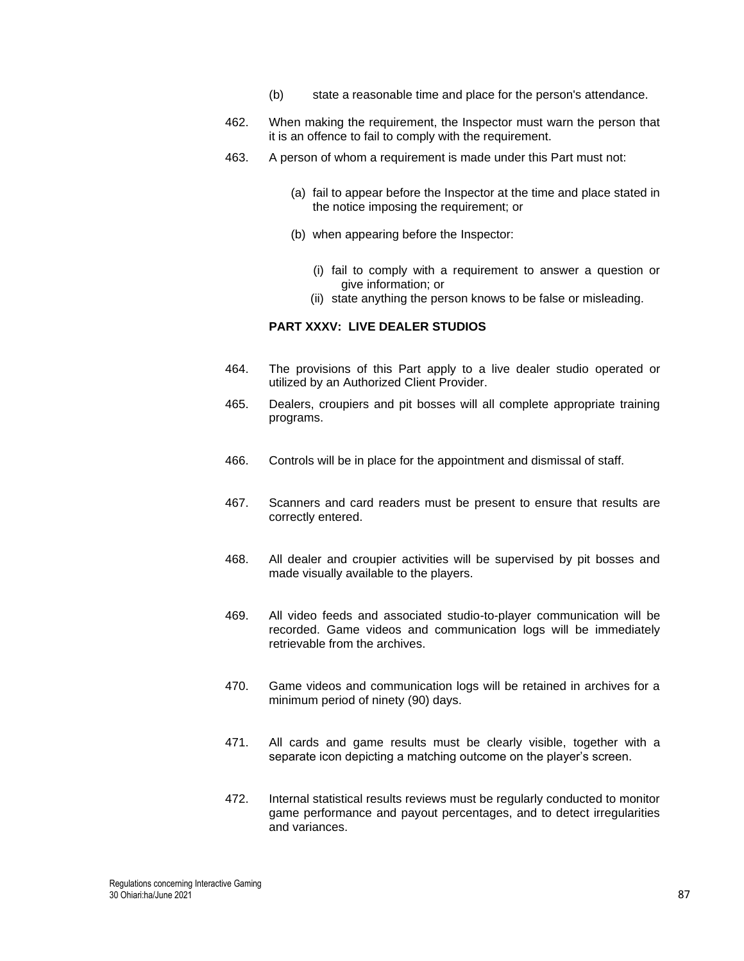- (b) state a reasonable time and place for the person's attendance.
- 462. When making the requirement, the Inspector must warn the person that it is an offence to fail to comply with the requirement.
- 463. A person of whom a requirement is made under this Part must not:
	- (a) fail to appear before the Inspector at the time and place stated in the notice imposing the requirement; or
	- (b) when appearing before the Inspector:
		- (i) fail to comply with a requirement to answer a question or give information; or
		- (ii) state anything the person knows to be false or misleading.

### **PART XXXV: LIVE DEALER STUDIOS**

- 464. The provisions of this Part apply to a live dealer studio operated or utilized by an Authorized Client Provider.
- 465. Dealers, croupiers and pit bosses will all complete appropriate training programs.
- 466. Controls will be in place for the appointment and dismissal of staff.
- 467. Scanners and card readers must be present to ensure that results are correctly entered.
- 468. All dealer and croupier activities will be supervised by pit bosses and made visually available to the players.
- 469. All video feeds and associated studio-to-player communication will be recorded. Game videos and communication logs will be immediately retrievable from the archives.
- 470. Game videos and communication logs will be retained in archives for a minimum period of ninety (90) days.
- 471. All cards and game results must be clearly visible, together with a separate icon depicting a matching outcome on the player's screen.
- 472. Internal statistical results reviews must be regularly conducted to monitor game performance and payout percentages, and to detect irregularities and variances.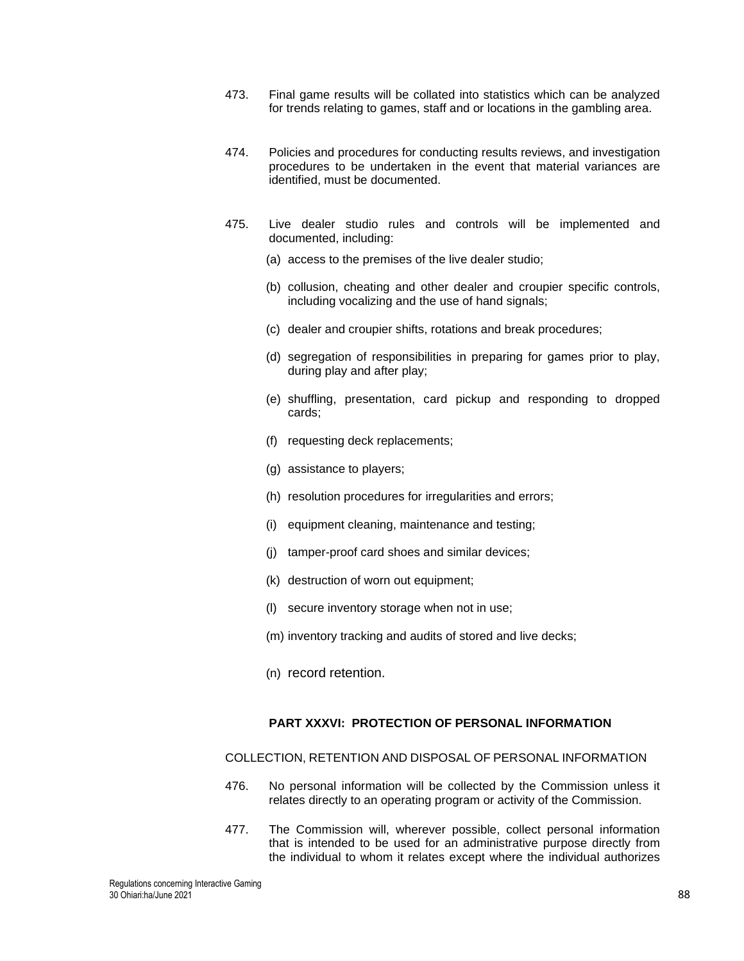- 473. Final game results will be collated into statistics which can be analyzed for trends relating to games, staff and or locations in the gambling area.
- 474. Policies and procedures for conducting results reviews, and investigation procedures to be undertaken in the event that material variances are identified, must be documented.
- 475. Live dealer studio rules and controls will be implemented and documented, including:
	- (a) access to the premises of the live dealer studio;
	- (b) collusion, cheating and other dealer and croupier specific controls, including vocalizing and the use of hand signals;
	- (c) dealer and croupier shifts, rotations and break procedures;
	- (d) segregation of responsibilities in preparing for games prior to play, during play and after play;
	- (e) shuffling, presentation, card pickup and responding to dropped cards;
	- (f) requesting deck replacements;
	- (g) assistance to players;
	- (h) resolution procedures for irregularities and errors;
	- (i) equipment cleaning, maintenance and testing;
	- (j) tamper-proof card shoes and similar devices;
	- (k) destruction of worn out equipment;
	- (l) secure inventory storage when not in use;
	- (m) inventory tracking and audits of stored and live decks;
	- (n) record retention.

### **PART XXXVI: PROTECTION OF PERSONAL INFORMATION**

#### COLLECTION, RETENTION AND DISPOSAL OF PERSONAL INFORMATION

- 476. No personal information will be collected by the Commission unless it relates directly to an operating program or activity of the Commission.
- 477. The Commission will, wherever possible, collect personal information that is intended to be used for an administrative purpose directly from the individual to whom it relates except where the individual authorizes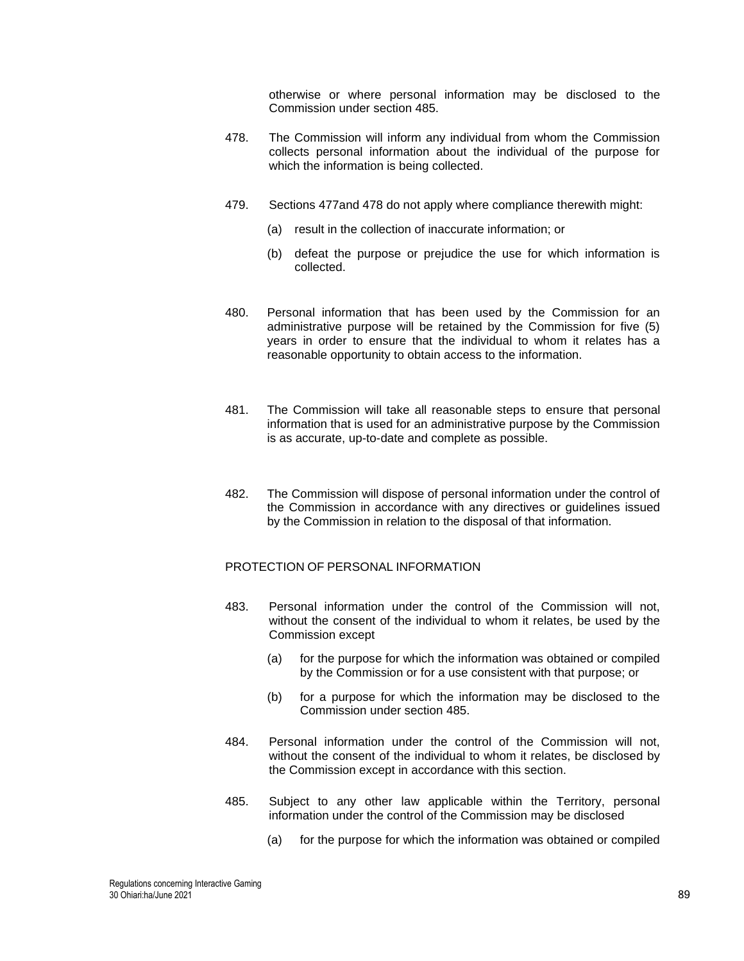otherwise or where personal information may be disclosed to the Commission under section 485.

- 478. The Commission will inform any individual from whom the Commission collects personal information about the individual of the purpose for which the information is being collected.
- 479. Sections 477and 478 do not apply where compliance therewith might:
	- (a) result in the collection of inaccurate information; or
	- (b) defeat the purpose or prejudice the use for which information is collected.
- 480. Personal information that has been used by the Commission for an administrative purpose will be retained by the Commission for five (5) years in order to ensure that the individual to whom it relates has a reasonable opportunity to obtain access to the information.
- 481. The Commission will take all reasonable steps to ensure that personal information that is used for an administrative purpose by the Commission is as accurate, up-to-date and complete as possible.
- 482. The Commission will dispose of personal information under the control of the Commission in accordance with any directives or guidelines issued by the Commission in relation to the disposal of that information.

## PROTECTION OF PERSONAL INFORMATION

- 483. Personal information under the control of the Commission will not, without the consent of the individual to whom it relates, be used by the Commission except
	- (a) for the purpose for which the information was obtained or compiled by the Commission or for a use consistent with that purpose; or
	- (b) for a purpose for which the information may be disclosed to the Commission under section 485.
- 484. Personal information under the control of the Commission will not, without the consent of the individual to whom it relates, be disclosed by the Commission except in accordance with this section.
- 485. Subject to any other law applicable within the Territory, personal information under the control of the Commission may be disclosed
	- (a) for the purpose for which the information was obtained or compiled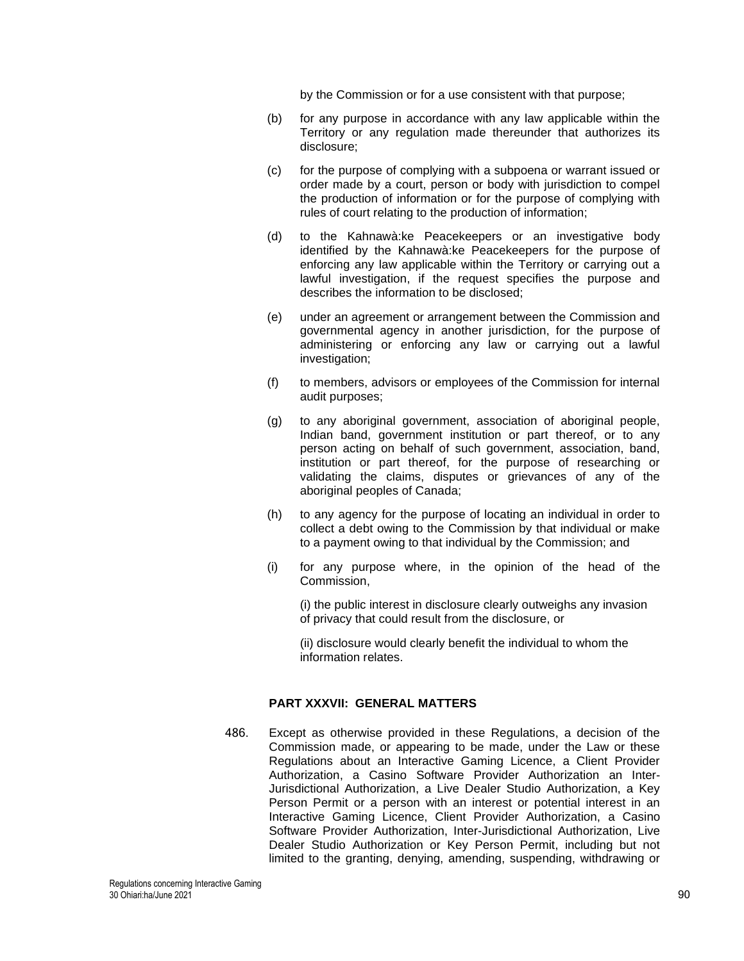by the Commission or for a use consistent with that purpose;

- (b) for any purpose in accordance with any law applicable within the Territory or any regulation made thereunder that authorizes its disclosure;
- (c) for the purpose of complying with a subpoena or warrant issued or order made by a court, person or body with jurisdiction to compel the production of information or for the purpose of complying with rules of court relating to the production of information;
- (d) to the Kahnawà:ke Peacekeepers or an investigative body identified by the Kahnawà:ke Peacekeepers for the purpose of enforcing any law applicable within the Territory or carrying out a lawful investigation, if the request specifies the purpose and describes the information to be disclosed;
- (e) under an agreement or arrangement between the Commission and governmental agency in another jurisdiction, for the purpose of administering or enforcing any law or carrying out a lawful investigation;
- (f) to members, advisors or employees of the Commission for internal audit purposes;
- (g) to any aboriginal government, association of aboriginal people, Indian band, government institution or part thereof, or to any person acting on behalf of such government, association, band, institution or part thereof, for the purpose of researching or validating the claims, disputes or grievances of any of the aboriginal peoples of Canada;
- (h) to any agency for the purpose of locating an individual in order to collect a debt owing to the Commission by that individual or make to a payment owing to that individual by the Commission; and
- (i) for any purpose where, in the opinion of the head of the Commission,

(i) the public interest in disclosure clearly outweighs any invasion of privacy that could result from the disclosure, or

(ii) disclosure would clearly benefit the individual to whom the information relates.

# **PART XXXVII: GENERAL MATTERS**

486. Except as otherwise provided in these Regulations, a decision of the Commission made, or appearing to be made, under the Law or these Regulations about an Interactive Gaming Licence, a Client Provider Authorization, a Casino Software Provider Authorization an Inter-Jurisdictional Authorization, a Live Dealer Studio Authorization, a Key Person Permit or a person with an interest or potential interest in an Interactive Gaming Licence, Client Provider Authorization, a Casino Software Provider Authorization, Inter-Jurisdictional Authorization, Live Dealer Studio Authorization or Key Person Permit, including but not limited to the granting, denying, amending, suspending, withdrawing or